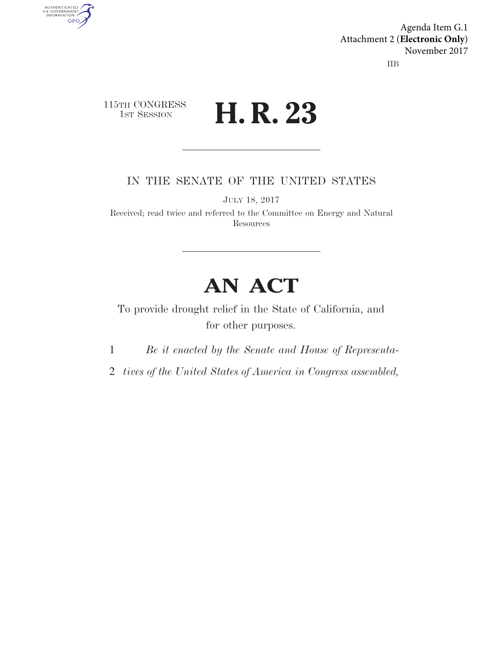IIB Agenda Item G.1 Attachment 2 (**Electronic Only**) November 2017

115TH CONGRESS **1st Session H. R. 23** 

AUTHENTICATED<br>U.S. GOVERNMENT<br>INFORMATION

**GPO** 

IN THE SENATE OF THE UNITED STATES

JULY 18, 2017

Received; read twice and referred to the Committee on Energy and Natural **Resources** 

# **AN ACT**

To provide drought relief in the State of California, and for other purposes.

1 *Be it enacted by the Senate and House of Representa-*

2 *tives of the United States of America in Congress assembled,*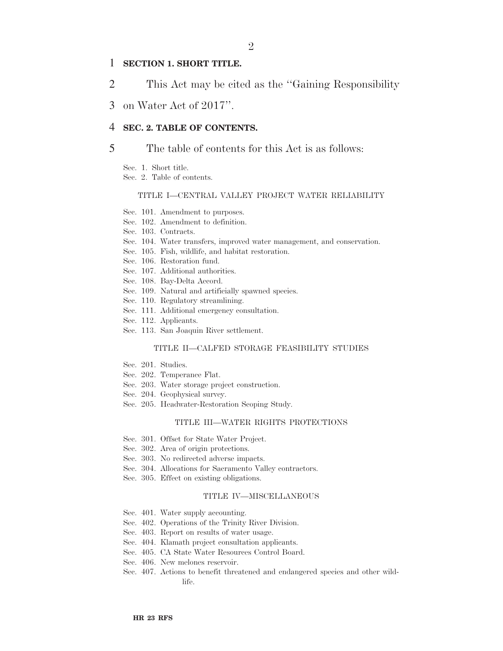### 1 **SECTION 1. SHORT TITLE.**

- 2 This Act may be cited as the ''Gaining Responsibility
- 3 on Water Act of 2017''.

### 4 **SEC. 2. TABLE OF CONTENTS.**

#### 5 The table of contents for this Act is as follows:

- Sec. 1. Short title.
- Sec. 2. Table of contents.

#### TITLE I—CENTRAL VALLEY PROJECT WATER RELIABILITY

- Sec. 101. Amendment to purposes.
- Sec. 102. Amendment to definition.
- Sec. 103. Contracts.
- Sec. 104. Water transfers, improved water management, and conservation.
- Sec. 105. Fish, wildlife, and habitat restoration.
- Sec. 106. Restoration fund.
- Sec. 107. Additional authorities.
- Sec. 108. Bay-Delta Accord.
- Sec. 109. Natural and artificially spawned species.
- Sec. 110. Regulatory streamlining.
- Sec. 111. Additional emergency consultation.
- Sec. 112. Applicants.
- Sec. 113. San Joaquin River settlement.

#### TITLE II—CALFED STORAGE FEASIBILITY STUDIES

- Sec. 201. Studies.
- Sec. 202. Temperance Flat.
- Sec. 203. Water storage project construction.
- Sec. 204. Geophysical survey.
- Sec. 205. Headwater-Restoration Scoping Study.

#### TITLE III—WATER RIGHTS PROTECTIONS

- Sec. 301. Offset for State Water Project.
- Sec. 302. Area of origin protections.
- Sec. 303. No redirected adverse impacts.
- Sec. 304. Allocations for Sacramento Valley contractors.
- Sec. 305. Effect on existing obligations.

#### TITLE IV—MISCELLANEOUS

- Sec. 401. Water supply accounting.
- Sec. 402. Operations of the Trinity River Division.
- Sec. 403. Report on results of water usage.
- Sec. 404. Klamath project consultation applicants.
- Sec. 405. CA State Water Resources Control Board.
- Sec. 406. New melones reservoir.
- Sec. 407. Actions to benefit threatened and endangered species and other wildlife.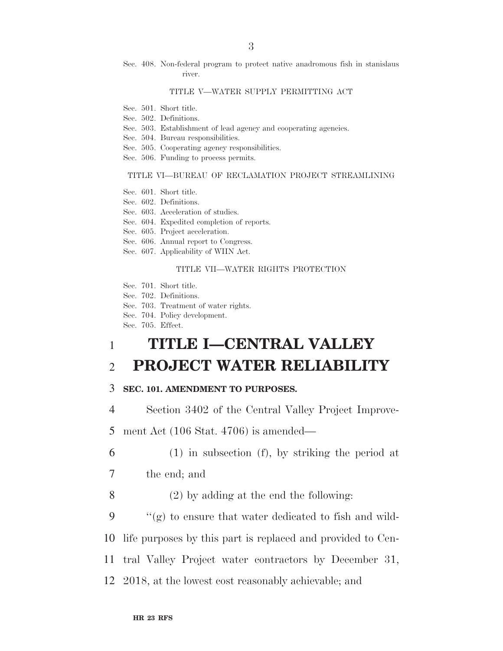Sec. 408. Non-federal program to protect native anadromous fish in stanislaus river.

#### TITLE V—WATER SUPPLY PERMITTING ACT

- Sec. 501. Short title.
- Sec. 502. Definitions.
- Sec. 503. Establishment of lead agency and cooperating agencies.
- Sec. 504. Bureau responsibilities.
- Sec. 505. Cooperating agency responsibilities.
- Sec. 506. Funding to process permits.

#### TITLE VI—BUREAU OF RECLAMATION PROJECT STREAMLINING

- Sec. 601. Short title.
- Sec. 602. Definitions.
- Sec. 603. Acceleration of studies.
- Sec. 604. Expedited completion of reports.
- Sec. 605. Project acceleration.
- Sec. 606. Annual report to Congress.
- Sec. 607. Applicability of WIIN Act.

#### TITLE VII—WATER RIGHTS PROTECTION

- Sec. 701. Short title.
- Sec. 702. Definitions.
- Sec. 703. Treatment of water rights.
- Sec. 704. Policy development.
- Sec. 705. Effect.

# 1 **TITLE I—CENTRAL VALLEY**  2 **PROJECT WATER RELIABILITY**

#### 3 **SEC. 101. AMENDMENT TO PURPOSES.**

4 Section 3402 of the Central Valley Project Improve-

5 ment Act (106 Stat. 4706) is amended—

- 6 (1) in subsection (f), by striking the period at
- 7 the end; and
- 8 (2) by adding at the end the following:
- 9  $\langle \langle \mathbf{g} \rangle \rangle$  to ensure that water dedicated to fish and wild-

10 life purposes by this part is replaced and provided to Cen-

- 11 tral Valley Project water contractors by December 31,
- 12 2018, at the lowest cost reasonably achievable; and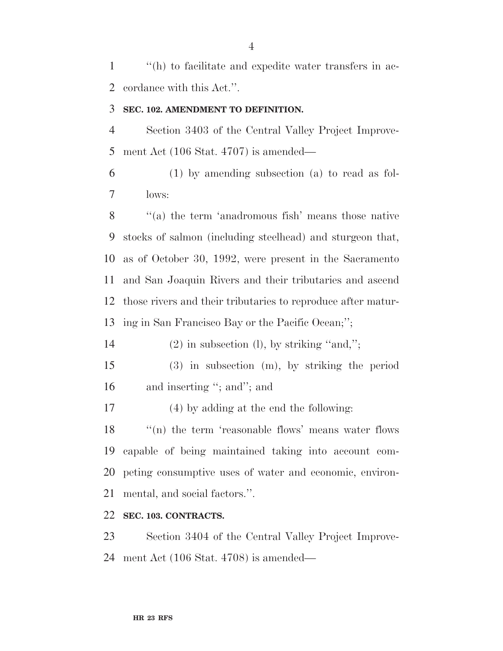''(h) to facilitate and expedite water transfers in ac-cordance with this Act.''.

## **SEC. 102. AMENDMENT TO DEFINITION.**

 Section 3403 of the Central Valley Project Improve-ment Act (106 Stat. 4707) is amended—

 (1) by amending subsection (a) to read as fol-lows:

8 "(a) the term 'anadromous fish' means those native stocks of salmon (including steelhead) and sturgeon that, as of October 30, 1992, were present in the Sacramento and San Joaquin Rivers and their tributaries and ascend those rivers and their tributaries to reproduce after matur-ing in San Francisco Bay or the Pacific Ocean;'';

14 (2) in subsection (l), by striking "and,";

- (3) in subsection (m), by striking the period 16 and inserting "; and"; and
- (4) by adding at the end the following:

 $\langle \rangle$  (n) the term 'reasonable flows' means water flows capable of being maintained taking into account com- peting consumptive uses of water and economic, environ-mental, and social factors.''.

# **SEC. 103. CONTRACTS.**

 Section 3404 of the Central Valley Project Improve-ment Act (106 Stat. 4708) is amended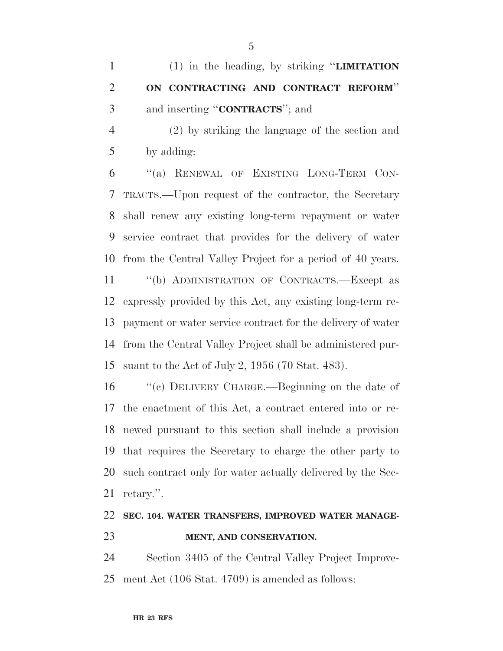(2) by striking the language of the section and by adding:

 ''(a) RENEWAL OF EXISTING LONG-TERM CON- TRACTS.—Upon request of the contractor, the Secretary shall renew any existing long-term repayment or water service contract that provides for the delivery of water from the Central Valley Project for a period of 40 years.

 ''(b) ADMINISTRATION OF CONTRACTS.—Except as expressly provided by this Act, any existing long-term re- payment or water service contract for the delivery of water from the Central Valley Project shall be administered pur-suant to the Act of July 2, 1956 (70 Stat. 483).

 ''(c) DELIVERY CHARGE.—Beginning on the date of the enactment of this Act, a contract entered into or re- newed pursuant to this section shall include a provision that requires the Secretary to charge the other party to such contract only for water actually delivered by the Sec-retary.''.

# **SEC. 104. WATER TRANSFERS, IMPROVED WATER MANAGE-MENT, AND CONSERVATION.**

 Section 3405 of the Central Valley Project Improve-ment Act (106 Stat. 4709) is amended as follows: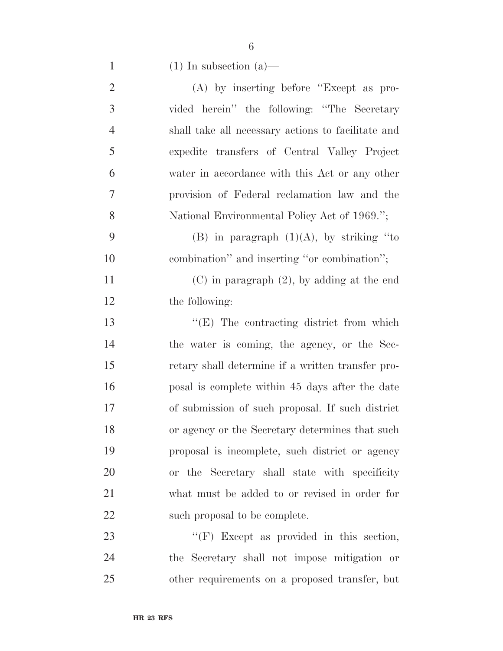| $\overline{2}$ | $(A)$ by inserting before "Except as pro-          |
|----------------|----------------------------------------------------|
| 3              | vided herein" the following: "The Secretary        |
| $\overline{4}$ | shall take all necessary actions to facilitate and |
| 5              | expedite transfers of Central Valley Project       |
| 6              | water in accordance with this Act or any other     |
| 7              | provision of Federal reclamation law and the       |
| 8              | National Environmental Policy Act of 1969.";       |
| 9              | (B) in paragraph $(1)(A)$ , by striking "to        |
| 10             | combination" and inserting "or combination";       |
| 11             | $(C)$ in paragraph $(2)$ , by adding at the end    |
| 12             | the following:                                     |
| 13             | $\lq\lq(E)$ The contracting district from which    |
| 14             | the water is coming, the agency, or the Sec-       |
| 15             | retary shall determine if a written transfer pro-  |
| 16             | posal is complete within 45 days after the date    |
| 17             | of submission of such proposal. If such district   |
| 18             | or agency or the Secretary determines that such    |
| 19             | proposal is incomplete, such district or agency    |
| 20             | or the Secretary shall state with specificity      |
| 21             | what must be added to or revised in order for      |
| 22             | such proposal to be complete.                      |
| 23             | "(F) Except as provided in this section,           |
| 24             | the Secretary shall not impose mitigation or       |
|                |                                                    |

other requirements on a proposed transfer, but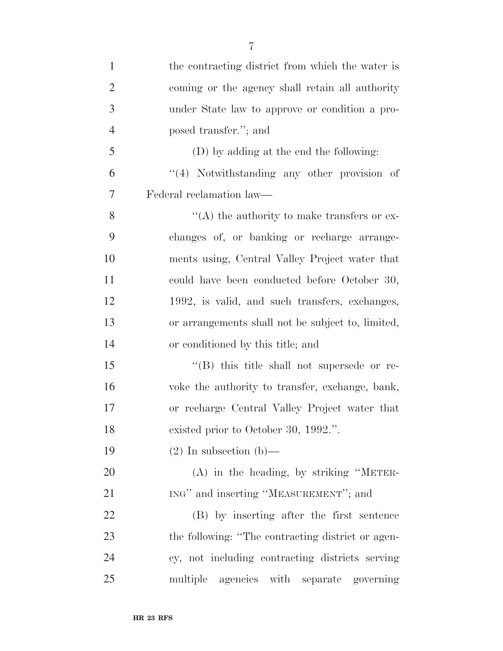| $\mathbf{1}$   | the contracting district from which the water is   |
|----------------|----------------------------------------------------|
| $\overline{2}$ | coming or the agency shall retain all authority    |
| 3              | under State law to approve or condition a pro-     |
| $\overline{4}$ | posed transfer."; and                              |
| 5              | (D) by adding at the end the following:            |
| 6              | "(4) Notwithstanding any other provision of        |
| 7              | Federal reclamation law—                           |
| 8              | $\lq\lq$ the authority to make transfers or ex-    |
| 9              | changes of, or banking or recharge arrange-        |
| 10             | ments using, Central Valley Project water that     |
| 11             | could have been conducted before October 30,       |
| 12             | 1992, is valid, and such transfers, exchanges,     |
| 13             | or arrangements shall not be subject to, limited,  |
| 14             | or conditioned by this title; and                  |
| 15             | $\lq\lq$ (B) this title shall not supersede or re- |
| 16             | voke the authority to transfer, exchange, bank,    |
| 17             | or recharge Central Valley Project water that      |
| 18             | existed prior to October 30, 1992.".               |
| 19             | $(2)$ In subsection (b)—                           |
| 20             | $(A)$ in the heading, by striking "METER-          |
| 21             | ING" and inserting "MEASUREMENT"; and              |
| 22             | (B) by inserting after the first sentence          |
| 23             | the following: "The contracting district or agen-  |
| 24             | cy, not including contracting districts serving    |
| 25             | multiple agencies with separate governing          |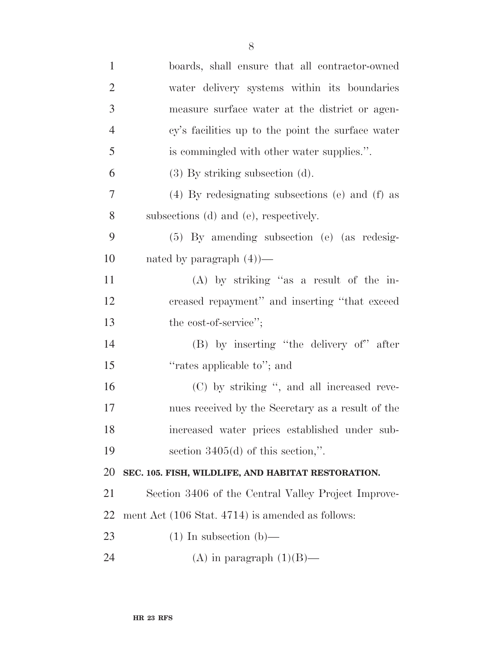| $\mathbf{1}$   | boards, shall ensure that all contractor-owned      |
|----------------|-----------------------------------------------------|
| $\overline{2}$ | water delivery systems within its boundaries        |
| 3              | measure surface water at the district or agen-      |
| $\overline{4}$ | cy's facilities up to the point the surface water   |
| 5              | is commingled with other water supplies.".          |
| 6              | $(3)$ By striking subsection $(d)$ .                |
| $\overline{7}$ | (4) By redesignating subsections (e) and (f) as     |
| 8              | subsections (d) and (e), respectively.              |
| 9              | $(5)$ By amending subsection (e) (as redesig-       |
| 10             | nated by paragraph $(4)$ —                          |
| 11             | $(A)$ by striking "as a result of the in-           |
| 12             | creased repayment" and inserting "that exceed       |
| 13             | the cost-of-service";                               |
| 14             | (B) by inserting "the delivery of" after            |
| 15             | "rates applicable to"; and                          |
| 16             | (C) by striking ", and all increased reve-          |
| 17             | nues received by the Secretary as a result of the   |
| 18             | increased water prices established under sub-       |
| 19             | section $3405(d)$ of this section,".                |
| 20             | SEC. 105. FISH, WILDLIFE, AND HABITAT RESTORATION.  |
| 21             | Section 3406 of the Central Valley Project Improve- |
| 22             | ment Act (106 Stat. 4714) is amended as follows:    |
| 23             | $(1)$ In subsection $(b)$ —                         |
| 24             | (A) in paragraph $(1)(B)$ —                         |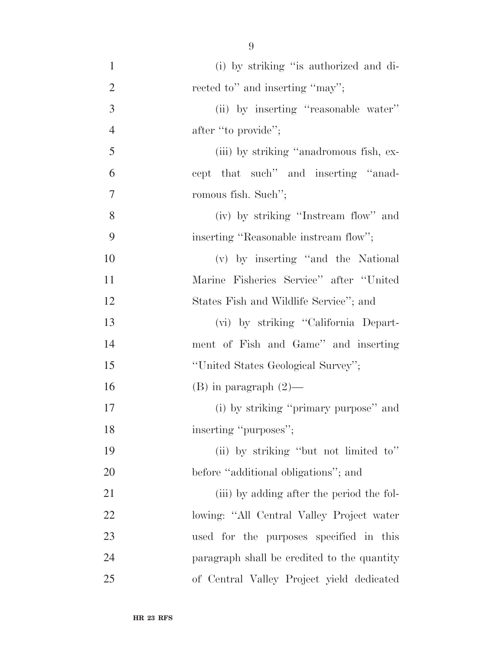| $\mathbf{1}$   | (i) by striking "is authorized and di-      |
|----------------|---------------------------------------------|
| $\overline{2}$ | rected to" and inserting "may";             |
| 3              | (ii) by inserting "reasonable water"        |
| $\overline{4}$ | after "to provide";                         |
| 5              | (iii) by striking "anadromous fish, ex-     |
| 6              | cept that such" and inserting "anad-        |
| $\overline{7}$ | romous fish. Such";                         |
| 8              | (iv) by striking "Instream flow" and        |
| 9              | inserting "Reasonable instream flow";       |
| 10             | (v) by inserting "and the National          |
| 11             | Marine Fisheries Service" after "United     |
| 12             | States Fish and Wildlife Service"; and      |
| 13             | (vi) by striking "California Depart-        |
| 14             | ment of Fish and Game" and inserting        |
| 15             | "United States Geological Survey";          |
| 16             | $(B)$ in paragraph $(2)$ —                  |
| 17             | (i) by striking "primary purpose" and       |
| 18             | inserting "purposes";                       |
| 19             | (ii) by striking "but not limited to"       |
| 20             | before "additional obligations"; and        |
| 21             | (iii) by adding after the period the fol-   |
| 22             | lowing: "All Central Valley Project water   |
| 23             | used for the purposes specified in this     |
| 24             | paragraph shall be credited to the quantity |
| 25             | of Central Valley Project yield dedicated   |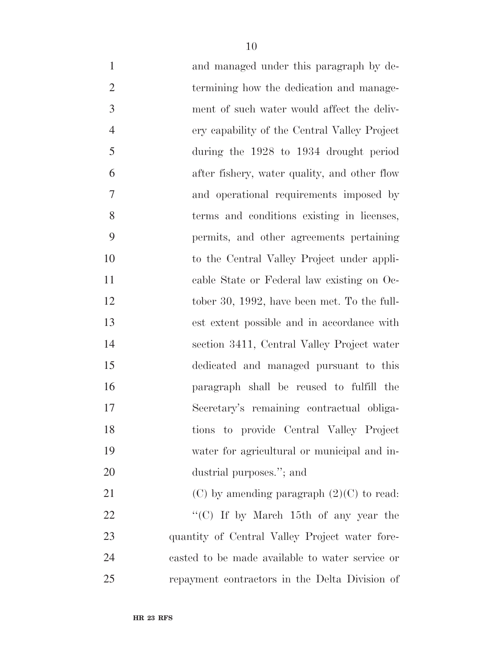- and managed under this paragraph by de-2 termining how the dedication and manage- ment of such water would affect the deliv- ery capability of the Central Valley Project during the 1928 to 1934 drought period after fishery, water quality, and other flow and operational requirements imposed by terms and conditions existing in licenses, permits, and other agreements pertaining to the Central Valley Project under appli- cable State or Federal law existing on Oc-12 tober 30, 1992, have been met. To the full-
- est extent possible and in accordance with section 3411, Central Valley Project water dedicated and managed pursuant to this paragraph shall be reused to fulfill the Secretary's remaining contractual obliga-tions to provide Central Valley Project
- dustrial purposes.''; and 21 (C) by amending paragraph  $(2)(C)$  to read: 22  $\frac{1}{2}$  (C) If by March 15th of any year the quantity of Central Valley Project water fore- casted to be made available to water service or repayment contractors in the Delta Division of

water for agricultural or municipal and in-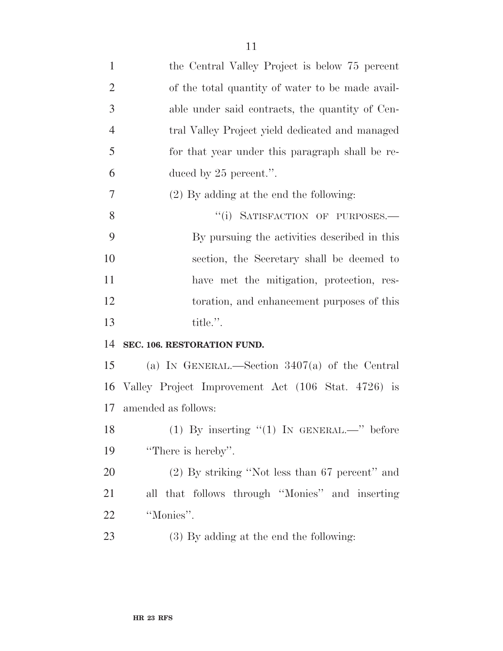| $\mathbf{1}$   | the Central Valley Project is below 75 percent     |
|----------------|----------------------------------------------------|
| $\overline{2}$ | of the total quantity of water to be made avail-   |
| 3              | able under said contracts, the quantity of Cen-    |
| $\overline{4}$ | tral Valley Project yield dedicated and managed    |
| 5              | for that year under this paragraph shall be re-    |
| 6              | duced by $25$ percent.".                           |
| 7              | $(2)$ By adding at the end the following:          |
| 8              | "(i) SATISFACTION OF PURPOSES.-                    |
| 9              | By pursuing the activities described in this       |
| 10             | section, the Secretary shall be deemed to          |
| 11             | have met the mitigation, protection, res-          |
| 12             | toration, and enhancement purposes of this         |
| 13             | title.".                                           |
| 14             | SEC. 106. RESTORATION FUND.                        |
| 15             | (a) IN GENERAL.—Section $3407(a)$ of the Central   |
| 16             | Valley Project Improvement Act (106 Stat. 4726) is |
| 17             | amended as follows:                                |
| 18             | (1) By inserting $(1)$ IN GENERAL.—" before        |
| 19             | "There is hereby".                                 |
| 20             | $(2)$ By striking "Not less than 67 percent" and   |
| 21             | all that follows through "Monies" and inserting    |
| 22             | "Monies".                                          |
| 23             | (3) By adding at the end the following:            |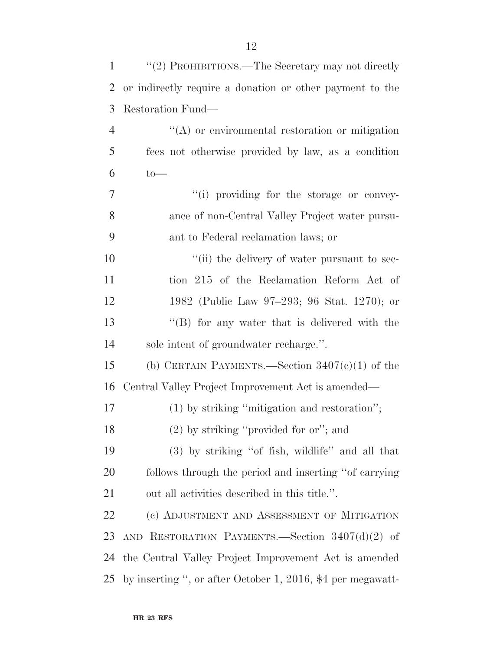| $\mathbf{1}$   | "(2) PROHIBITIONS.—The Secretary may not directly           |
|----------------|-------------------------------------------------------------|
| $\overline{2}$ | or indirectly require a donation or other payment to the    |
| 3              | Restoration Fund—                                           |
| $\overline{4}$ | "(A) or environmental restoration or mitigation             |
| 5              | fees not otherwise provided by law, as a condition          |
| 6              | $to-$                                                       |
| 7              | "(i) providing for the storage or convey-                   |
| 8              | ance of non-Central Valley Project water pursu-             |
| 9              | ant to Federal reclamation laws; or                         |
| 10             | "(ii) the delivery of water pursuant to sec-                |
| 11             | tion 215 of the Reclamation Reform Act of                   |
| 12             | 1982 (Public Law 97–293; 96 Stat. 1270); or                 |
| 13             | "(B) for any water that is delivered with the               |
| 14             | sole intent of groundwater recharge.".                      |
| 15             | (b) CERTAIN PAYMENTS.—Section $3407(c)(1)$ of the           |
| 16             | Central Valley Project Improvement Act is amended—          |
| 17             | $(1)$ by striking "mitigation and restoration";             |
| 18             | (2) by striking "provided for or"; and                      |
| 19             | $(3)$ by striking "of fish, wildlife" and all that          |
| 20             | follows through the period and inserting "of carrying"      |
| 21             | out all activities described in this title.".               |
| <u>22</u>      | (c) ADJUSTMENT AND ASSESSMENT OF MITIGATION                 |
| 23             | AND RESTORATION PAYMENTS.—Section $3407(d)(2)$ of           |
| 24             | the Central Valley Project Improvement Act is amended       |
| 25             | by inserting ", or after October 1, 2016, \$4 per megawatt- |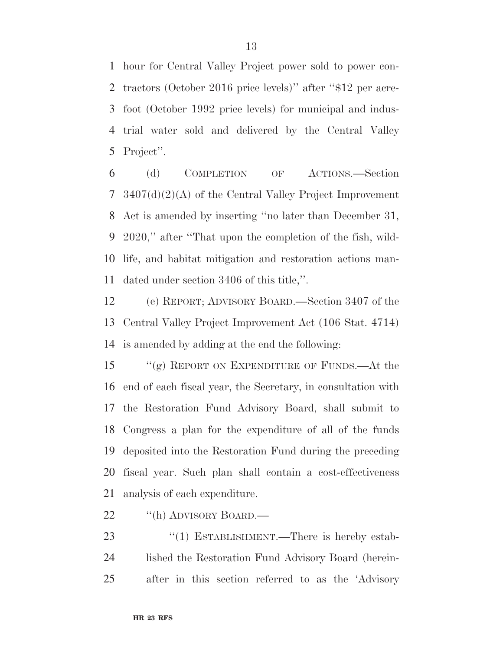hour for Central Valley Project power sold to power con- tractors (October 2016 price levels)'' after ''\$12 per acre- foot (October 1992 price levels) for municipal and indus- trial water sold and delivered by the Central Valley Project''.

 (d) COMPLETION OF ACTIONS.—Section 3407(d)(2)(A) of the Central Valley Project Improvement Act is amended by inserting ''no later than December 31, 2020,'' after ''That upon the completion of the fish, wild- life, and habitat mitigation and restoration actions man-dated under section 3406 of this title,''.

 (e) REPORT; ADVISORY BOARD.—Section 3407 of the Central Valley Project Improvement Act (106 Stat. 4714) is amended by adding at the end the following:

 ''(g) REPORT ON EXPENDITURE OF FUNDS.—At the end of each fiscal year, the Secretary, in consultation with the Restoration Fund Advisory Board, shall submit to Congress a plan for the expenditure of all of the funds deposited into the Restoration Fund during the preceding fiscal year. Such plan shall contain a cost-effectiveness analysis of each expenditure.

22 "(h) ADVISORY BOARD.—

23 "(1) ESTABLISHMENT.—There is hereby estab- lished the Restoration Fund Advisory Board (herein-after in this section referred to as the 'Advisory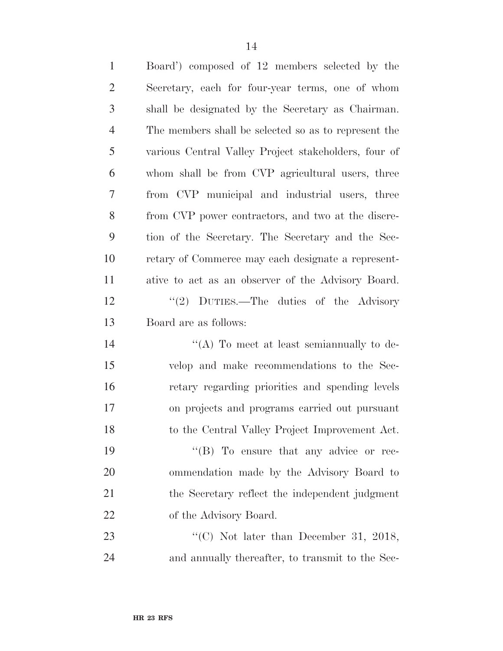| $\mathbf{1}$   | Board') composed of 12 members selected by the       |
|----------------|------------------------------------------------------|
| $\overline{2}$ | Secretary, each for four-year terms, one of whom     |
| 3              | shall be designated by the Secretary as Chairman.    |
| $\overline{4}$ | The members shall be selected so as to represent the |
| 5              | various Central Valley Project stakeholders, four of |
| 6              | whom shall be from CVP agricultural users, three     |
| $\overline{7}$ | from CVP municipal and industrial users, three       |
| 8              | from CVP power contractors, and two at the discre-   |
| 9              | tion of the Secretary. The Secretary and the Sec-    |
| 10             | retary of Commerce may each designate a represent-   |
| 11             | ative to act as an observer of the Advisory Board.   |
| 12             | "(2) DUTIES.—The duties of the Advisory              |
| 13             | Board are as follows:                                |
| 14             | "(A) To meet at least semian nually to de-           |
| 15             | velop and make recommendations to the Sec-           |
| 16             | retary regarding priorities and spending levels      |
| 17             | on projects and programs carried out pursuant        |
| 18             | to the Central Valley Project Improvement Act.       |
| 19             | $\lq\lq (B)$ To ensure that any advice or rec-       |
| 20             | ommendation made by the Advisory Board to            |
| 21             | the Secretary reflect the independent judgment       |
| 22             | of the Advisory Board.                               |
| 23             | "(C) Not later than December 31, 2018,               |
| 24             | and annually thereafter, to transmit to the Sec-     |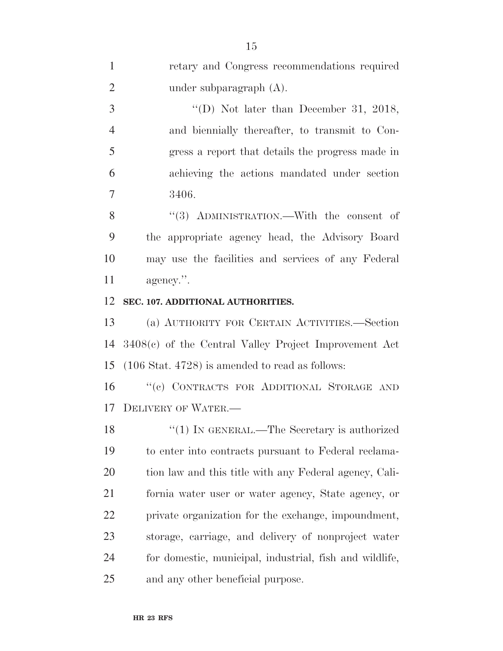| $\mathbf{1}$   | retary and Congress recommendations required               |
|----------------|------------------------------------------------------------|
| $\overline{2}$ | under subparagraph $(A)$ .                                 |
| 3              | "(D) Not later than December 31, 2018,                     |
| $\overline{4}$ | and biennially thereafter, to transmit to Con-             |
| 5              | gress a report that details the progress made in           |
| 6              | achieving the actions mandated under section               |
| 7              | 3406.                                                      |
| 8              | $(3)$ ADMINISTRATION.—With the consent of                  |
| 9              | the appropriate agency head, the Advisory Board            |
| 10             | may use the facilities and services of any Federal         |
| 11             | agency.".                                                  |
| 12             | SEC. 107. ADDITIONAL AUTHORITIES.                          |
| 13             | (a) AUTHORITY FOR CERTAIN ACTIVITIES.—Section              |
| 14             | $3408(e)$ of the Central Valley Project Improvement Act    |
| 15             | $(106 \text{ Stat. } 4728)$ is amended to read as follows: |
| 16             | "(c) CONTRACTS FOR ADDITIONAL STORAGE AND                  |
| 17             | <b>DELIVERY OF WATER.—</b>                                 |
| 18             | "(1) IN GENERAL.—The Secretary is authorized               |
| 19             | to enter into contracts pursuant to Federal reclama-       |
| 20             | tion law and this title with any Federal agency, Cali-     |
| 21             | fornia water user or water agency, State agency, or        |
| 22             | private organization for the exchange, impoundment,        |
| 23             | storage, carriage, and delivery of nonproject water        |
| 24             | for domestic, municipal, industrial, fish and wildlife,    |
| 25             | and any other beneficial purpose.                          |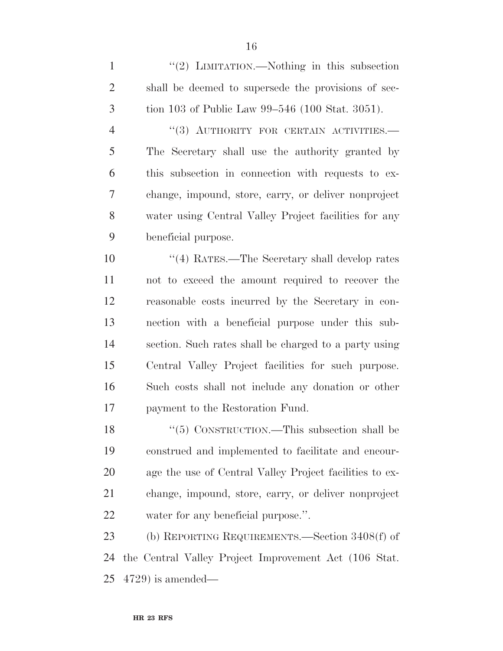1 ''(2) LIMITATION.—Nothing in this subsection shall be deemed to supersede the provisions of sec-tion 103 of Public Law 99–546 (100 Stat. 3051).

4 "(3) AUTHORITY FOR CERTAIN ACTIVITIES. The Secretary shall use the authority granted by this subsection in connection with requests to ex- change, impound, store, carry, or deliver nonproject water using Central Valley Project facilities for any beneficial purpose.

 ''(4) RATES.—The Secretary shall develop rates not to exceed the amount required to recover the reasonable costs incurred by the Secretary in con- nection with a beneficial purpose under this sub- section. Such rates shall be charged to a party using Central Valley Project facilities for such purpose. Such costs shall not include any donation or other payment to the Restoration Fund.

18 "(5) CONSTRUCTION.—This subsection shall be construed and implemented to facilitate and encour- age the use of Central Valley Project facilities to ex- change, impound, store, carry, or deliver nonproject water for any beneficial purpose.''.

 (b) REPORTING REQUIREMENTS.—Section 3408(f) of the Central Valley Project Improvement Act (106 Stat. 4729) is amended—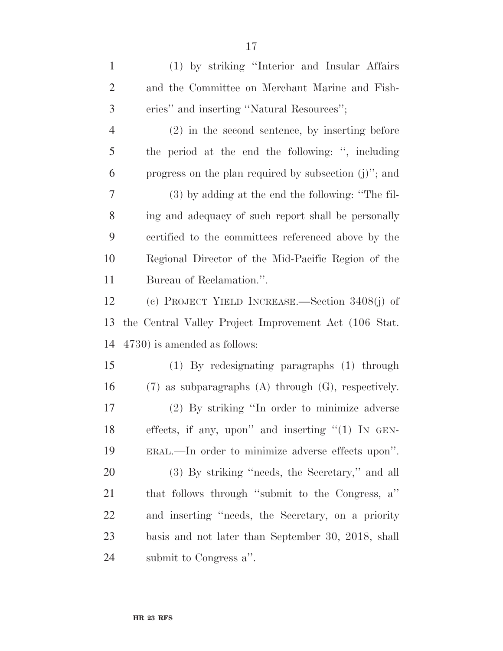(1) by striking ''Interior and Insular Affairs and the Committee on Merchant Marine and Fish- eries'' and inserting ''Natural Resources''; (2) in the second sentence, by inserting before the period at the end the following: '', including progress on the plan required by subsection (j)''; and (3) by adding at the end the following: ''The fil- ing and adequacy of such report shall be personally certified to the committees referenced above by the Regional Director of the Mid-Pacific Region of the Bureau of Reclamation.''. (c) PROJECT YIELD INCREASE.—Section 3408(j) of the Central Valley Project Improvement Act (106 Stat. 4730) is amended as follows: (1) By redesignating paragraphs (1) through (7) as subparagraphs (A) through (G), respectively. (2) By striking ''In order to minimize adverse effects, if any, upon'' and inserting ''(1) IN GEN- ERAL.—In order to minimize adverse effects upon''. (3) By striking ''needs, the Secretary,'' and all that follows through ''submit to the Congress, a'' and inserting ''needs, the Secretary, on a priority basis and not later than September 30, 2018, shall submit to Congress a''.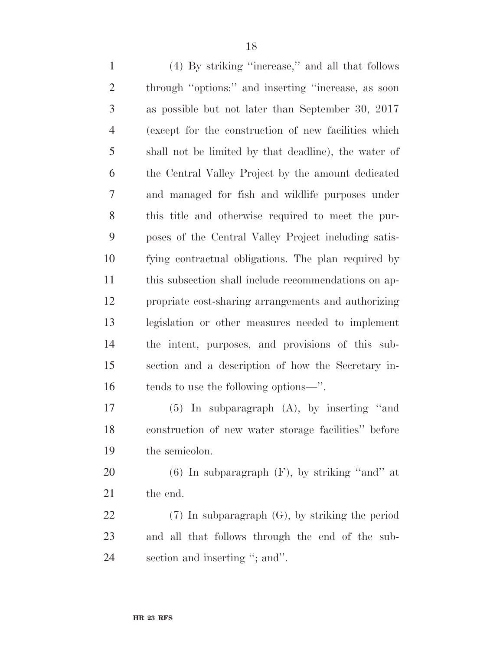(4) By striking ''increase,'' and all that follows through ''options:'' and inserting ''increase, as soon as possible but not later than September 30, 2017 (except for the construction of new facilities which shall not be limited by that deadline), the water of the Central Valley Project by the amount dedicated and managed for fish and wildlife purposes under this title and otherwise required to meet the pur- poses of the Central Valley Project including satis- fying contractual obligations. The plan required by this subsection shall include recommendations on ap- propriate cost-sharing arrangements and authorizing legislation or other measures needed to implement the intent, purposes, and provisions of this sub- section and a description of how the Secretary in-16 tends to use the following options—".

 (5) In subparagraph (A), by inserting ''and construction of new water storage facilities'' before the semicolon.

20  $(6)$  In subparagraph  $(F)$ , by striking "and" at the end.

 (7) In subparagraph (G), by striking the period and all that follows through the end of the sub-section and inserting ''; and''.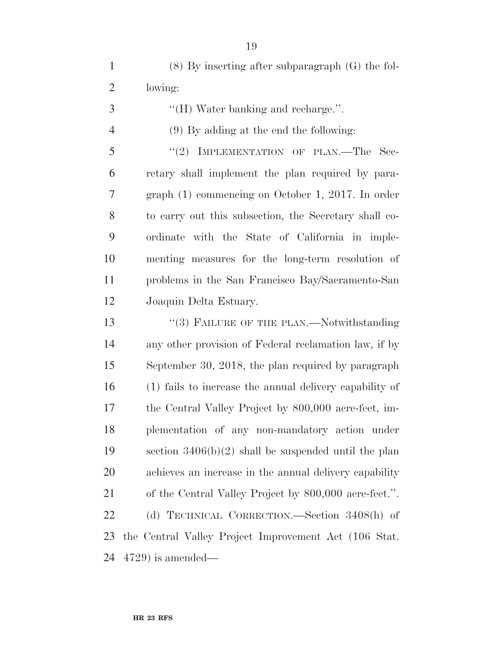(8) By inserting after subparagraph (G) the fol- lowing: 3 ''(H) Water banking and recharge.". (9) By adding at the end the following: 5 "(2) IMPLEMENTATION OF PLAN.—The Sec- retary shall implement the plan required by para- graph (1) commencing on October 1, 2017. In order to carry out this subsection, the Secretary shall co- ordinate with the State of California in imple- menting measures for the long-term resolution of problems in the San Francisco Bay/Sacramento-San Joaquin Delta Estuary. 13 "(3) FAILURE OF THE PLAN.—Notwithstanding any other provision of Federal reclamation law, if by September 30, 2018, the plan required by paragraph (1) fails to increase the annual delivery capability of the Central Valley Project by 800,000 acre-feet, im- plementation of any non-mandatory action under section 3406(b)(2) shall be suspended until the plan achieves an increase in the annual delivery capability of the Central Valley Project by 800,000 acre-feet.''. (d) TECHNICAL CORRECTION.—Section 3408(h) of the Central Valley Project Improvement Act (106 Stat. 4729) is amended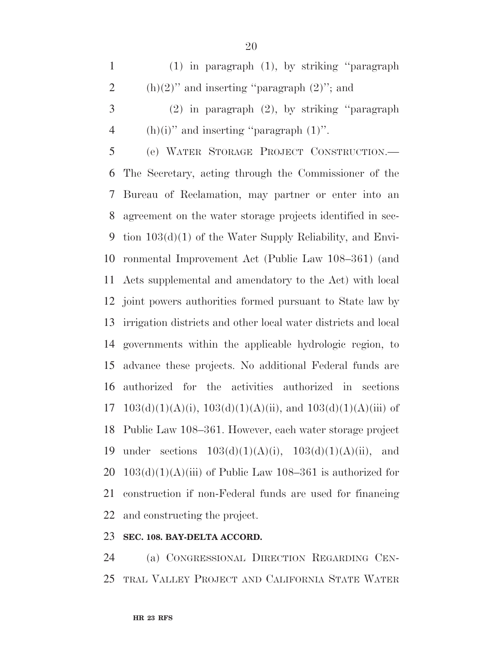(1) in paragraph (1), by striking ''paragraph 2 (h)(2)" and inserting "paragraph  $(2)$ "; and

 (2) in paragraph (2), by striking ''paragraph 4 (h)(i)" and inserting "paragraph  $(1)$ ".

 (e) WATER STORAGE PROJECT CONSTRUCTION.— The Secretary, acting through the Commissioner of the Bureau of Reclamation, may partner or enter into an agreement on the water storage projects identified in sec- tion 103(d)(1) of the Water Supply Reliability, and Envi- ronmental Improvement Act (Public Law 108–361) (and Acts supplemental and amendatory to the Act) with local joint powers authorities formed pursuant to State law by irrigation districts and other local water districts and local governments within the applicable hydrologic region, to advance these projects. No additional Federal funds are authorized for the activities authorized in sections 17 103(d)(1)(A)(i),  $103(d)(1)(A)(ii)$ , and  $103(d)(1)(A)(iii)$  of Public Law 108–361. However, each water storage project 19 under sections  $103(d)(1)(A)(i)$ ,  $103(d)(1)(A)(ii)$ , and  $103(d)(1)(A)(iii)$  of Public Law 108–361 is authorized for construction if non-Federal funds are used for financing and constructing the project.

### **SEC. 108. BAY-DELTA ACCORD.**

 (a) CONGRESSIONAL DIRECTION REGARDING CEN-TRAL VALLEY PROJECT AND CALIFORNIA STATE WATER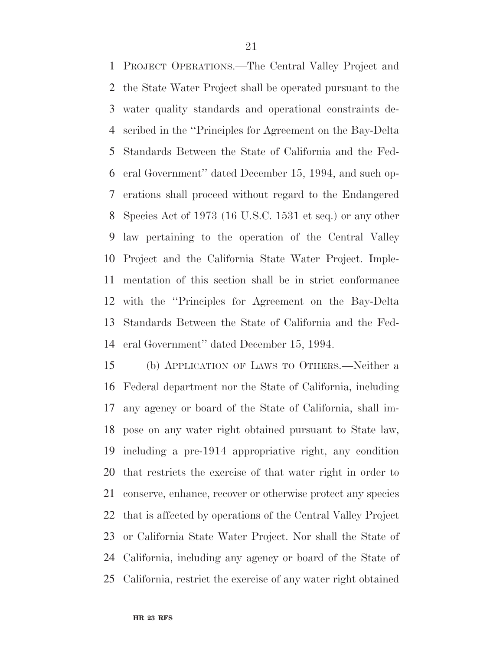PROJECT OPERATIONS.—The Central Valley Project and the State Water Project shall be operated pursuant to the water quality standards and operational constraints de- scribed in the ''Principles for Agreement on the Bay-Delta Standards Between the State of California and the Fed- eral Government'' dated December 15, 1994, and such op- erations shall proceed without regard to the Endangered Species Act of 1973 (16 U.S.C. 1531 et seq.) or any other law pertaining to the operation of the Central Valley Project and the California State Water Project. Imple- mentation of this section shall be in strict conformance with the ''Principles for Agreement on the Bay-Delta Standards Between the State of California and the Fed-eral Government'' dated December 15, 1994.

 (b) APPLICATION OF LAWS TO OTHERS.—Neither a Federal department nor the State of California, including any agency or board of the State of California, shall im- pose on any water right obtained pursuant to State law, including a pre-1914 appropriative right, any condition that restricts the exercise of that water right in order to conserve, enhance, recover or otherwise protect any species that is affected by operations of the Central Valley Project or California State Water Project. Nor shall the State of California, including any agency or board of the State of California, restrict the exercise of any water right obtained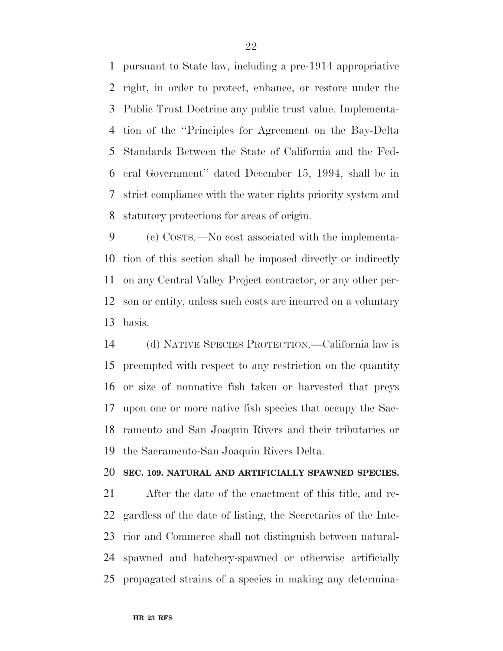pursuant to State law, including a pre-1914 appropriative right, in order to protect, enhance, or restore under the Public Trust Doctrine any public trust value. Implementa- tion of the ''Principles for Agreement on the Bay-Delta Standards Between the State of California and the Fed- eral Government'' dated December 15, 1994, shall be in strict compliance with the water rights priority system and statutory protections for areas of origin.

 (c) COSTS.—No cost associated with the implementa- tion of this section shall be imposed directly or indirectly on any Central Valley Project contractor, or any other per- son or entity, unless such costs are incurred on a voluntary basis.

 (d) NATIVE SPECIES PROTECTION.—California law is preempted with respect to any restriction on the quantity or size of nonnative fish taken or harvested that preys upon one or more native fish species that occupy the Sac- ramento and San Joaquin Rivers and their tributaries or the Sacramento-San Joaquin Rivers Delta.

#### **SEC. 109. NATURAL AND ARTIFICIALLY SPAWNED SPECIES.**

 After the date of the enactment of this title, and re- gardless of the date of listing, the Secretaries of the Inte- rior and Commerce shall not distinguish between natural- spawned and hatchery-spawned or otherwise artificially propagated strains of a species in making any determina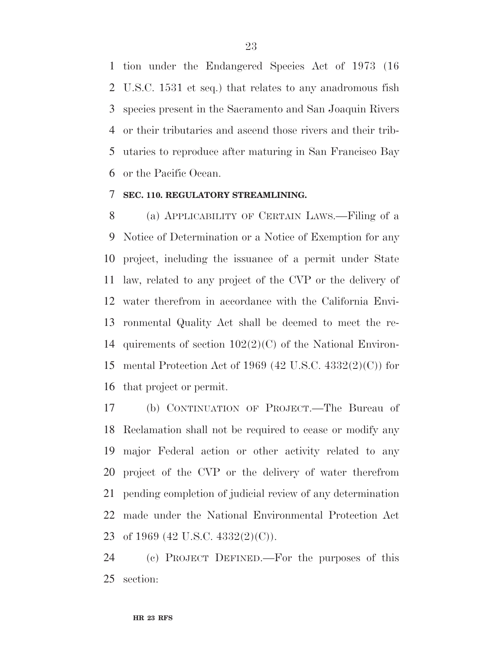tion under the Endangered Species Act of 1973 (16 U.S.C. 1531 et seq.) that relates to any anadromous fish species present in the Sacramento and San Joaquin Rivers or their tributaries and ascend those rivers and their trib- utaries to reproduce after maturing in San Francisco Bay or the Pacific Ocean.

# **SEC. 110. REGULATORY STREAMLINING.**

 (a) APPLICABILITY OF CERTAIN LAWS.—Filing of a Notice of Determination or a Notice of Exemption for any project, including the issuance of a permit under State law, related to any project of the CVP or the delivery of water therefrom in accordance with the California Envi- ronmental Quality Act shall be deemed to meet the re- quirements of section 102(2)(C) of the National Environ- mental Protection Act of 1969 (42 U.S.C. 4332(2)(C)) for that project or permit.

 (b) CONTINUATION OF PROJECT.—The Bureau of Reclamation shall not be required to cease or modify any major Federal action or other activity related to any project of the CVP or the delivery of water therefrom pending completion of judicial review of any determination made under the National Environmental Protection Act of 1969 (42 U.S.C. 4332(2)(C)).

 (c) PROJECT DEFINED.—For the purposes of this section: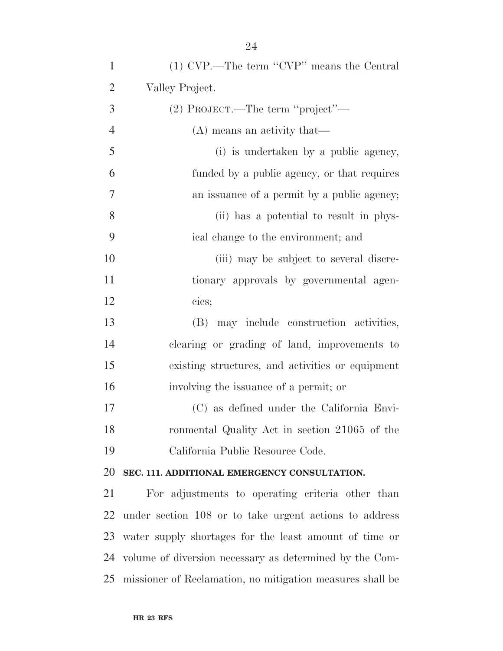| $\mathbf{1}$     | (1) CVP.—The term "CVP" means the Central                 |
|------------------|-----------------------------------------------------------|
| $\overline{2}$   | Valley Project.                                           |
| 3                | (2) PROJECT.—The term "project"—                          |
| $\overline{4}$   | (A) means an activity that—                               |
| 5                | (i) is undertaken by a public agency,                     |
| 6                | funded by a public agency, or that requires               |
| $\boldsymbol{7}$ | an issuance of a permit by a public agency;               |
| 8                | (ii) has a potential to result in phys-                   |
| 9                | ical change to the environment; and                       |
| 10               | (iii) may be subject to several discre-                   |
| 11               | tionary approvals by governmental agen-                   |
| 12               | cies;                                                     |
| 13               | (B) may include construction activities,                  |
| 14               | clearing or grading of land, improvements to              |
| 15               | existing structures, and activities or equipment          |
| 16               | involving the issuance of a permit; or                    |
| 17               | (C) as defined under the California Envi-                 |
| 18               | ronmental Quality Act in section 21065 of the             |
| 19               | California Public Resource Code.                          |
| 20               | SEC. 111. ADDITIONAL EMERGENCY CONSULTATION.              |
| 21               | For adjustments to operating criteria other than          |
| 22               | under section 108 or to take urgent actions to address    |
| 23               | water supply shortages for the least amount of time or    |
| 24               | volume of diversion necessary as determined by the Com-   |
| 25               | missioner of Reclamation, no mitigation measures shall be |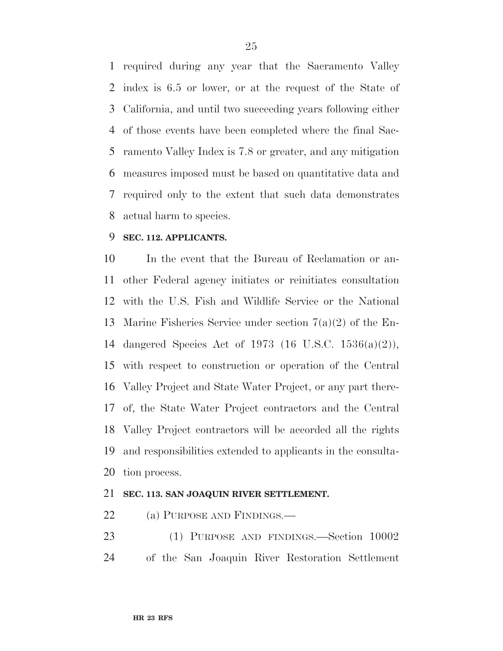required during any year that the Sacramento Valley index is 6.5 or lower, or at the request of the State of California, and until two succeeding years following either of those events have been completed where the final Sac- ramento Valley Index is 7.8 or greater, and any mitigation measures imposed must be based on quantitative data and required only to the extent that such data demonstrates actual harm to species.

# **SEC. 112. APPLICANTS.**

 In the event that the Bureau of Reclamation or an- other Federal agency initiates or reinitiates consultation with the U.S. Fish and Wildlife Service or the National Marine Fisheries Service under section 7(a)(2) of the En- dangered Species Act of 1973 (16 U.S.C. 1536(a)(2)), with respect to construction or operation of the Central Valley Project and State Water Project, or any part there- of, the State Water Project contractors and the Central Valley Project contractors will be accorded all the rights and responsibilities extended to applicants in the consulta-tion process.

# **SEC. 113. SAN JOAQUIN RIVER SETTLEMENT.**

22 (a) PURPOSE AND FINDINGS.—

 (1) PURPOSE AND FINDINGS.—Section 10002 of the San Joaquin River Restoration Settlement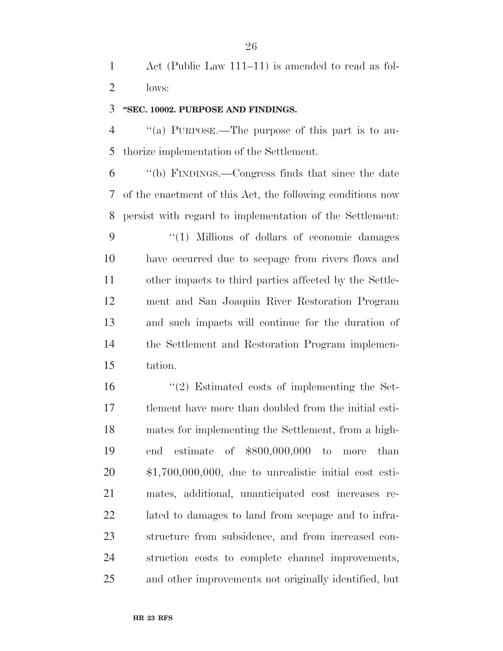Act (Public Law 111–11) is amended to read as fol-lows:

## **''SEC. 10002. PURPOSE AND FINDINGS.**

 ''(a) PURPOSE.—The purpose of this part is to au-thorize implementation of the Settlement.

 ''(b) FINDINGS.—Congress finds that since the date of the enactment of this Act, the following conditions now persist with regard to implementation of the Settlement:

 ''(1) Millions of dollars of economic damages have occurred due to seepage from rivers flows and other impacts to third parties affected by the Settle- ment and San Joaquin River Restoration Program and such impacts will continue for the duration of the Settlement and Restoration Program implemen-tation.

 ''(2) Estimated costs of implementing the Set- tlement have more than doubled from the initial esti- mates for implementing the Settlement, from a high- end estimate of \$800,000,000 to more than \$1,700,000,000, due to unrealistic initial cost esti- mates, additional, unanticipated cost increases re- lated to damages to land from seepage and to infra- structure from subsidence, and from increased con- struction costs to complete channel improvements, and other improvements not originally identified, but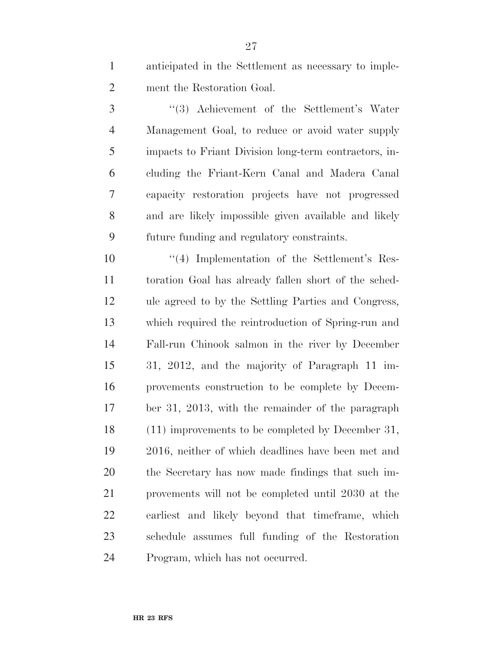anticipated in the Settlement as necessary to imple-ment the Restoration Goal.

 ''(3) Achievement of the Settlement's Water Management Goal, to reduce or avoid water supply impacts to Friant Division long-term contractors, in- cluding the Friant-Kern Canal and Madera Canal capacity restoration projects have not progressed and are likely impossible given available and likely future funding and regulatory constraints.

10 ''(4) Implementation of the Settlement's Res- toration Goal has already fallen short of the sched- ule agreed to by the Settling Parties and Congress, which required the reintroduction of Spring-run and Fall-run Chinook salmon in the river by December 31, 2012, and the majority of Paragraph 11 im- provements construction to be complete by Decem- ber 31, 2013, with the remainder of the paragraph (11) improvements to be completed by December 31, 2016, neither of which deadlines have been met and the Secretary has now made findings that such im- provements will not be completed until 2030 at the earliest and likely beyond that timeframe, which schedule assumes full funding of the Restoration Program, which has not occurred.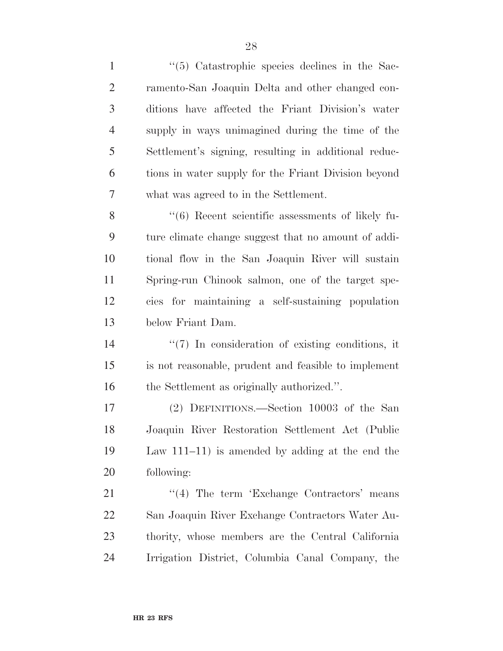1 ''(5) Catastrophic species declines in the Sac- ramento-San Joaquin Delta and other changed con- ditions have affected the Friant Division's water supply in ways unimagined during the time of the Settlement's signing, resulting in additional reduc- tions in water supply for the Friant Division beyond what was agreed to in the Settlement. 8 "(6) Recent scientific assessments of likely fu- ture climate change suggest that no amount of addi- tional flow in the San Joaquin River will sustain Spring-run Chinook salmon, one of the target spe- cies for maintaining a self-sustaining population below Friant Dam.  $\frac{1}{2}$  Th consideration of existing conditions, it is not reasonable, prudent and feasible to implement 16 the Settlement as originally authorized.".

 (2) DEFINITIONS.—Section 10003 of the San Joaquin River Restoration Settlement Act (Public Law 111–11) is amended by adding at the end the following:

21 "'(4) The term 'Exchange Contractors' means San Joaquin River Exchange Contractors Water Au- thority, whose members are the Central California Irrigation District, Columbia Canal Company, the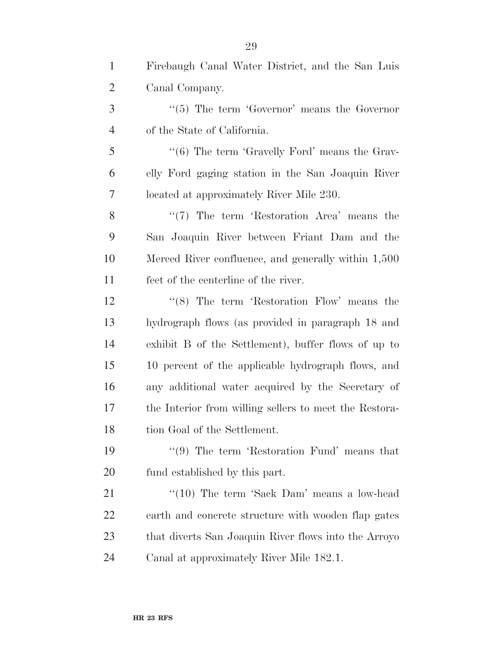Firebaugh Canal Water District, and the San Luis Canal Company.

3 ''(5) The term 'Governor' means the Governor of the State of California.

5 "(6) The term 'Gravelly Ford' means the Grav- elly Ford gaging station in the San Joaquin River located at approximately River Mile 230.

8 ''(7) The term 'Restoration Area' means the San Joaquin River between Friant Dam and the Merced River confluence, and generally within 1,500 feet of the centerline of the river.

12 ''(8) The term 'Restoration Flow' means the hydrograph flows (as provided in paragraph 18 and exhibit B of the Settlement), buffer flows of up to 10 percent of the applicable hydrograph flows, and any additional water acquired by the Secretary of the Interior from willing sellers to meet the Restora-tion Goal of the Settlement.

19 ''(9) The term 'Restoration Fund' means that fund established by this part.

21 ''(10) The term 'Sack Dam' means a low-head earth and concrete structure with wooden flap gates that diverts San Joaquin River flows into the Arroyo Canal at approximately River Mile 182.1.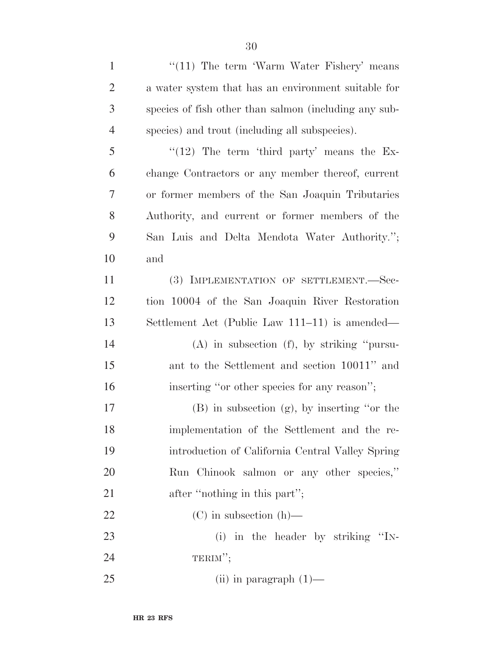| $\mathbf{1}$   | " $(11)$ The term 'Warm Water Fishery' means          |
|----------------|-------------------------------------------------------|
| $\overline{2}$ | a water system that has an environment suitable for   |
| 3              | species of fish other than salmon (including any sub- |
| $\overline{4}$ | species) and trout (including all subspecies).        |
| 5              | $\lq(12)$ The term 'third party' means the Ex-        |
| 6              | change Contractors or any member thereof, current     |
| 7              | or former members of the San Joaquin Tributaries      |
| 8              | Authority, and current or former members of the       |
| 9              | San Luis and Delta Mendota Water Authority.";         |
| 10             | and                                                   |
| 11             | (3) IMPLEMENTATION OF SETTLEMENT.-Sec-                |
| 12             | tion 10004 of the San Joaquin River Restoration       |
| 13             | Settlement Act (Public Law 111–11) is amended—        |
| 14             | $(A)$ in subsection $(f)$ , by striking "pursu-       |
| 15             | ant to the Settlement and section 10011" and          |
| 16             | inserting "or other species for any reason";          |
| 17             | $(B)$ in subsection $(g)$ , by inserting "or the      |
| 18             | implementation of the Settlement and the re-          |
| 19             | introduction of California Central Valley Spring      |
| 20             | Run Chinook salmon or any other species,"             |
| 21             | after "nothing in this part";                         |
| 22             | $(C)$ in subsection $(h)$ —                           |
| 23             | (i) in the header by striking "IN-                    |
| 24             | TERIM";                                               |
| 25             | $(ii)$ in paragraph $(1)$ —                           |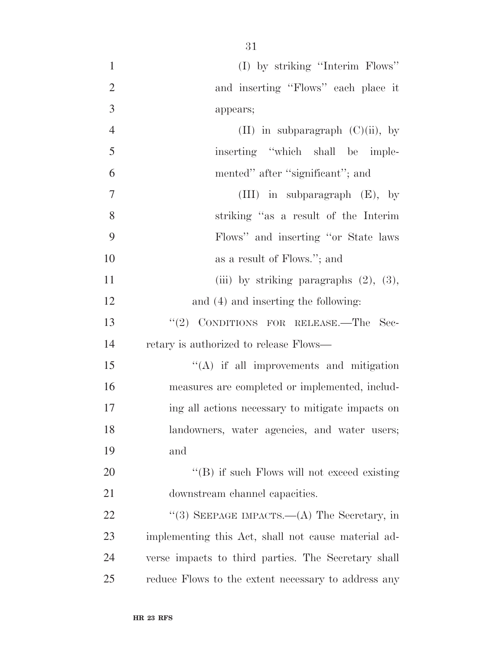| $\mathbf{1}$   | (I) by striking "Interim Flows"                     |
|----------------|-----------------------------------------------------|
| $\mathfrak{2}$ | and inserting "Flows" each place it                 |
| 3              | appears;                                            |
| $\overline{4}$ | (II) in subparagraph $(C)(ii)$ , by                 |
| 5              | inserting "which shall be imple-                    |
| 6              | mented" after "significant"; and                    |
| $\overline{7}$ | (III) in subparagraph $(E)$ , by                    |
| 8              | striking "as a result of the Interim                |
| 9              | Flows" and inserting "or State laws"                |
| 10             | as a result of Flows."; and                         |
| 11             | (iii) by striking paragraphs $(2)$ , $(3)$ ,        |
| 12             | and (4) and inserting the following:                |
| 13             | "(2) CONDITIONS FOR RELEASE.—The Sec-               |
| 14             | retary is authorized to release Flows—              |
| 15             | $\lq\lq$ if all improvements and mitigation         |
| 16             | measures are completed or implemented, includ-      |
| 17             | ing all actions necessary to mitigate impacts on    |
| 18             | landowners, water agencies, and water users;        |
| 19             | and                                                 |
| 20             | $\lq\lq (B)$ if such Flows will not exceed existing |
| 21             | downstream channel capacities.                      |
| 22             | "(3) SEEPAGE IMPACTS.—(A) The Secretary, in         |
| 23             | implementing this Act, shall not cause material ad- |
| 24             | verse impacts to third parties. The Secretary shall |
| 25             | reduce Flows to the extent necessary to address any |
|                |                                                     |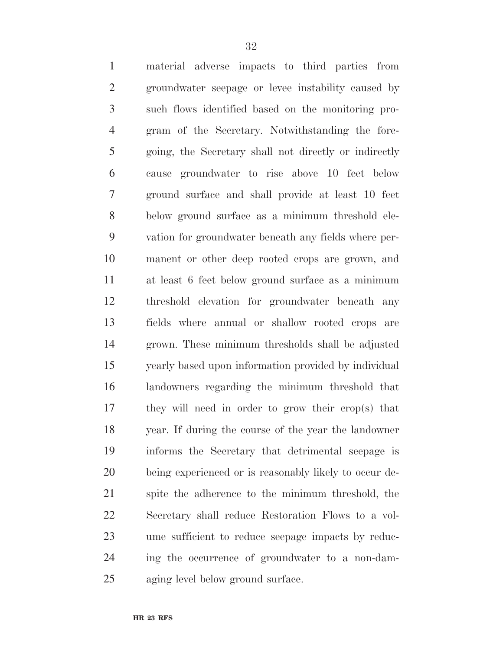material adverse impacts to third parties from groundwater seepage or levee instability caused by such flows identified based on the monitoring pro- gram of the Secretary. Notwithstanding the fore- going, the Secretary shall not directly or indirectly cause groundwater to rise above 10 feet below ground surface and shall provide at least 10 feet below ground surface as a minimum threshold ele- vation for groundwater beneath any fields where per- manent or other deep rooted crops are grown, and at least 6 feet below ground surface as a minimum threshold elevation for groundwater beneath any fields where annual or shallow rooted crops are grown. These minimum thresholds shall be adjusted yearly based upon information provided by individual landowners regarding the minimum threshold that they will need in order to grow their crop(s) that year. If during the course of the year the landowner informs the Secretary that detrimental seepage is being experienced or is reasonably likely to occur de- spite the adherence to the minimum threshold, the Secretary shall reduce Restoration Flows to a vol- ume sufficient to reduce seepage impacts by reduc- ing the occurrence of groundwater to a non-dam-aging level below ground surface.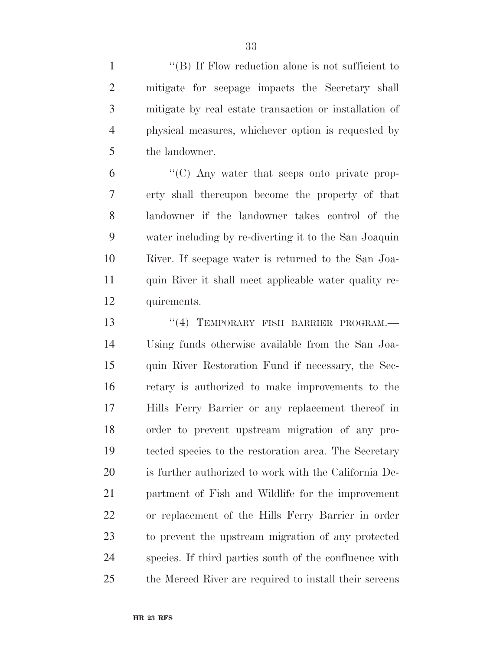1 ''(B) If Flow reduction alone is not sufficient to mitigate for seepage impacts the Secretary shall mitigate by real estate transaction or installation of physical measures, whichever option is requested by the landowner.

 ''(C) Any water that seeps onto private prop- erty shall thereupon become the property of that landowner if the landowner takes control of the water including by re-diverting it to the San Joaquin River. If seepage water is returned to the San Joa- quin River it shall meet applicable water quality re-quirements.

13 "(4) TEMPORARY FISH BARRIER PROGRAM. Using funds otherwise available from the San Joa- quin River Restoration Fund if necessary, the Sec- retary is authorized to make improvements to the Hills Ferry Barrier or any replacement thereof in order to prevent upstream migration of any pro- tected species to the restoration area. The Secretary is further authorized to work with the California De- partment of Fish and Wildlife for the improvement or replacement of the Hills Ferry Barrier in order to prevent the upstream migration of any protected species. If third parties south of the confluence with the Merced River are required to install their screens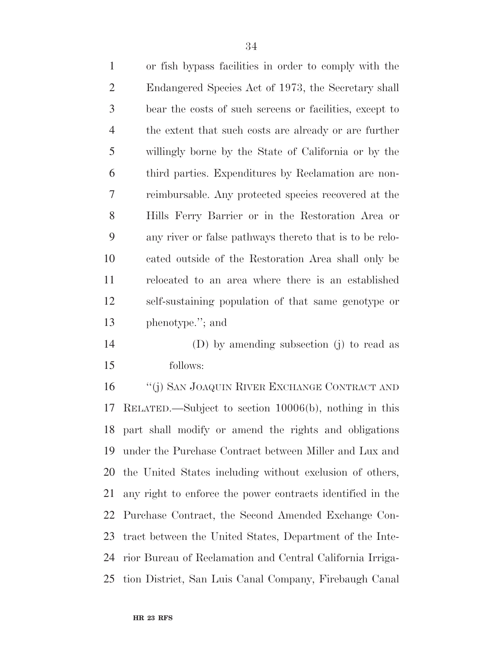| $\mathbf{1}$   | or fish bypass facilities in order to comply with the   |
|----------------|---------------------------------------------------------|
| $\overline{2}$ | Endangered Species Act of 1973, the Secretary shall     |
| 3              | bear the costs of such screens or facilities, except to |
| $\overline{4}$ | the extent that such costs are already or are further   |
| 5              | willingly borne by the State of California or by the    |
| 6              | third parties. Expenditures by Reclamation are non-     |
| 7              | reimbursable. Any protected species recovered at the    |
| 8              | Hills Ferry Barrier or in the Restoration Area or       |
| 9              | any river or false pathways thereto that is to be relo- |
| 10             | cated outside of the Restoration Area shall only be     |
| 11             | relocated to an area where there is an established      |
| 12             | self-sustaining population of that same genotype or     |
| 13             | phenotype."; and                                        |

 (D) by amending subsection (j) to read as follows:

 ''(j) SAN JOAQUIN RIVER EXCHANGE CONTRACT AND RELATED.—Subject to section 10006(b), nothing in this part shall modify or amend the rights and obligations under the Purchase Contract between Miller and Lux and the United States including without exclusion of others, any right to enforce the power contracts identified in the Purchase Contract, the Second Amended Exchange Con- tract between the United States, Department of the Inte- rior Bureau of Reclamation and Central California Irriga-tion District, San Luis Canal Company, Firebaugh Canal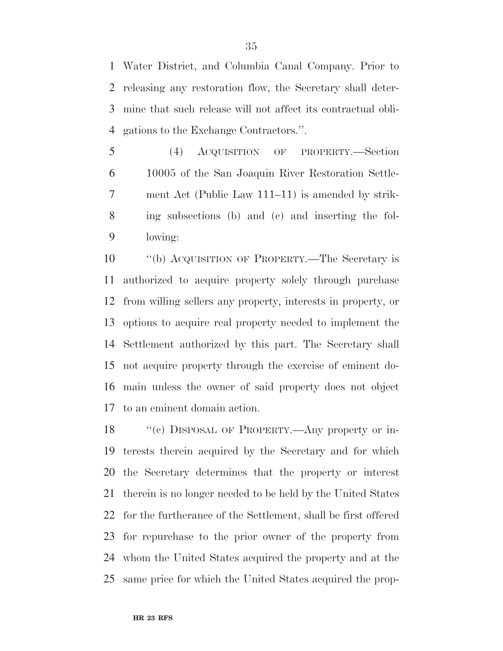Water District, and Columbia Canal Company. Prior to releasing any restoration flow, the Secretary shall deter- mine that such release will not affect its contractual obli-gations to the Exchange Contractors.''.

 (4) ACQUISITION OF PROPERTY.—Section 10005 of the San Joaquin River Restoration Settle- ment Act (Public Law 111–11) is amended by strik- ing subsections (b) and (c) and inserting the fol-lowing:

 ''(b) ACQUISITION OF PROPERTY.—The Secretary is authorized to acquire property solely through purchase from willing sellers any property, interests in property, or options to acquire real property needed to implement the Settlement authorized by this part. The Secretary shall not acquire property through the exercise of eminent do- main unless the owner of said property does not object to an eminent domain action.

18 "(c) DISPOSAL OF PROPERTY.—Any property or in- terests therein acquired by the Secretary and for which the Secretary determines that the property or interest therein is no longer needed to be held by the United States for the furtherance of the Settlement, shall be first offered for repurchase to the prior owner of the property from whom the United States acquired the property and at the same price for which the United States acquired the prop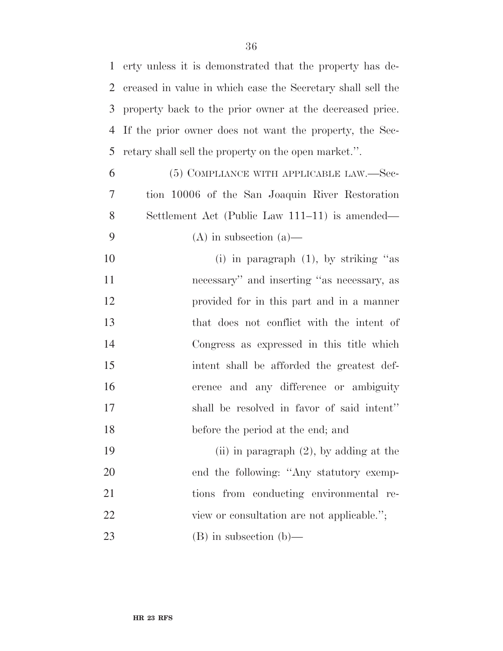erty unless it is demonstrated that the property has de- creased in value in which case the Secretary shall sell the property back to the prior owner at the decreased price. If the prior owner does not want the property, the Sec-retary shall sell the property on the open market.''.

 (5) COMPLIANCE WITH APPLICABLE LAW.—Sec- tion 10006 of the San Joaquin River Restoration Settlement Act (Public Law 111–11) is amended— 9 (A) in subsection (a)

10 (i) in paragraph (1), by striking "as necessary'' and inserting ''as necessary, as provided for in this part and in a manner that does not conflict with the intent of Congress as expressed in this title which intent shall be afforded the greatest def- erence and any difference or ambiguity shall be resolved in favor of said intent'' before the period at the end; and

 (ii) in paragraph (2), by adding at the 20 end the following: "Any statutory exemp- tions from conducting environmental re-22 view or consultation are not applicable."; (B) in subsection (b)—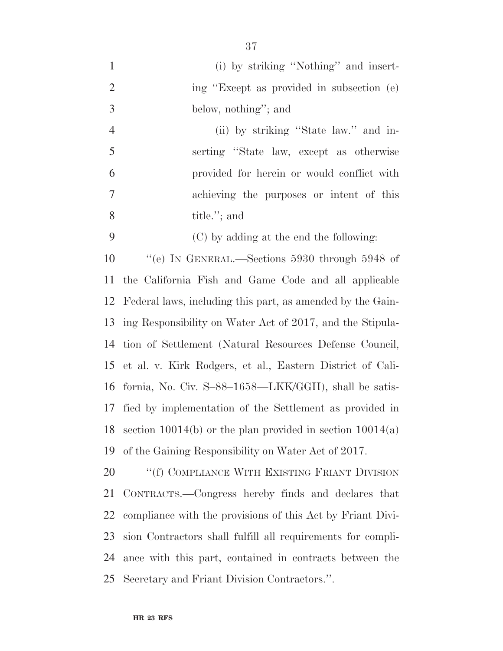| $\mathbf{1}$   | (i) by striking "Nothing" and insert-                         |
|----------------|---------------------------------------------------------------|
| $\overline{2}$ | ing "Except as provided in subsection (e)                     |
| 3              | below, nothing"; and                                          |
| $\overline{4}$ | (ii) by striking "State law." and in-                         |
| 5              | serting "State law, except as otherwise                       |
| 6              | provided for herein or would conflict with                    |
| $\overline{7}$ | achieving the purposes or intent of this                      |
| 8              | title."; and                                                  |
| 9              | (C) by adding at the end the following:                       |
| 10             | "(e) IN GENERAL.—Sections 5930 through 5948 of                |
| 11             | the California Fish and Game Code and all applicable          |
|                | 12 Federal laws, including this part, as amended by the Gain- |
| 13             | ing Responsibility on Water Act of 2017, and the Stipula-     |
| 14             | tion of Settlement (Natural Resources Defense Council,        |
| 15             | et al. v. Kirk Rodgers, et al., Eastern District of Cali-     |
| 16             | fornia, No. Civ. S-88-1658—LKK/GGH), shall be satis-          |
| 17             | fied by implementation of the Settlement as provided in       |
| 18             | section $10014(b)$ or the plan provided in section $10014(a)$ |
| 19             | of the Gaining Responsibility on Water Act of 2017.           |
| 20             | "(f) COMPLIANCE WITH EXISTING FRIANT DIVISION                 |
| 21             | CONTRACTS.—Congress hereby finds and declares that            |
| 22             | compliance with the provisions of this Act by Friant Divi-    |
| 23             | sion Contractors shall fulfill all requirements for compli-   |
| 24             | ance with this part, contained in contracts between the       |

Secretary and Friant Division Contractors.''.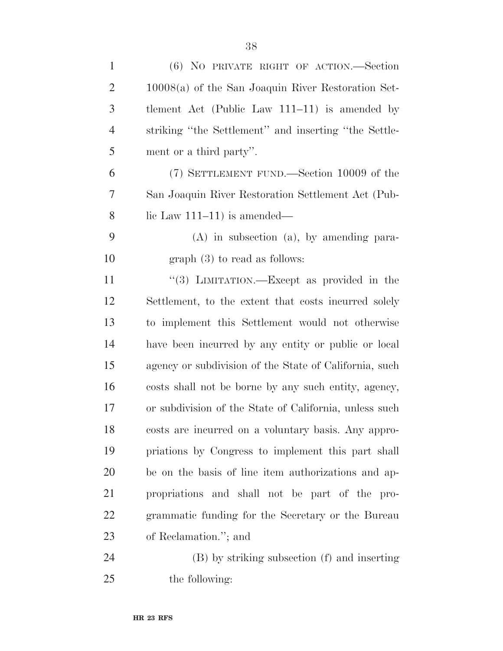| $\mathbf{1}$   | (6) NO PRIVATE RIGHT OF ACTION.—Section                |
|----------------|--------------------------------------------------------|
| $\overline{2}$ | $10008(a)$ of the San Joaquin River Restoration Set-   |
| $\mathfrak{Z}$ | tlement Act (Public Law $111-11$ ) is amended by       |
| $\overline{4}$ | striking "the Settlement" and inserting "the Settle-   |
| 5              | ment or a third party".                                |
| 6              | (7) SETTLEMENT FUND.—Section 10009 of the              |
| 7              | San Joaquin River Restoration Settlement Act (Pub-     |
| 8              | lic Law $111-11$ ) is amended—                         |
| 9              | $(A)$ in subsection $(a)$ , by amending para-          |
| 10             | $graph(3)$ to read as follows:                         |
| 11             | "(3) LIMITATION.—Except as provided in the             |
| 12             | Settlement, to the extent that costs incurred solely   |
| 13             | to implement this Settlement would not otherwise       |
| 14             | have been incurred by any entity or public or local    |
| 15             | agency or subdivision of the State of California, such |
| 16             | costs shall not be borne by any such entity, agency,   |
| 17             | or subdivision of the State of California, unless such |
| 18             | costs are incurred on a voluntary basis. Any appro-    |
| 19             | priations by Congress to implement this part shall     |
| 20             | be on the basis of line item authorizations and ap-    |
| 21             | propriations and shall not be part of the pro-         |
| 22             | grammatic funding for the Secretary or the Bureau      |
| 23             | of Reclamation."; and                                  |
| 24             | (B) by striking subsection (f) and inserting           |
| 25             | the following:                                         |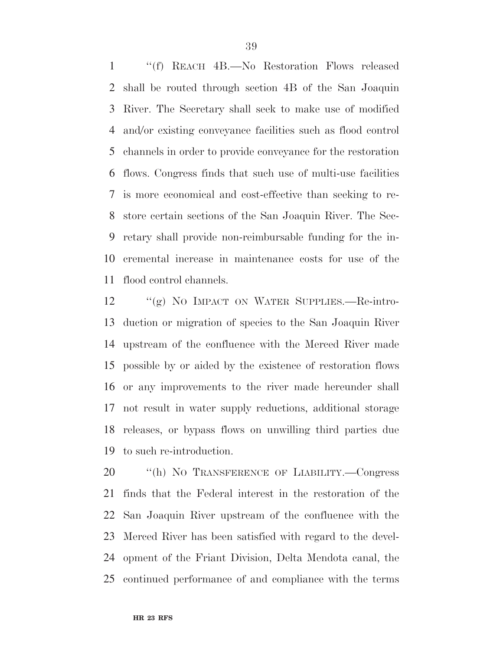''(f) REACH 4B.—No Restoration Flows released shall be routed through section 4B of the San Joaquin River. The Secretary shall seek to make use of modified and/or existing conveyance facilities such as flood control channels in order to provide conveyance for the restoration flows. Congress finds that such use of multi-use facilities is more economical and cost-effective than seeking to re- store certain sections of the San Joaquin River. The Sec- retary shall provide non-reimbursable funding for the in- cremental increase in maintenance costs for use of the flood control channels.

 ''(g) NO IMPACT ON WATER SUPPLIES.—Re-intro- duction or migration of species to the San Joaquin River upstream of the confluence with the Merced River made possible by or aided by the existence of restoration flows or any improvements to the river made hereunder shall not result in water supply reductions, additional storage releases, or bypass flows on unwilling third parties due to such re-introduction.

 ''(h) NO TRANSFERENCE OF LIABILITY.—Congress finds that the Federal interest in the restoration of the San Joaquin River upstream of the confluence with the Merced River has been satisfied with regard to the devel- opment of the Friant Division, Delta Mendota canal, the continued performance of and compliance with the terms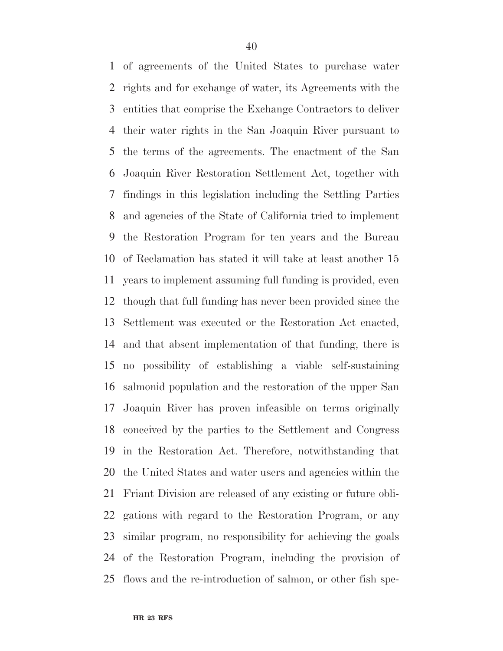of agreements of the United States to purchase water rights and for exchange of water, its Agreements with the entities that comprise the Exchange Contractors to deliver their water rights in the San Joaquin River pursuant to the terms of the agreements. The enactment of the San Joaquin River Restoration Settlement Act, together with findings in this legislation including the Settling Parties and agencies of the State of California tried to implement the Restoration Program for ten years and the Bureau of Reclamation has stated it will take at least another 15 years to implement assuming full funding is provided, even though that full funding has never been provided since the Settlement was executed or the Restoration Act enacted, and that absent implementation of that funding, there is no possibility of establishing a viable self-sustaining salmonid population and the restoration of the upper San Joaquin River has proven infeasible on terms originally conceived by the parties to the Settlement and Congress in the Restoration Act. Therefore, notwithstanding that the United States and water users and agencies within the Friant Division are released of any existing or future obli- gations with regard to the Restoration Program, or any similar program, no responsibility for achieving the goals of the Restoration Program, including the provision of flows and the re-introduction of salmon, or other fish spe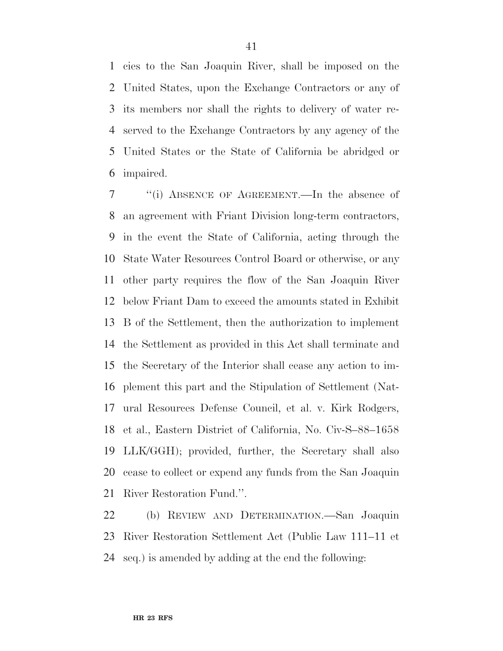cies to the San Joaquin River, shall be imposed on the United States, upon the Exchange Contractors or any of its members nor shall the rights to delivery of water re- served to the Exchange Contractors by any agency of the United States or the State of California be abridged or impaired.

 ''(i) ABSENCE OF AGREEMENT.—In the absence of an agreement with Friant Division long-term contractors, in the event the State of California, acting through the State Water Resources Control Board or otherwise, or any other party requires the flow of the San Joaquin River below Friant Dam to exceed the amounts stated in Exhibit B of the Settlement, then the authorization to implement the Settlement as provided in this Act shall terminate and the Secretary of the Interior shall cease any action to im- plement this part and the Stipulation of Settlement (Nat- ural Resources Defense Council, et al. v. Kirk Rodgers, et al., Eastern District of California, No. Civ-S–88–1658 LLK/GGH); provided, further, the Secretary shall also cease to collect or expend any funds from the San Joaquin River Restoration Fund.''.

 (b) REVIEW AND DETERMINATION.—San Joaquin River Restoration Settlement Act (Public Law 111–11 et seq.) is amended by adding at the end the following: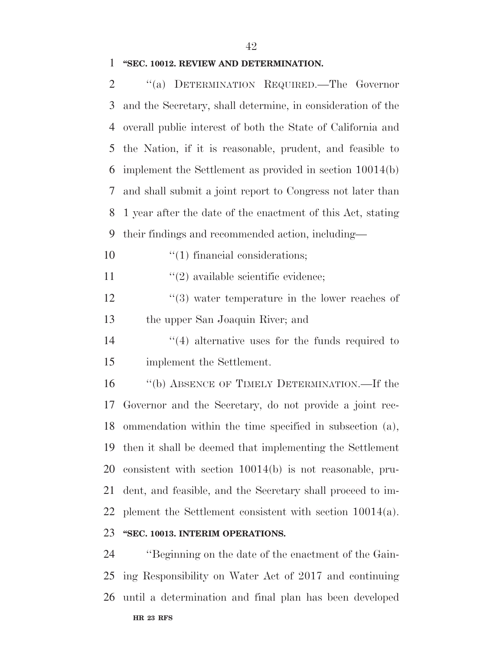### **''SEC. 10012. REVIEW AND DETERMINATION.**

| $\overline{2}$ | "(a) DETERMINATION REQUIRED.—The Governor                   |
|----------------|-------------------------------------------------------------|
| 3              | and the Secretary, shall determine, in consideration of the |
| $\overline{4}$ | overall public interest of both the State of California and |
| 5              | the Nation, if it is reasonable, prudent, and feasible to   |
| 6              | implement the Settlement as provided in section 10014(b)    |
| 7              | and shall submit a joint report to Congress not later than  |
| 8              | 1 year after the date of the enactment of this Act, stating |
| 9              | their findings and recommended action, including—           |
| 10             | $\lq(1)$ financial considerations;                          |
| 11             | $\lq(2)$ available scientific evidence;                     |
| 12             | $(3)$ water temperature in the lower reaches of             |
| 13             | the upper San Joaquin River; and                            |
| 14             | $\cdot$ (4) alternative uses for the funds required to      |
| 15             | implement the Settlement.                                   |
| 16             | "(b) ABSENCE OF TIMELY DETERMINATION.—If the                |
| 17             | Governor and the Secretary, do not provide a joint rec-     |
| 18             | ommendation within the time specified in subsection (a),    |
|                | 19 then it shall be deemed that implementing the Settlement |
| 20             | consistent with section 10014(b) is not reasonable, pru-    |
| 21             | dent, and feasible, and the Secretary shall proceed to im-  |
| 22             | plement the Settlement consistent with section $10014(a)$ . |
| 23             | "SEC. 10013. INTERIM OPERATIONS.                            |
| 24             | "Beginning on the date of the enactment of the Gain-        |

**HR 23 RFS** eginning on the date of the enactment of the Ga ing Responsibility on Water Act of 2017 and continuing until a determination and final plan has been developed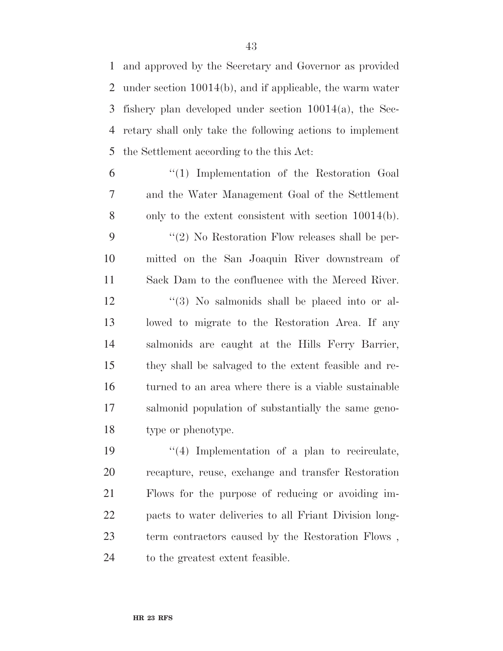and approved by the Secretary and Governor as provided under section 10014(b), and if applicable, the warm water fishery plan developed under section 10014(a), the Sec- retary shall only take the following actions to implement the Settlement according to the this Act:

 ''(1) Implementation of the Restoration Goal and the Water Management Goal of the Settlement only to the extent consistent with section 10014(b). 9 ''(2) No Restoration Flow releases shall be per- mitted on the San Joaquin River downstream of Sack Dam to the confluence with the Merced River. 12 ''(3) No salmonids shall be placed into or al- lowed to migrate to the Restoration Area. If any salmonids are caught at the Hills Ferry Barrier, they shall be salvaged to the extent feasible and re- turned to an area where there is a viable sustainable salmonid population of substantially the same geno-type or phenotype.

 $\frac{1}{4}$  Implementation of a plan to recirculate, recapture, reuse, exchange and transfer Restoration Flows for the purpose of reducing or avoiding im- pacts to water deliveries to all Friant Division long- term contractors caused by the Restoration Flows , to the greatest extent feasible.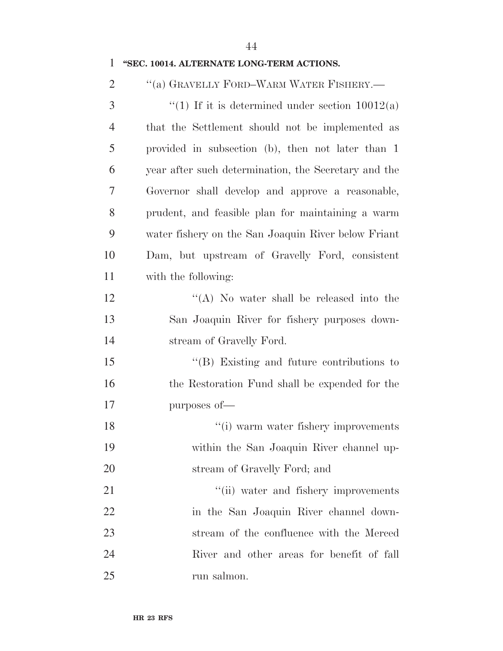| 1              | "SEC. 10014. ALTERNATE LONG-TERM ACTIONS.            |
|----------------|------------------------------------------------------|
| $\overline{2}$ | "(a) GRAVELLY FORD-WARM WATER FISHERY.—              |
| 3              | "(1) If it is determined under section $10012(a)$    |
| $\overline{4}$ | that the Settlement should not be implemented as     |
| 5              | provided in subsection (b), then not later than 1    |
| 6              | year after such determination, the Secretary and the |
| 7              | Governor shall develop and approve a reasonable,     |
| 8              | prudent, and feasible plan for maintaining a warm    |
| 9              | water fishery on the San Joaquin River below Friant  |
| 10             | Dam, but upstream of Gravelly Ford, consistent       |
| 11             | with the following:                                  |
| 12             | "(A) No water shall be released into the             |
| 13             | San Joaquin River for fishery purposes down-         |
| 14             | stream of Gravelly Ford.                             |
| 15             | $\lq\lq$ (B) Existing and future contributions to    |
| 16             | the Restoration Fund shall be expended for the       |
| 17             | purposes of-                                         |
| 18             | "(i) warm water fishery improvements                 |
| 19             | within the San Joaquin River channel up-             |
| 20             | stream of Gravelly Ford; and                         |
| 21             | "(ii) water and fishery improvements                 |
| 22             | in the San Joaquin River channel down-               |
| 23             | stream of the confluence with the Merced             |
| 24             | River and other areas for benefit of fall            |
| 25             | run salmon.                                          |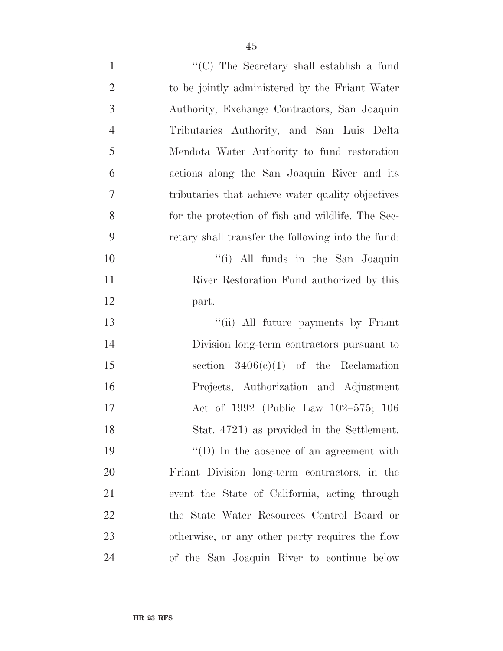| $\mathbf{1}$   | "(C) The Secretary shall establish a fund          |
|----------------|----------------------------------------------------|
| $\overline{2}$ | to be jointly administered by the Friant Water     |
| 3              | Authority, Exchange Contractors, San Joaquin       |
| $\overline{4}$ | Tributaries Authority, and San Luis Delta          |
| 5              | Mendota Water Authority to fund restoration        |
| 6              | actions along the San Joaquin River and its        |
| $\tau$         | tributaries that achieve water quality objectives  |
| 8              | for the protection of fish and wildlife. The Sec-  |
| 9              | retary shall transfer the following into the fund: |
| 10             | "(i) All funds in the San Joaquin                  |
| 11             | River Restoration Fund authorized by this          |
| 12             | part.                                              |
| 13             | "(ii) All future payments by Friant                |
| 14             | Division long-term contractors pursuant to         |
| 15             | section $3406(c)(1)$ of the Reclamation            |
| 16             | Projects, Authorization and Adjustment             |
| 17             | Act of 1992 (Public Law 102-575; 106               |
| 18             | Stat. 4721) as provided in the Settlement.         |
| 19             | $\lq\lq$ (D) In the absence of an agreement with   |
| 20             | Friant Division long-term contractors, in the      |
| 21             | event the State of California, acting through      |
| 22             | the State Water Resources Control Board or         |
| 23             | otherwise, or any other party requires the flow    |
| 24             | of the San Joaquin River to continue below         |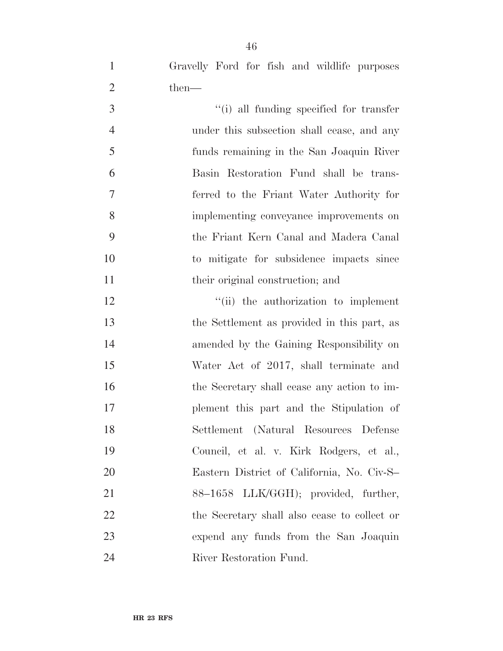- Gravelly Ford for fish and wildlife purposes 2 then— 3  $\frac{1}{10}$  all funding specified for transfer under this subsection shall cease, and any funds remaining in the San Joaquin River Basin Restoration Fund shall be trans-ferred to the Friant Water Authority for
- implementing conveyance improvements on the Friant Kern Canal and Madera Canal to mitigate for subsidence impacts since 11 their original construction; and

 $\frac{1}{10}$  the authorization to implement the Settlement as provided in this part, as amended by the Gaining Responsibility on Water Act of 2017, shall terminate and 16 the Secretary shall cease any action to im- plement this part and the Stipulation of Settlement (Natural Resources Defense Council, et al. v. Kirk Rodgers, et al., Eastern District of California, No. Civ-S– 21 88–1658 LLK/GGH); provided, further, the Secretary shall also cease to collect or expend any funds from the San Joaquin River Restoration Fund.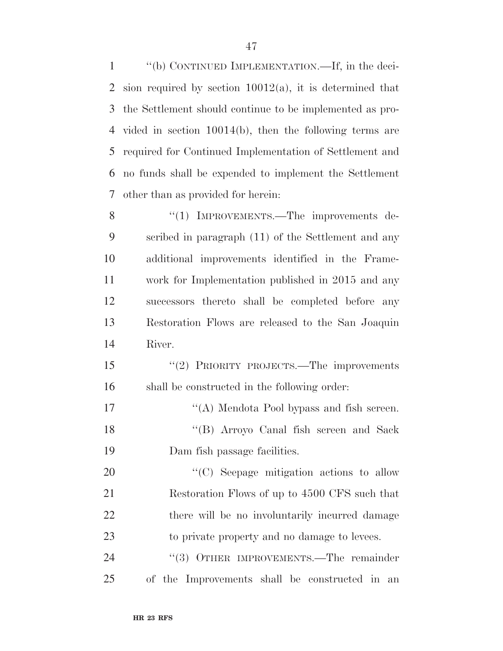''(b) CONTINUED IMPLEMENTATION.—If, in the deci-2 sion required by section  $10012(a)$ , it is determined that the Settlement should continue to be implemented as pro- vided in section 10014(b), then the following terms are required for Continued Implementation of Settlement and no funds shall be expended to implement the Settlement other than as provided for herein:

8 "(1) IMPROVEMENTS.—The improvements de- scribed in paragraph (11) of the Settlement and any additional improvements identified in the Frame- work for Implementation published in 2015 and any successors thereto shall be completed before any Restoration Flows are released to the San Joaquin River.

 ''(2) PRIORITY PROJECTS.—The improvements shall be constructed in the following order:

17 ''(A) Mendota Pool bypass and fish screen. ''(B) Arroyo Canal fish screen and Sack Dam fish passage facilities.

 $\cdot$  (C) Seepage mitigation actions to allow Restoration Flows of up to 4500 CFS such that 22 there will be no involuntarily incurred damage to private property and no damage to levees.

24 "(3) OTHER IMPROVEMENTS.—The remainder of the Improvements shall be constructed in an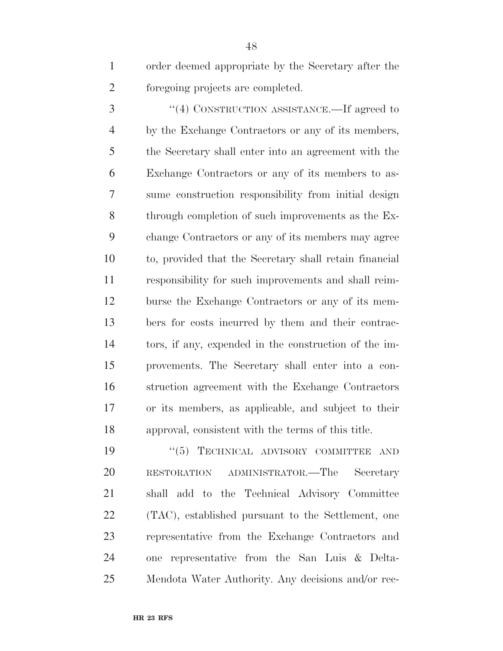order deemed appropriate by the Secretary after the foregoing projects are completed.

 ''(4) CONSTRUCTION ASSISTANCE.—If agreed to by the Exchange Contractors or any of its members, the Secretary shall enter into an agreement with the Exchange Contractors or any of its members to as- sume construction responsibility from initial design through completion of such improvements as the Ex- change Contractors or any of its members may agree to, provided that the Secretary shall retain financial responsibility for such improvements and shall reim- burse the Exchange Contractors or any of its mem- bers for costs incurred by them and their contrac- tors, if any, expended in the construction of the im- provements. The Secretary shall enter into a con- struction agreement with the Exchange Contractors or its members, as applicable, and subject to their approval, consistent with the terms of this title.

 $(5)$  TECHNICAL ADVISORY COMMITTEE AND RESTORATION ADMINISTRATOR.—The Secretary shall add to the Technical Advisory Committee (TAC), established pursuant to the Settlement, one representative from the Exchange Contractors and one representative from the San Luis & Delta-Mendota Water Authority. Any decisions and/or rec-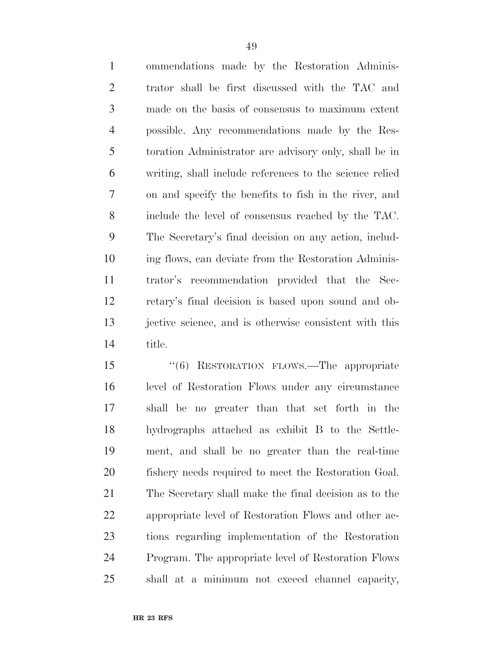ommendations made by the Restoration Adminis- trator shall be first discussed with the TAC and made on the basis of consensus to maximum extent possible. Any recommendations made by the Res- toration Administrator are advisory only, shall be in writing, shall include references to the science relied on and specify the benefits to fish in the river, and include the level of consensus reached by the TAC. The Secretary's final decision on any action, includ- ing flows, can deviate from the Restoration Adminis- trator's recommendation provided that the Sec- retary's final decision is based upon sound and ob- jective science, and is otherwise consistent with this title.

 ''(6) RESTORATION FLOWS.—The appropriate level of Restoration Flows under any circumstance shall be no greater than that set forth in the hydrographs attached as exhibit B to the Settle- ment, and shall be no greater than the real-time fishery needs required to meet the Restoration Goal. The Secretary shall make the final decision as to the appropriate level of Restoration Flows and other ac- tions regarding implementation of the Restoration Program. The appropriate level of Restoration Flows shall at a minimum not exceed channel capacity,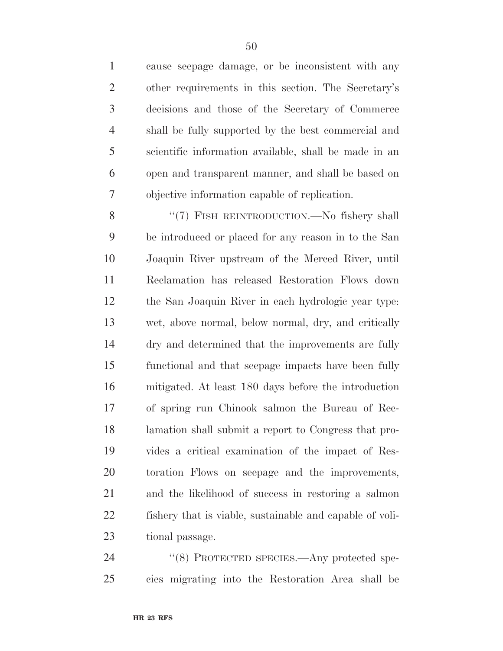cause seepage damage, or be inconsistent with any other requirements in this section. The Secretary's decisions and those of the Secretary of Commerce shall be fully supported by the best commercial and scientific information available, shall be made in an open and transparent manner, and shall be based on objective information capable of replication.

8 "(7) FISH REINTRODUCTION.—No fishery shall be introduced or placed for any reason in to the San Joaquin River upstream of the Merced River, until Reclamation has released Restoration Flows down the San Joaquin River in each hydrologic year type: wet, above normal, below normal, dry, and critically dry and determined that the improvements are fully functional and that seepage impacts have been fully mitigated. At least 180 days before the introduction of spring run Chinook salmon the Bureau of Rec- lamation shall submit a report to Congress that pro- vides a critical examination of the impact of Res- toration Flows on seepage and the improvements, and the likelihood of success in restoring a salmon fishery that is viable, sustainable and capable of voli-tional passage.

24 "(8) PROTECTED SPECIES.—Any protected spe-cies migrating into the Restoration Area shall be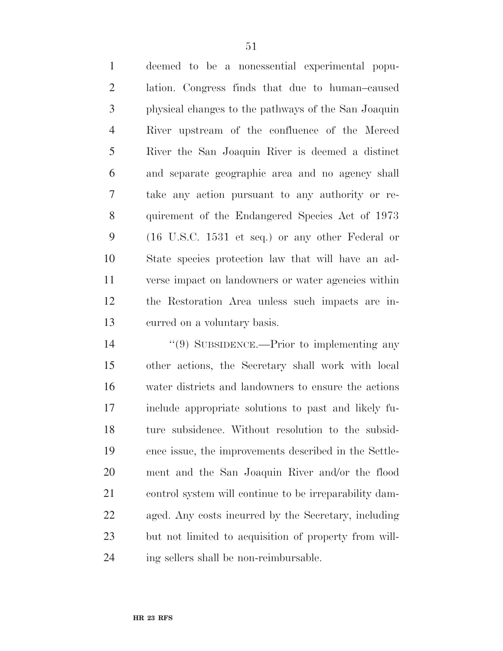deemed to be a nonessential experimental popu- lation. Congress finds that due to human–caused physical changes to the pathways of the San Joaquin River upstream of the confluence of the Merced River the San Joaquin River is deemed a distinct and separate geographic area and no agency shall take any action pursuant to any authority or re- quirement of the Endangered Species Act of 1973 (16 U.S.C. 1531 et seq.) or any other Federal or State species protection law that will have an ad- verse impact on landowners or water agencies within the Restoration Area unless such impacts are in-curred on a voluntary basis.

 $(9)$  SUBSIDENCE.—Prior to implementing any other actions, the Secretary shall work with local water districts and landowners to ensure the actions include appropriate solutions to past and likely fu- ture subsidence. Without resolution to the subsid- ence issue, the improvements described in the Settle- ment and the San Joaquin River and/or the flood control system will continue to be irreparability dam- aged. Any costs incurred by the Secretary, including but not limited to acquisition of property from will-ing sellers shall be non-reimbursable.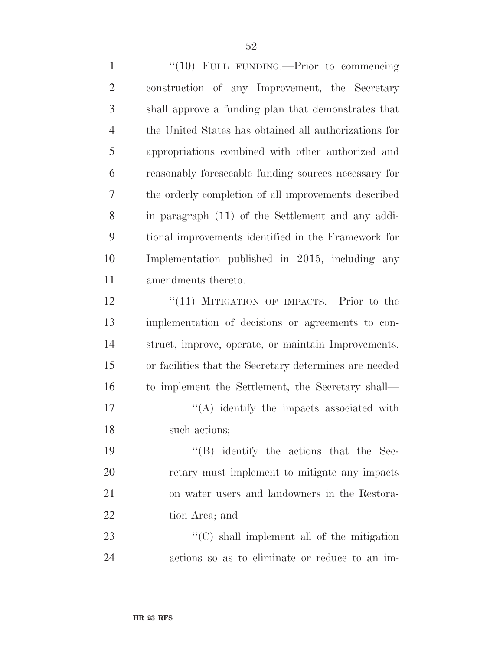1 "(10) FULL FUNDING.—Prior to commencing construction of any Improvement, the Secretary shall approve a funding plan that demonstrates that the United States has obtained all authorizations for appropriations combined with other authorized and reasonably foreseeable funding sources necessary for the orderly completion of all improvements described in paragraph (11) of the Settlement and any addi- tional improvements identified in the Framework for Implementation published in 2015, including any amendments thereto. 12 "(11) MITIGATION OF IMPACTS.—Prior to the implementation of decisions or agreements to con- struct, improve, operate, or maintain Improvements. or facilities that the Secretary determines are needed to implement the Settlement, the Secretary shall—  $'$ (A) identify the impacts associated with such actions; 19 ''(B) identify the actions that the Sec- retary must implement to mitigate any impacts on water users and landowners in the Restora- tion Area; and 23 ''(C) shall implement all of the mitigation

actions so as to eliminate or reduce to an im-

**HR 23 RFS**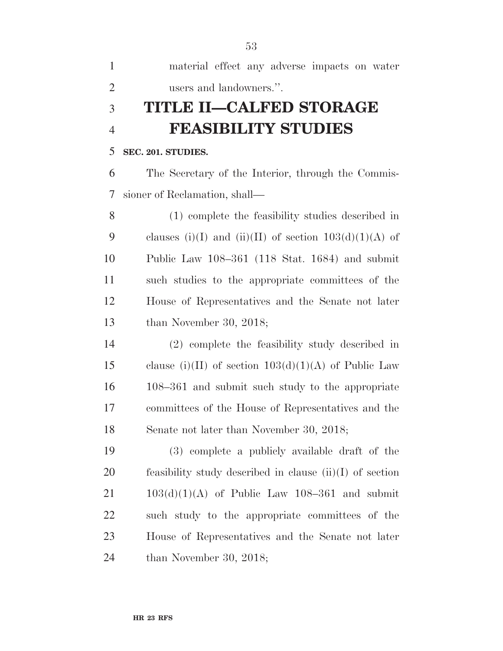| material effect any adverse impacts on water |  |  |  |
|----------------------------------------------|--|--|--|
| users and landowners.".                      |  |  |  |

# **TITLE II—CALFED STORAGE FEASIBILITY STUDIES**

#### **SEC. 201. STUDIES.**

 The Secretary of the Interior, through the Commis-sioner of Reclamation, shall—

 (1) complete the feasibility studies described in 9 clauses (i)(I) and (ii)(II) of section  $103(d)(1)(A)$  of Public Law 108–361 (118 Stat. 1684) and submit such studies to the appropriate committees of the House of Representatives and the Senate not later than November 30, 2018;

 (2) complete the feasibility study described in 15 clause (i)(II) of section  $103(d)(1)(A)$  of Public Law 108–361 and submit such study to the appropriate committees of the House of Representatives and the Senate not later than November 30, 2018;

 (3) complete a publicly available draft of the feasibility study described in clause (ii)(I) of section  $21 \qquad 103(d)(1)(A)$  of Public Law 108–361 and submit such study to the appropriate committees of the House of Representatives and the Senate not later than November 30, 2018;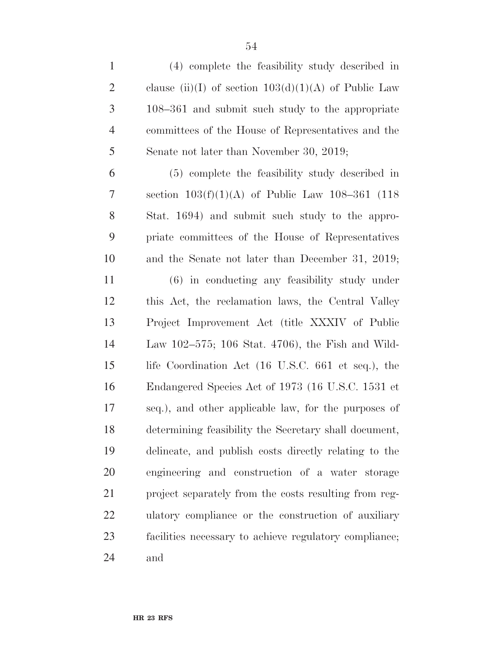| $\mathbf{1}$   | (4) complete the feasibility study described in        |
|----------------|--------------------------------------------------------|
| $\overline{2}$ | clause (ii)(I) of section $103(d)(1)(A)$ of Public Law |
| 3              | $108-361$ and submit such study to the appropriate     |
| $\overline{4}$ | committees of the House of Representatives and the     |
| 5              | Senate not later than November 30, 2019;               |
| 6              | (5) complete the feasibility study described in        |
| 7              | section $103(f)(1)(A)$ of Public Law 108-361 (118)     |
| $8\,$          | Stat. 1694) and submit such study to the appro-        |
| 9              | priate committees of the House of Representatives      |
| 10             | and the Senate not later than December 31, 2019;       |
| 11             | $(6)$ in conducting any feasibility study under        |
| 12             | this Act, the reclamation laws, the Central Valley     |
| 13             | Project Improvement Act (title XXXIV of Public         |
| 14             | Law 102–575; 106 Stat. 4706), the Fish and Wild-       |
| 15             | life Coordination Act (16 U.S.C. 661 et seq.), the     |
| 16             | Endangered Species Act of 1973 (16 U.S.C. 1531 et      |
| 17             | seq.), and other applicable law, for the purposes of   |
| 18             | determining feasibility the Secretary shall document,  |
| 19             | delineate, and publish costs directly relating to the  |
| 20             | engineering and construction of a water storage        |
| 21             | project separately from the costs resulting from reg-  |
| 22             | ulatory compliance or the construction of auxiliary    |
| 23             | facilities necessary to achieve regulatory compliance; |
| 24             | and                                                    |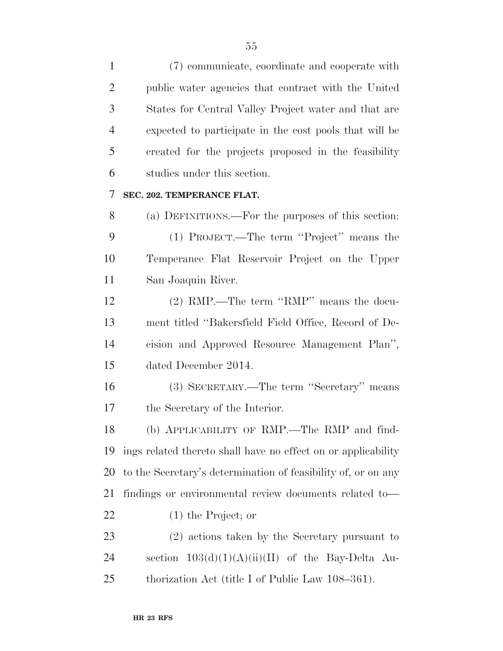(7) communicate, coordinate and cooperate with public water agencies that contract with the United States for Central Valley Project water and that are expected to participate in the cost pools that will be created for the projects proposed in the feasibility studies under this section.

#### **SEC. 202. TEMPERANCE FLAT.**

 (a) DEFINITIONS.—For the purposes of this section: (1) PROJECT.—The term ''Project'' means the Temperance Flat Reservoir Project on the Upper San Joaquin River.

 (2) RMP.—The term ''RMP'' means the docu- ment titled ''Bakersfield Field Office, Record of De- cision and Approved Resource Management Plan'', dated December 2014.

 (3) SECRETARY.—The term ''Secretary'' means the Secretary of the Interior.

 (b) APPLICABILITY OF RMP.—The RMP and find- ings related thereto shall have no effect on or applicability to the Secretary's determination of feasibility of, or on any findings or environmental review documents related to— (1) the Project; or

 (2) actions taken by the Secretary pursuant to 24 section  $103(d)(1)(A)(ii)(II)$  of the Bay-Delta Au-thorization Act (title I of Public Law 108–361).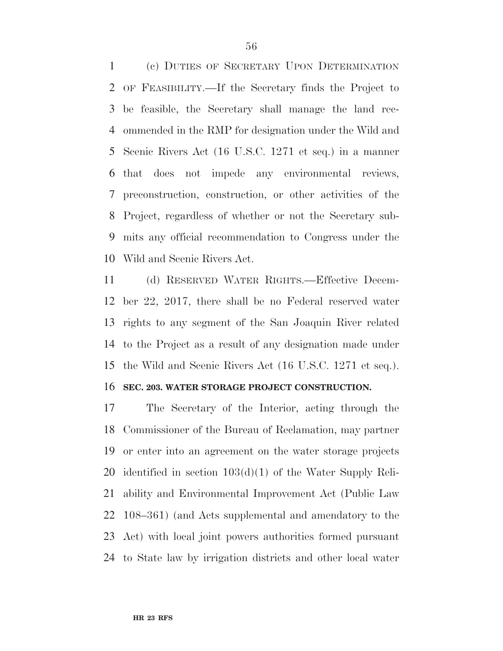(c) DUTIES OF SECRETARY UPON DETERMINATION OF FEASIBILITY.—If the Secretary finds the Project to be feasible, the Secretary shall manage the land rec- ommended in the RMP for designation under the Wild and Scenic Rivers Act (16 U.S.C. 1271 et seq.) in a manner that does not impede any environmental reviews, preconstruction, construction, or other activities of the Project, regardless of whether or not the Secretary sub- mits any official recommendation to Congress under the Wild and Scenic Rivers Act.

 (d) RESERVED WATER RIGHTS.—Effective Decem- ber 22, 2017, there shall be no Federal reserved water rights to any segment of the San Joaquin River related to the Project as a result of any designation made under the Wild and Scenic Rivers Act (16 U.S.C. 1271 et seq.).

#### **SEC. 203. WATER STORAGE PROJECT CONSTRUCTION.**

 The Secretary of the Interior, acting through the Commissioner of the Bureau of Reclamation, may partner or enter into an agreement on the water storage projects identified in section 103(d)(1) of the Water Supply Reli- ability and Environmental Improvement Act (Public Law 108–361) (and Acts supplemental and amendatory to the Act) with local joint powers authorities formed pursuant to State law by irrigation districts and other local water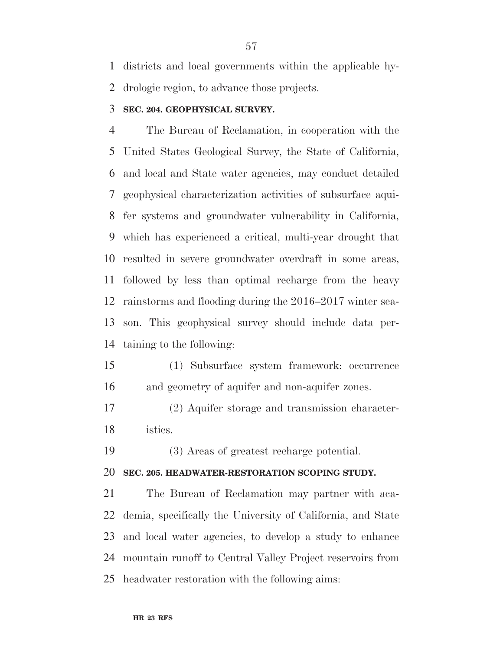districts and local governments within the applicable hy-drologic region, to advance those projects.

#### **SEC. 204. GEOPHYSICAL SURVEY.**

 The Bureau of Reclamation, in cooperation with the United States Geological Survey, the State of California, and local and State water agencies, may conduct detailed geophysical characterization activities of subsurface aqui- fer systems and groundwater vulnerability in California, which has experienced a critical, multi-year drought that resulted in severe groundwater overdraft in some areas, followed by less than optimal recharge from the heavy rainstorms and flooding during the 2016–2017 winter sea- son. This geophysical survey should include data per-taining to the following:

 (1) Subsurface system framework: occurrence and geometry of aquifer and non-aquifer zones.

 (2) Aquifer storage and transmission character-istics.

(3) Areas of greatest recharge potential.

#### **SEC. 205. HEADWATER-RESTORATION SCOPING STUDY.**

 The Bureau of Reclamation may partner with aca- demia, specifically the University of California, and State and local water agencies, to develop a study to enhance mountain runoff to Central Valley Project reservoirs from headwater restoration with the following aims: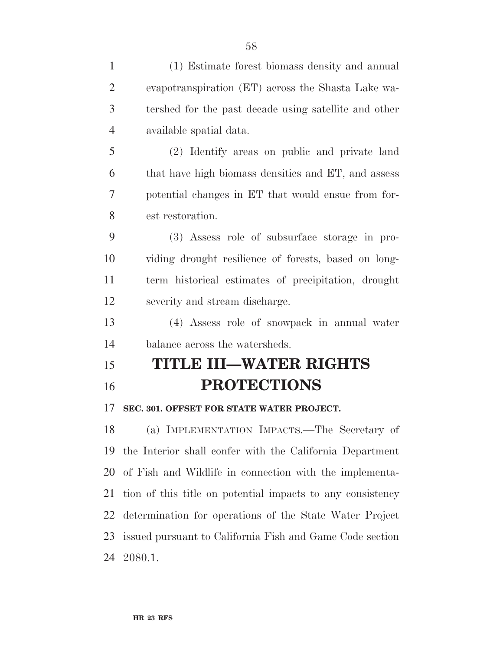| $\mathbf{1}$   | (1) Estimate forest biomass density and annual             |
|----------------|------------------------------------------------------------|
| $\overline{2}$ | evapotranspiration (ET) across the Shasta Lake wa-         |
| 3              | tershed for the past decade using satellite and other      |
| $\overline{4}$ | available spatial data.                                    |
| 5              | (2) Identify areas on public and private land              |
| 6              | that have high biomass densities and ET, and assess        |
| 7              | potential changes in ET that would ensue from for-         |
| 8              | est restoration.                                           |
| 9              | (3) Assess role of subsurface storage in pro-              |
| 10             | viding drought resilience of forests, based on long-       |
| 11             | term historical estimates of precipitation, drought        |
| 12             | severity and stream discharge.                             |
| 13             | (4) Assess role of snowpack in annual water                |
| 14             | balance across the watersheds.                             |
| 15             | <b>TITLE III–WATER RIGHTS</b>                              |
| 16             | <b>PROTECTIONS</b>                                         |
| 17             | SEC. 301. OFFSET FOR STATE WATER PROJECT.                  |
| 18             | (a) IMPLEMENTATION IMPACTS.—The Secretary of               |
| 19             | the Interior shall confer with the California Department   |
| 20             | of Fish and Wildlife in connection with the implementa-    |
| 21             | tion of this title on potential impacts to any consistency |
| 22             | determination for operations of the State Water Project    |
| 23             | issued pursuant to California Fish and Game Code section   |

2080.1.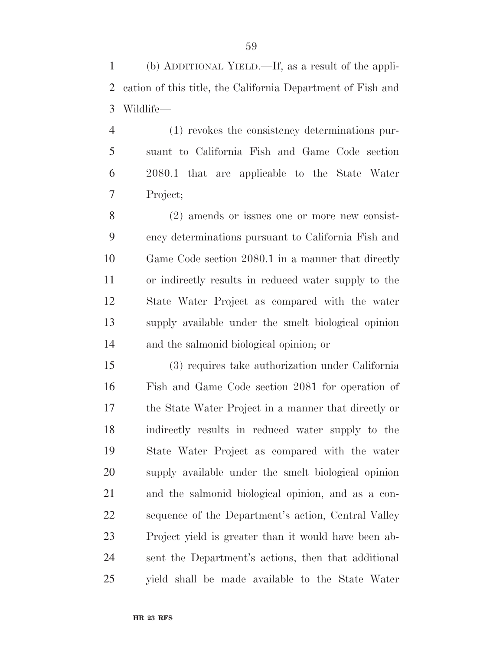(b) ADDITIONAL YIELD.—If, as a result of the appli- cation of this title, the California Department of Fish and Wildlife—

 (1) revokes the consistency determinations pur- suant to California Fish and Game Code section 2080.1 that are applicable to the State Water Project;

 (2) amends or issues one or more new consist- ency determinations pursuant to California Fish and Game Code section 2080.1 in a manner that directly or indirectly results in reduced water supply to the State Water Project as compared with the water supply available under the smelt biological opinion and the salmonid biological opinion; or

 (3) requires take authorization under California Fish and Game Code section 2081 for operation of the State Water Project in a manner that directly or indirectly results in reduced water supply to the State Water Project as compared with the water supply available under the smelt biological opinion and the salmonid biological opinion, and as a con- sequence of the Department's action, Central Valley Project yield is greater than it would have been ab- sent the Department's actions, then that additional yield shall be made available to the State Water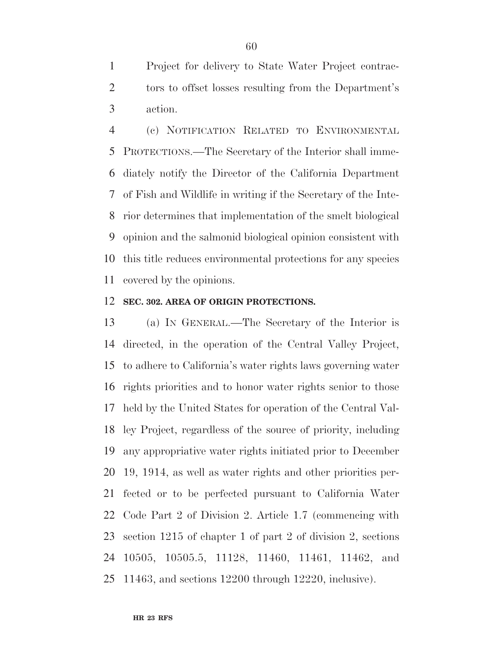Project for delivery to State Water Project contrac- tors to offset losses resulting from the Department's action.

 (c) NOTIFICATION RELATED TO ENVIRONMENTAL PROTECTIONS.—The Secretary of the Interior shall imme- diately notify the Director of the California Department of Fish and Wildlife in writing if the Secretary of the Inte- rior determines that implementation of the smelt biological opinion and the salmonid biological opinion consistent with this title reduces environmental protections for any species covered by the opinions.

#### **SEC. 302. AREA OF ORIGIN PROTECTIONS.**

 (a) IN GENERAL.—The Secretary of the Interior is directed, in the operation of the Central Valley Project, to adhere to California's water rights laws governing water rights priorities and to honor water rights senior to those held by the United States for operation of the Central Val- ley Project, regardless of the source of priority, including any appropriative water rights initiated prior to December 19, 1914, as well as water rights and other priorities per- fected or to be perfected pursuant to California Water Code Part 2 of Division 2. Article 1.7 (commencing with section 1215 of chapter 1 of part 2 of division 2, sections 10505, 10505.5, 11128, 11460, 11461, 11462, and 11463, and sections 12200 through 12220, inclusive).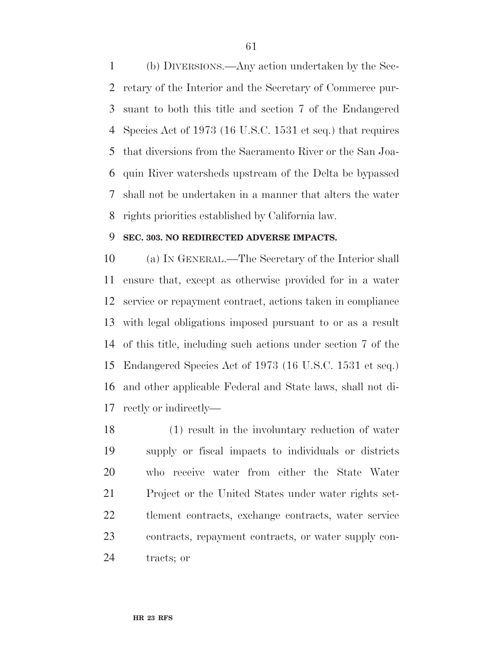(b) DIVERSIONS.—Any action undertaken by the Sec- retary of the Interior and the Secretary of Commerce pur- suant to both this title and section 7 of the Endangered Species Act of 1973 (16 U.S.C. 1531 et seq.) that requires that diversions from the Sacramento River or the San Joa- quin River watersheds upstream of the Delta be bypassed shall not be undertaken in a manner that alters the water rights priorities established by California law.

#### **SEC. 303. NO REDIRECTED ADVERSE IMPACTS.**

 (a) IN GENERAL.—The Secretary of the Interior shall ensure that, except as otherwise provided for in a water service or repayment contract, actions taken in compliance with legal obligations imposed pursuant to or as a result of this title, including such actions under section 7 of the Endangered Species Act of 1973 (16 U.S.C. 1531 et seq.) and other applicable Federal and State laws, shall not di-rectly or indirectly—

 (1) result in the involuntary reduction of water supply or fiscal impacts to individuals or districts who receive water from either the State Water Project or the United States under water rights set- tlement contracts, exchange contracts, water service contracts, repayment contracts, or water supply con-tracts; or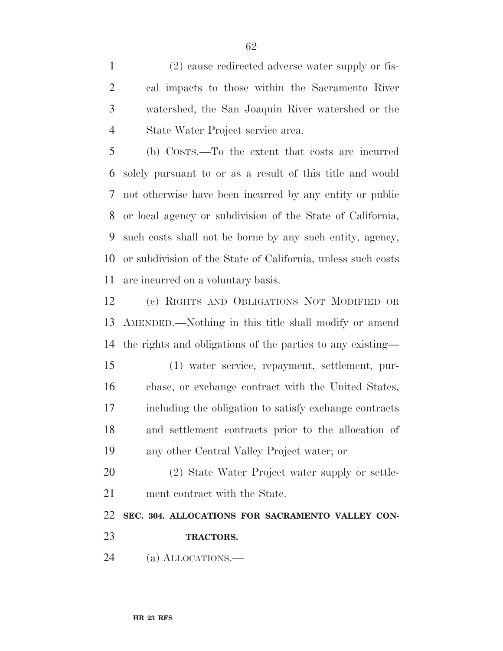(2) cause redirected adverse water supply or fis- cal impacts to those within the Sacramento River watershed, the San Joaquin River watershed or the State Water Project service area.

 (b) COSTS.—To the extent that costs are incurred solely pursuant to or as a result of this title and would not otherwise have been incurred by any entity or public or local agency or subdivision of the State of California, such costs shall not be borne by any such entity, agency, or subdivision of the State of California, unless such costs are incurred on a voluntary basis.

 (c) RIGHTS AND OBLIGATIONS NOT MODIFIED OR AMENDED.—Nothing in this title shall modify or amend the rights and obligations of the parties to any existing—

 (1) water service, repayment, settlement, pur- chase, or exchange contract with the United States, including the obligation to satisfy exchange contracts and settlement contracts prior to the allocation of any other Central Valley Project water; or

 (2) State Water Project water supply or settle-ment contract with the State.

**SEC. 304. ALLOCATIONS FOR SACRAMENTO VALLEY CON-**

- **TRACTORS.**
- (a) ALLOCATIONS.—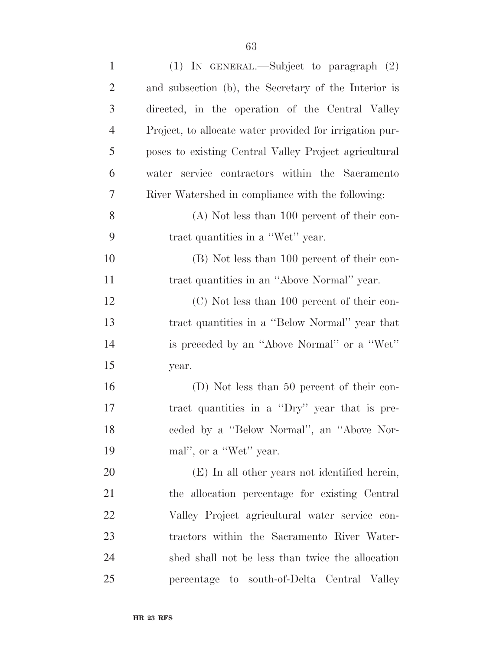| $\mathbf{1}$   | (1) IN GENERAL.—Subject to paragraph $(2)$              |
|----------------|---------------------------------------------------------|
| $\overline{2}$ | and subsection (b), the Secretary of the Interior is    |
| 3              | directed, in the operation of the Central Valley        |
| $\overline{4}$ | Project, to allocate water provided for irrigation pur- |
| 5              | poses to existing Central Valley Project agricultural   |
| 6              | water service contractors within the Sacramento         |
| 7              | River Watershed in compliance with the following:       |
| 8              | $(A)$ Not less than 100 percent of their con-           |
| 9              | tract quantities in a "Wet" year.                       |
| 10             | (B) Not less than 100 percent of their con-             |
| 11             | tract quantities in an "Above Normal" year.             |
| 12             | (C) Not less than 100 percent of their con-             |
| 13             | tract quantities in a "Below Normal" year that          |
| 14             | is preceded by an "Above Normal" or a "Wet"             |
| 15             | year.                                                   |
| 16             | (D) Not less than 50 percent of their con-              |
| 17             | tract quantities in a "Dry" year that is pre-           |
| 18             | ceded by a "Below Normal", an "Above Nor-               |
| 19             | mal", or a "Wet" year.                                  |
| 20             | (E) In all other years not identified herein,           |
| 21             | the allocation percentage for existing Central          |
| 22             | Valley Project agricultural water service con-          |
| 23             | tractors within the Sacramento River Water-             |
| 24             | shed shall not be less than twice the allocation        |
| 25             | percentage to south-of-Delta Central Valley             |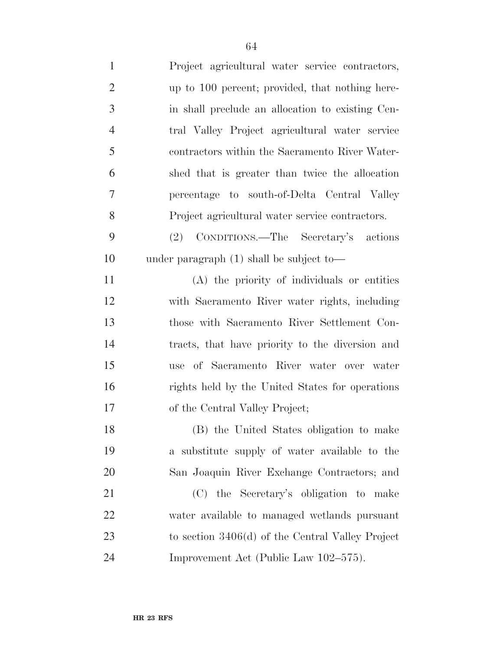| $\mathbf{1}$   | Project agricultural water service contractors,    |
|----------------|----------------------------------------------------|
| $\overline{2}$ | up to 100 percent; provided, that nothing here-    |
| 3              | in shall preclude an allocation to existing Cen-   |
| $\overline{4}$ | tral Valley Project agricultural water service     |
| 5              | contractors within the Sacramento River Water-     |
| 6              | shed that is greater than twice the allocation     |
| 7              | percentage to south-of-Delta Central Valley        |
| 8              | Project agricultural water service contractors.    |
| 9              | (2) CONDITIONS.—The Secretary's actions            |
| 10             | under paragraph $(1)$ shall be subject to-         |
| 11             | (A) the priority of individuals or entities        |
| 12             | with Sacramento River water rights, including      |
| 13             | those with Sacramento River Settlement Con-        |
| 14             | tracts, that have priority to the diversion and    |
| 15             | use of Sacramento River water over water           |
| 16             | rights held by the United States for operations    |
| 17             | of the Central Valley Project;                     |
| 18             | (B) the United States obligation to make           |
| 19             | a substitute supply of water available to the      |
| 20             | San Joaquin River Exchange Contractors; and        |
| 21             | (C) the Secretary's obligation to make             |
| 22             | water available to managed wetlands pursuant       |
| 23             | to section $3406(d)$ of the Central Valley Project |
| 24             | Improvement Act (Public Law 102–575).              |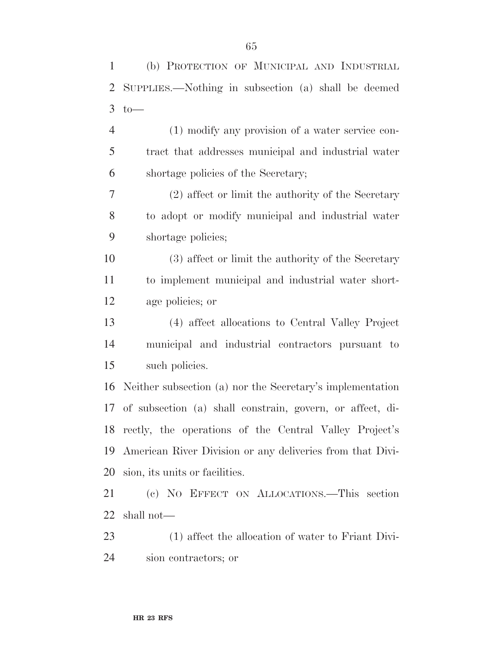| $\mathbf{1}$   | (b) PROTECTION OF MUNICIPAL AND INDUSTRIAL                |
|----------------|-----------------------------------------------------------|
| $\overline{2}$ | SUPPLIES.—Nothing in subsection (a) shall be deemed       |
| 3              | $to-$                                                     |
| $\overline{4}$ | (1) modify any provision of a water service con-          |
| 5              | tract that addresses municipal and industrial water       |
| 6              | shortage policies of the Secretary;                       |
| 7              | (2) affect or limit the authority of the Secretary        |
| 8              | to adopt or modify municipal and industrial water         |
| 9              | shortage policies;                                        |
| 10             | (3) affect or limit the authority of the Secretary        |
| 11             | to implement municipal and industrial water short-        |
| 12             | age policies; or                                          |
| 13             | (4) affect allocations to Central Valley Project          |
| 14             | municipal and industrial contractors pursuant to          |
| 15             | such policies.                                            |
| 16             | Neither subsection (a) nor the Secretary's implementation |
| 17             | of subsection (a) shall constrain, govern, or affect, di- |
|                | 18 rectly, the operations of the Central Valley Project's |
| 19             | American River Division or any deliveries from that Divi- |
| 20             | sion, its units or facilities.                            |
| 21             | (c) NO EFFECT ON ALLOCATIONS.—This section                |
| 22             | shall not—                                                |
| 23             | (1) affect the allocation of water to Friant Divi-        |
| 24             | sion contractors; or                                      |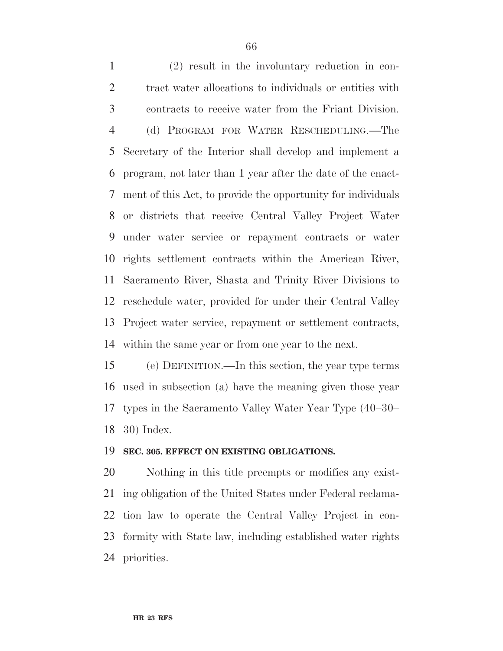(2) result in the involuntary reduction in con-2 tract water allocations to individuals or entities with contracts to receive water from the Friant Division. (d) PROGRAM FOR WATER RESCHEDULING.—The Secretary of the Interior shall develop and implement a program, not later than 1 year after the date of the enact- ment of this Act, to provide the opportunity for individuals or districts that receive Central Valley Project Water under water service or repayment contracts or water rights settlement contracts within the American River, Sacramento River, Shasta and Trinity River Divisions to reschedule water, provided for under their Central Valley Project water service, repayment or settlement contracts, within the same year or from one year to the next.

 (e) DEFINITION.—In this section, the year type terms used in subsection (a) have the meaning given those year types in the Sacramento Valley Water Year Type (40–30– 30) Index.

#### **SEC. 305. EFFECT ON EXISTING OBLIGATIONS.**

 Nothing in this title preempts or modifies any exist- ing obligation of the United States under Federal reclama- tion law to operate the Central Valley Project in con- formity with State law, including established water rights priorities.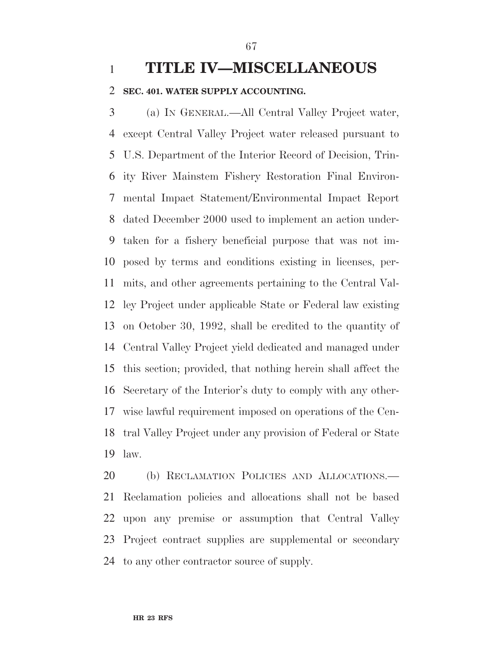# **TITLE IV—MISCELLANEOUS**

#### **SEC. 401. WATER SUPPLY ACCOUNTING.**

 (a) IN GENERAL.—All Central Valley Project water, except Central Valley Project water released pursuant to U.S. Department of the Interior Record of Decision, Trin- ity River Mainstem Fishery Restoration Final Environ- mental Impact Statement/Environmental Impact Report dated December 2000 used to implement an action under- taken for a fishery beneficial purpose that was not im- posed by terms and conditions existing in licenses, per- mits, and other agreements pertaining to the Central Val- ley Project under applicable State or Federal law existing on October 30, 1992, shall be credited to the quantity of Central Valley Project yield dedicated and managed under this section; provided, that nothing herein shall affect the Secretary of the Interior's duty to comply with any other- wise lawful requirement imposed on operations of the Cen- tral Valley Project under any provision of Federal or State law.

20 (b) RECLAMATION POLICIES AND ALLOCATIONS. Reclamation policies and allocations shall not be based upon any premise or assumption that Central Valley Project contract supplies are supplemental or secondary to any other contractor source of supply.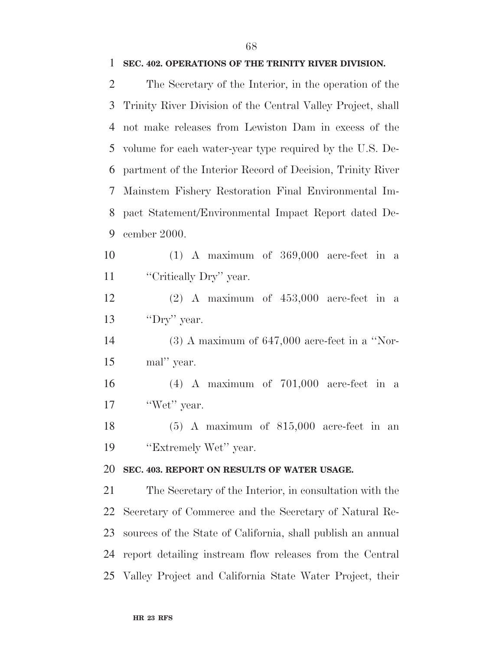#### **SEC. 402. OPERATIONS OF THE TRINITY RIVER DIVISION.**

 The Secretary of the Interior, in the operation of the Trinity River Division of the Central Valley Project, shall not make releases from Lewiston Dam in excess of the volume for each water-year type required by the U.S. De- partment of the Interior Record of Decision, Trinity River Mainstem Fishery Restoration Final Environmental Im- pact Statement/Environmental Impact Report dated De-cember 2000.

 (1) A maximum of 369,000 acre-feet in a 11 "Critically Dry" year.

 (2) A maximum of 453,000 acre-feet in a ''Dry'' year.

 (3) A maximum of 647,000 acre-feet in a ''Nor-mal'' year.

 (4) A maximum of 701,000 acre-feet in a 17 'Wet'' year.

 (5) A maximum of 815,000 acre-feet in an 19 "Extremely Wet" year.

#### **SEC. 403. REPORT ON RESULTS OF WATER USAGE.**

 The Secretary of the Interior, in consultation with the Secretary of Commerce and the Secretary of Natural Re- sources of the State of California, shall publish an annual report detailing instream flow releases from the Central Valley Project and California State Water Project, their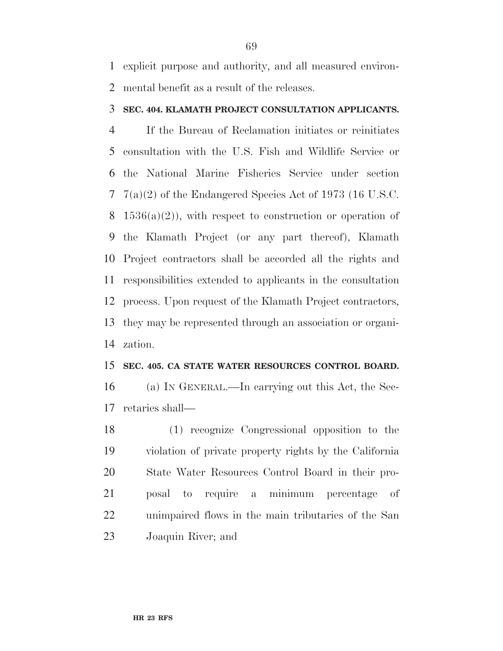explicit purpose and authority, and all measured environ-mental benefit as a result of the releases.

#### **SEC. 404. KLAMATH PROJECT CONSULTATION APPLICANTS.**

 If the Bureau of Reclamation initiates or reinitiates consultation with the U.S. Fish and Wildlife Service or the National Marine Fisheries Service under section 7(a)(2) of the Endangered Species Act of 1973 (16 U.S.C.  $1536(a)(2)$ , with respect to construction or operation of the Klamath Project (or any part thereof), Klamath Project contractors shall be accorded all the rights and responsibilities extended to applicants in the consultation process. Upon request of the Klamath Project contractors, they may be represented through an association or organi-zation.

#### **SEC. 405. CA STATE WATER RESOURCES CONTROL BOARD.**

 (a) IN GENERAL.—In carrying out this Act, the Sec-retaries shall—

 (1) recognize Congressional opposition to the violation of private property rights by the California State Water Resources Control Board in their pro- posal to require a minimum percentage of unimpaired flows in the main tributaries of the San Joaquin River; and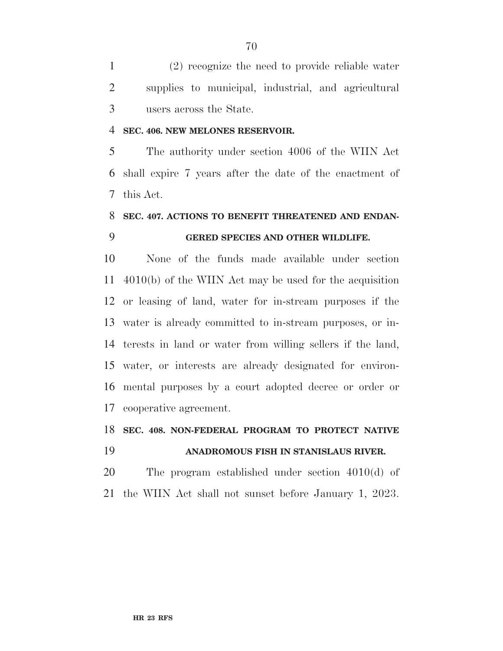(2) recognize the need to provide reliable water supplies to municipal, industrial, and agricultural users across the State.

#### **SEC. 406. NEW MELONES RESERVOIR.**

 The authority under section 4006 of the WIIN Act shall expire 7 years after the date of the enactment of this Act.

# **SEC. 407. ACTIONS TO BENEFIT THREATENED AND ENDAN-GERED SPECIES AND OTHER WILDLIFE.**

 None of the funds made available under section 4010(b) of the WIIN Act may be used for the acquisition or leasing of land, water for in-stream purposes if the water is already committed to in-stream purposes, or in- terests in land or water from willing sellers if the land, water, or interests are already designated for environ- mental purposes by a court adopted decree or order or cooperative agreement.

#### **SEC. 408. NON-FEDERAL PROGRAM TO PROTECT NATIVE**

**ANADROMOUS FISH IN STANISLAUS RIVER.** 

 The program established under section 4010(d) of the WIIN Act shall not sunset before January 1, 2023.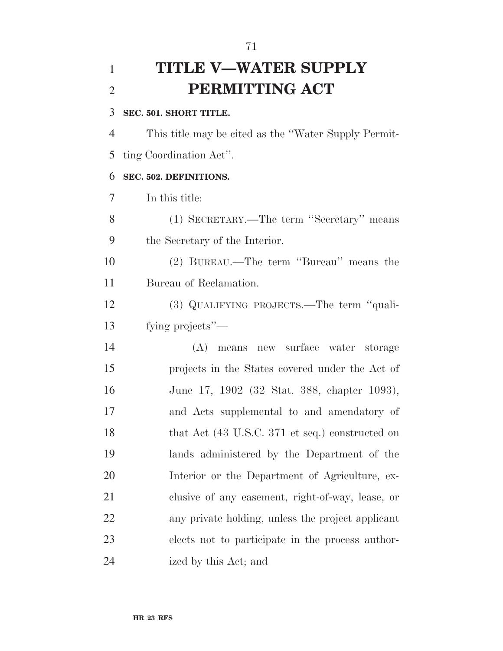# **TITLE V—WATER SUPPLY PERMITTING ACT**

#### **SEC. 501. SHORT TITLE.**

 This title may be cited as the ''Water Supply Permit-ting Coordination Act''.

#### **SEC. 502. DEFINITIONS.**

In this title:

 (1) SECRETARY.—The term ''Secretary'' means the Secretary of the Interior.

 (2) BUREAU.—The term ''Bureau'' means the Bureau of Reclamation.

 (3) QUALIFYING PROJECTS.—The term ''quali-fying projects''—

 (A) means new surface water storage projects in the States covered under the Act of June 17, 1902 (32 Stat. 388, chapter 1093), and Acts supplemental to and amendatory of 18 that Act (43 U.S.C. 371 et seq.) constructed on lands administered by the Department of the Interior or the Department of Agriculture, ex- clusive of any easement, right-of-way, lease, or any private holding, unless the project applicant elects not to participate in the process author-ized by this Act; and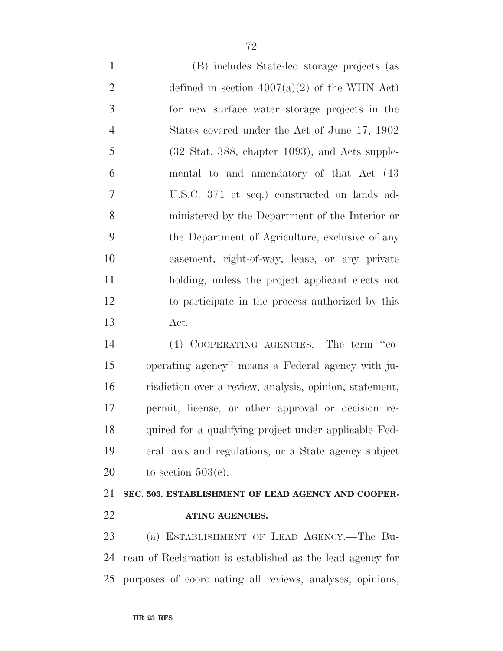(B) includes State-led storage projects (as 2 defined in section  $4007(a)(2)$  of the WIIN Act) for new surface water storage projects in the States covered under the Act of June 17, 1902 (32 Stat. 388, chapter 1093), and Acts supple- mental to and amendatory of that Act (43 U.S.C. 371 et seq.) constructed on lands ad- ministered by the Department of the Interior or the Department of Agriculture, exclusive of any easement, right-of-way, lease, or any private holding, unless the project applicant elects not to participate in the process authorized by this Act.

 (4) COOPERATING AGENCIES.—The term ''co- operating agency'' means a Federal agency with ju- risdiction over a review, analysis, opinion, statement, permit, license, or other approval or decision re- quired for a qualifying project under applicable Fed- eral laws and regulations, or a State agency subject 20 to section  $503(c)$ .

# **SEC. 503. ESTABLISHMENT OF LEAD AGENCY AND COOPER-ATING AGENCIES.**

 (a) ESTABLISHMENT OF LEAD AGENCY.—The Bu- reau of Reclamation is established as the lead agency for purposes of coordinating all reviews, analyses, opinions,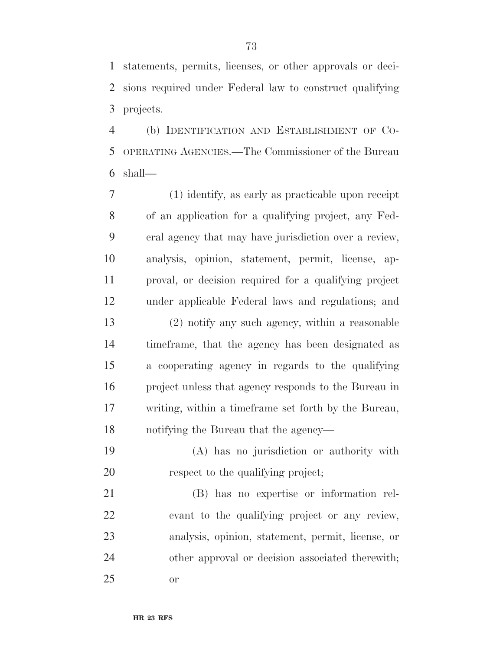statements, permits, licenses, or other approvals or deci- sions required under Federal law to construct qualifying projects.

 (b) IDENTIFICATION AND ESTABLISHMENT OF CO- OPERATING AGENCIES.—The Commissioner of the Bureau shall—

 (1) identify, as early as practicable upon receipt of an application for a qualifying project, any Fed- eral agency that may have jurisdiction over a review, analysis, opinion, statement, permit, license, ap- proval, or decision required for a qualifying project under applicable Federal laws and regulations; and (2) notify any such agency, within a reasonable timeframe, that the agency has been designated as a cooperating agency in regards to the qualifying

 project unless that agency responds to the Bureau in writing, within a timeframe set forth by the Bureau, notifying the Bureau that the agency—

 (A) has no jurisdiction or authority with respect to the qualifying project;

 (B) has no expertise or information rel- evant to the qualifying project or any review, analysis, opinion, statement, permit, license, or other approval or decision associated therewith; or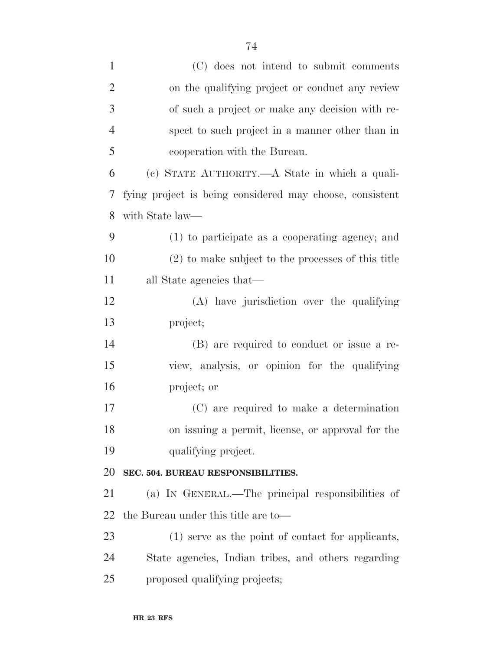| $\mathbf{1}$   | (C) does not intend to submit comments                   |
|----------------|----------------------------------------------------------|
| $\overline{2}$ | on the qualifying project or conduct any review          |
| 3              | of such a project or make any decision with re-          |
| $\overline{4}$ | spect to such project in a manner other than in          |
| 5              | cooperation with the Bureau.                             |
| 6              | (c) STATE AUTHORITY.—A State in which a quali-           |
| 7              | fying project is being considered may choose, consistent |
| 8              | with State law—                                          |
| 9              | (1) to participate as a cooperating agency; and          |
| 10             | $(2)$ to make subject to the processes of this title     |
| 11             | all State agencies that—                                 |
| 12             | (A) have jurisdiction over the qualifying                |
| 13             | project;                                                 |
| 14             | (B) are required to conduct or issue a re-               |
| 15             | view, analysis, or opinion for the qualifying            |
| 16             | project; or                                              |
| 17             | (C) are required to make a determination                 |
| 18             | on issuing a permit, license, or approval for the        |
| 19             | qualifying project.                                      |
| 20             | SEC. 504. BUREAU RESPONSIBILITIES.                       |
| 21             | (a) IN GENERAL.—The principal responsibilities of        |
| 22             | the Bureau under this title are to-                      |
| 23             | (1) serve as the point of contact for applicants,        |
| 24             | State agencies, Indian tribes, and others regarding      |
| 25             | proposed qualifying projects;                            |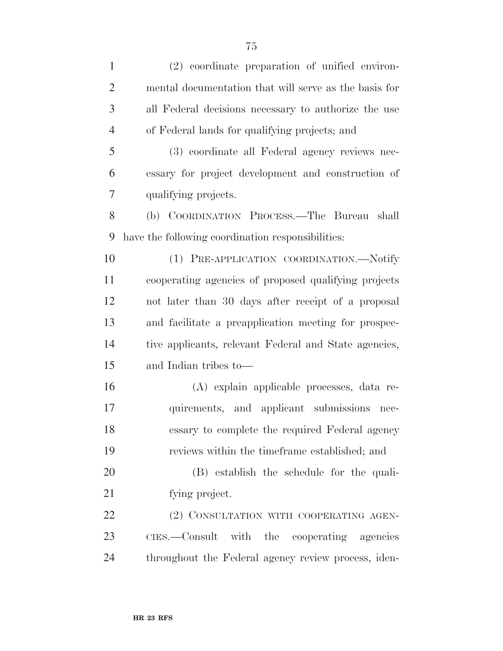| $\mathbf{1}$   | (2) coordinate preparation of unified environ-        |
|----------------|-------------------------------------------------------|
| $\overline{2}$ | mental documentation that will serve as the basis for |
| 3              | all Federal decisions necessary to authorize the use  |
| $\overline{4}$ | of Federal lands for qualifying projects; and         |
| 5              | (3) coordinate all Federal agency reviews nec-        |
| 6              | essary for project development and construction of    |
| 7              | qualifying projects.                                  |
| 8              | (b) COORDINATION PROCESS.—The Bureau<br>shall         |
| 9              | have the following coordination responsibilities:     |
| 10             | (1) PRE-APPLICATION COORDINATION.-Notify              |
| 11             | cooperating agencies of proposed qualifying projects  |
| 12             | not later than 30 days after receipt of a proposal    |
| 13             | and facilitate a preapplication meeting for prospec-  |
| 14             | tive applicants, relevant Federal and State agencies, |
| 15             | and Indian tribes to—                                 |
| 16             | (A) explain applicable processes, data re-            |
| 17             | quirements, and applicant submissions nec-            |
| 18             | essary to complete the required Federal agency        |
| 19             | reviews within the timeframe established; and         |
| 20             | (B) establish the schedule for the quali-             |
| 21             | fying project.                                        |
| 22             | (2) CONSULTATION WITH COOPERATING AGEN-               |
| 23             | CIES.—Consult with the cooperating agencies           |
| 24             | throughout the Federal agency review process, iden-   |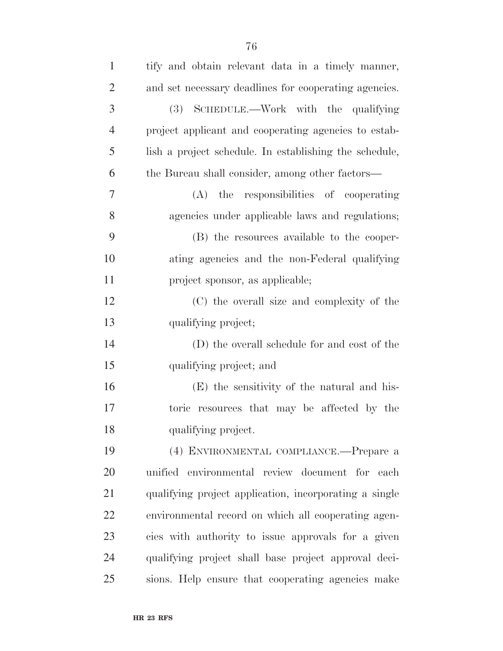| $\mathbf{1}$   | tify and obtain relevant data in a timely manner,      |
|----------------|--------------------------------------------------------|
| $\overline{2}$ | and set necessary deadlines for cooperating agencies.  |
| 3              | (3) SCHEDULE.—Work with the qualifying                 |
| 4              | project applicant and cooperating agencies to estab-   |
| 5              | lish a project schedule. In establishing the schedule, |
| 6              | the Bureau shall consider, among other factors—        |
| 7              | responsibilities of cooperating<br>the<br>(A)          |
| 8              | agencies under applicable laws and regulations;        |
| 9              | (B) the resources available to the cooper-             |
| 10             | ating agencies and the non-Federal qualifying          |
| 11             | project sponsor, as applicable;                        |
| 12             | (C) the overall size and complexity of the             |
| 13             | qualifying project;                                    |
| 14             | (D) the overall schedule for and cost of the           |
| 15             | qualifying project; and                                |
| 16             | (E) the sensitivity of the natural and his-            |
| 17             | toric resources that may be affected by the            |
| 18             | qualifying project.                                    |
| 19             | (4) ENVIRONMENTAL COMPLIANCE.—Prepare a                |
| 20             | unified environmental review document for each         |
| 21             | qualifying project application, incorporating a single |
| 22             | environmental record on which all cooperating agen-    |
| 23             | cies with authority to issue approvals for a given     |
| 24             | qualifying project shall base project approval deci-   |
| 25             | sions. Help ensure that cooperating agencies make      |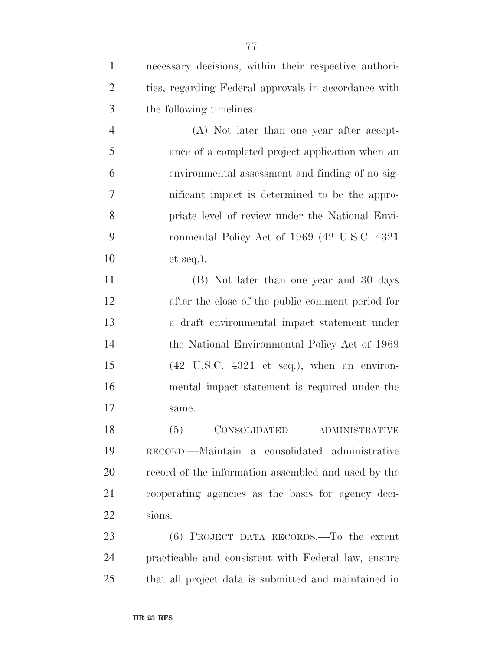| $\mathbf{1}$   | necessary decisions, within their respective authori-                 |
|----------------|-----------------------------------------------------------------------|
| $\overline{2}$ | ties, regarding Federal approvals in accordance with                  |
| 3              | the following timelines:                                              |
| $\overline{4}$ | (A) Not later than one year after accept-                             |
| 5              | ance of a completed project application when an                       |
| 6              | environmental assessment and finding of no sig-                       |
| $\tau$         | nificant impact is determined to be the appro-                        |
| 8              | priate level of review under the National Envi-                       |
| 9              | ronmental Policy Act of 1969 (42 U.S.C. 4321)                         |
| 10             | $et seq.$ ).                                                          |
| 11             | (B) Not later than one year and 30 days                               |
| 12             | after the close of the public comment period for                      |
| 13             | a draft environmental impact statement under                          |
| 14             | the National Environmental Policy Act of 1969                         |
| 15             | $(42 \text{ U.S.C. } 4321 \text{ et seq.}), \text{ when an environ-}$ |
| 16             | mental impact statement is required under the                         |
| 17             | same.                                                                 |
| 18             | (5)<br>CONSOLIDATED ADMINISTRATIVE                                    |
| 19             | RECORD.—Maintain a consolidated administrative                        |
| 20             | record of the information assembled and used by the                   |
| 21             | cooperating agencies as the basis for agency deci-                    |
| 22             | sions.                                                                |
| 23             | $(6)$ PROJECT DATA RECORDS.—To the extent                             |
| 24             | practicable and consistent with Federal law, ensure                   |
| 25             | that all project data is submitted and maintained in                  |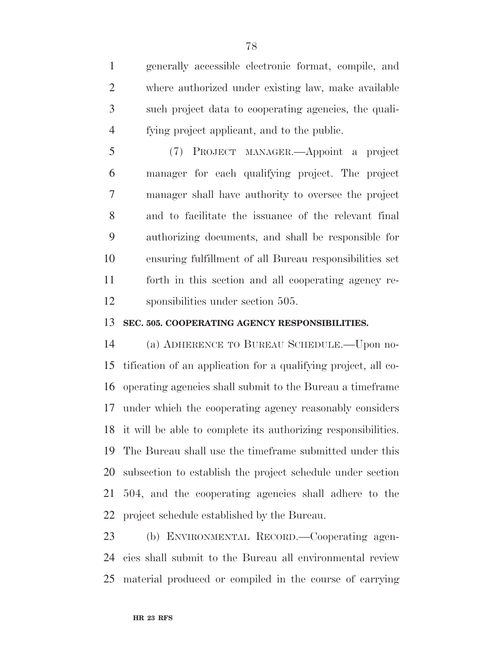generally accessible electronic format, compile, and where authorized under existing law, make available such project data to cooperating agencies, the quali-fying project applicant, and to the public.

 (7) PROJECT MANAGER.—Appoint a project manager for each qualifying project. The project manager shall have authority to oversee the project and to facilitate the issuance of the relevant final authorizing documents, and shall be responsible for ensuring fulfillment of all Bureau responsibilities set forth in this section and all cooperating agency re-sponsibilities under section 505.

## **SEC. 505. COOPERATING AGENCY RESPONSIBILITIES.**

 (a) ADHERENCE TO BUREAU SCHEDULE.—Upon no- tification of an application for a qualifying project, all co- operating agencies shall submit to the Bureau a timeframe under which the cooperating agency reasonably considers it will be able to complete its authorizing responsibilities. The Bureau shall use the timeframe submitted under this subsection to establish the project schedule under section 504, and the cooperating agencies shall adhere to the project schedule established by the Bureau.

 (b) ENVIRONMENTAL RECORD.—Cooperating agen- cies shall submit to the Bureau all environmental review material produced or compiled in the course of carrying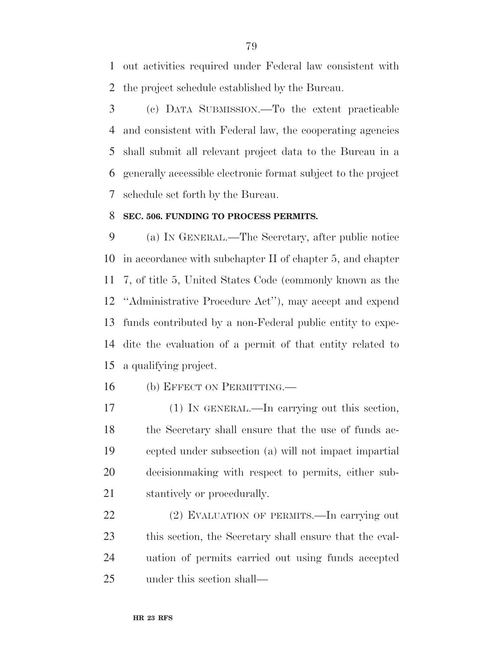out activities required under Federal law consistent with the project schedule established by the Bureau.

 (c) DATA SUBMISSION.—To the extent practicable and consistent with Federal law, the cooperating agencies shall submit all relevant project data to the Bureau in a generally accessible electronic format subject to the project schedule set forth by the Bureau.

#### **SEC. 506. FUNDING TO PROCESS PERMITS.**

 (a) IN GENERAL.—The Secretary, after public notice in accordance with subchapter II of chapter 5, and chapter 7, of title 5, United States Code (commonly known as the ''Administrative Procedure Act''), may accept and expend funds contributed by a non-Federal public entity to expe- dite the evaluation of a permit of that entity related to a qualifying project.

16 (b) EFFECT ON PERMITTING.

 (1) IN GENERAL.—In carrying out this section, the Secretary shall ensure that the use of funds ac- cepted under subsection (a) will not impact impartial decisionmaking with respect to permits, either sub-stantively or procedurally.

 (2) EVALUATION OF PERMITS.—In carrying out this section, the Secretary shall ensure that the eval- uation of permits carried out using funds accepted under this section shall—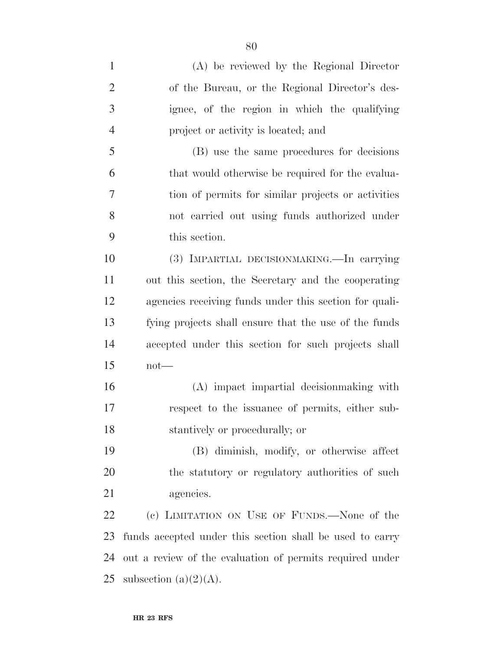(A) be reviewed by the Regional Director of the Bureau, or the Regional Director's des- ignee, of the region in which the qualifying project or activity is located; and (B) use the same procedures for decisions that would otherwise be required for the evalua- tion of permits for similar projects or activities not carried out using funds authorized under this section. (3) IMPARTIAL DECISIONMAKING.—In carrying out this section, the Secretary and the cooperating agencies receiving funds under this section for quali- fying projects shall ensure that the use of the funds accepted under this section for such projects shall not— (A) impact impartial decisionmaking with respect to the issuance of permits, either sub- stantively or procedurally; or (B) diminish, modify, or otherwise affect the statutory or regulatory authorities of such agencies. (c) LIMITATION ON USE OF FUNDS.—None of the funds accepted under this section shall be used to carry out a review of the evaluation of permits required under 25 subsection  $(a)(2)(A)$ .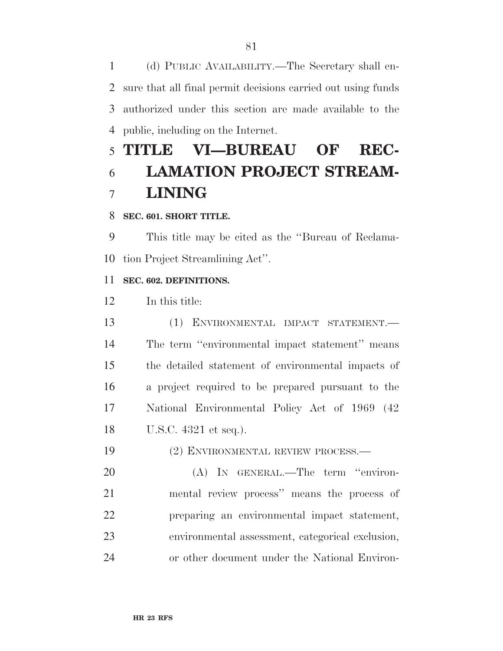(d) PUBLIC AVAILABILITY.—The Secretary shall en- sure that all final permit decisions carried out using funds authorized under this section are made available to the public, including on the Internet.

# **TITLE VI—BUREAU OF REC- LAMATION PROJECT STREAM-LINING**

## **SEC. 601. SHORT TITLE.**

 This title may be cited as the ''Bureau of Reclama-tion Project Streamlining Act''.

## **SEC. 602. DEFINITIONS.**

In this title:

 (1) ENVIRONMENTAL IMPACT STATEMENT.— The term ''environmental impact statement'' means the detailed statement of environmental impacts of a project required to be prepared pursuant to the National Environmental Policy Act of 1969 (42 U.S.C. 4321 et seq.).

(2) ENVIRONMENTAL REVIEW PROCESS.—

 (A) IN GENERAL.—The term ''environ- mental review process'' means the process of preparing an environmental impact statement, environmental assessment, categorical exclusion, or other document under the National Environ-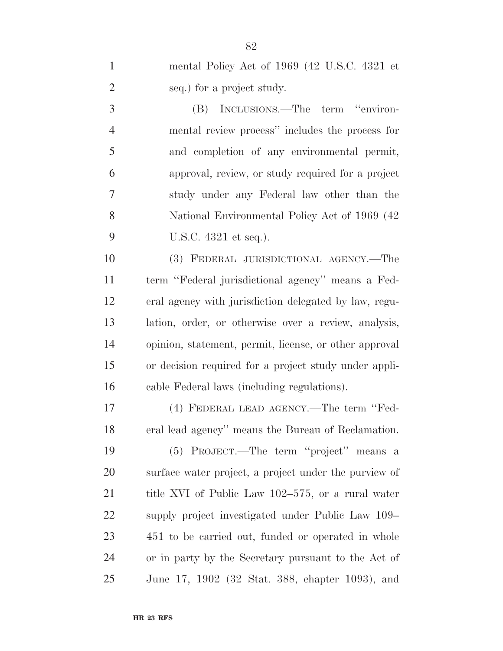| $\mathbf{1}$   | mental Policy Act of 1969 (42 U.S.C. 4321 et           |
|----------------|--------------------------------------------------------|
| $\overline{2}$ | seq.) for a project study.                             |
| 3              | INCLUSIONS.—The term "environ-<br>(B)                  |
| $\overline{4}$ | mental review process" includes the process for        |
| 5              | and completion of any environmental permit,            |
| 6              | approval, review, or study required for a project      |
| 7              | study under any Federal law other than the             |
| 8              | National Environmental Policy Act of 1969 (42)         |
| 9              | U.S.C. 4321 et seq.).                                  |
| 10             | (3) FEDERAL JURISDICTIONAL AGENCY.-The                 |
| 11             | term "Federal jurisdictional agency" means a Fed-      |
| 12             | eral agency with jurisdiction delegated by law, regu-  |
| 13             | lation, order, or otherwise over a review, analysis,   |
| 14             | opinion, statement, permit, license, or other approval |
| 15             | or decision required for a project study under appli-  |
| 16             | cable Federal laws (including regulations).            |
| 17             | (4) FEDERAL LEAD AGENCY.—The term "Fed-                |
| 18             | eral lead agency" means the Bureau of Reclamation.     |
| 19             | (5) PROJECT.—The term "project" means a                |
| 20             | surface water project, a project under the purview of  |
| 21             | title XVI of Public Law 102–575, or a rural water      |
| 22             | supply project investigated under Public Law 109–      |
| 23             | 451 to be carried out, funded or operated in whole     |
| 24             | or in party by the Secretary pursuant to the Act of    |
| 25             | June 17, 1902 (32 Stat. 388, chapter 1093), and        |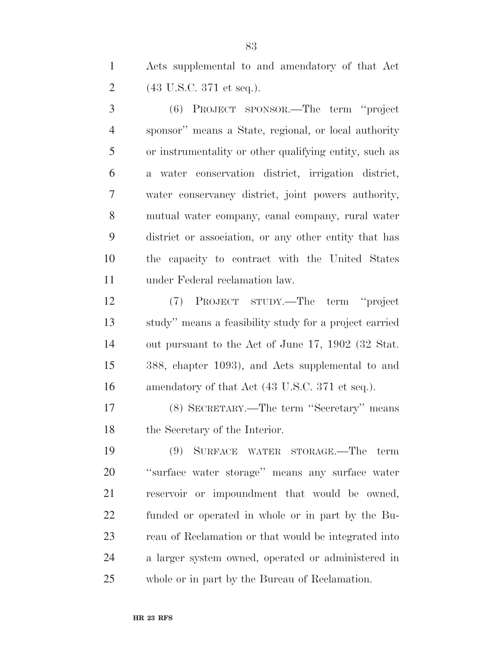Acts supplemental to and amendatory of that Act (43 U.S.C. 371 et seq.).

 (6) PROJECT SPONSOR.—The term ''project sponsor'' means a State, regional, or local authority or instrumentality or other qualifying entity, such as a water conservation district, irrigation district, water conservancy district, joint powers authority, mutual water company, canal company, rural water district or association, or any other entity that has the capacity to contract with the United States under Federal reclamation law.

 (7) PROJECT STUDY.—The term ''project study'' means a feasibility study for a project carried out pursuant to the Act of June 17, 1902 (32 Stat. 388, chapter 1093), and Acts supplemental to and 16 amendatory of that Act (43 U.S.C. 371 et seq.).

 (8) SECRETARY.—The term ''Secretary'' means the Secretary of the Interior.

 (9) SURFACE WATER STORAGE.—The term ''surface water storage'' means any surface water reservoir or impoundment that would be owned, funded or operated in whole or in part by the Bu- reau of Reclamation or that would be integrated into a larger system owned, operated or administered in whole or in part by the Bureau of Reclamation.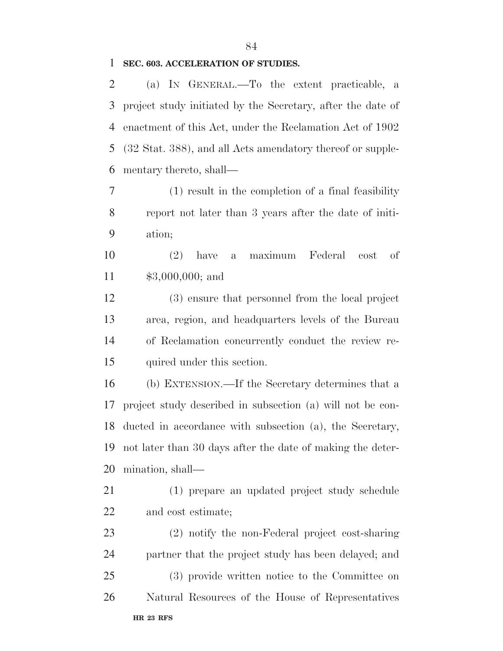#### **SEC. 603. ACCELERATION OF STUDIES.**

 (a) IN GENERAL.—To the extent practicable, a project study initiated by the Secretary, after the date of enactment of this Act, under the Reclamation Act of 1902 (32 Stat. 388), and all Acts amendatory thereof or supple-mentary thereto, shall—

 (1) result in the completion of a final feasibility report not later than 3 years after the date of initi-ation;

 (2) have a maximum Federal cost of \$3,000,000; and

 (3) ensure that personnel from the local project area, region, and headquarters levels of the Bureau of Reclamation concurrently conduct the review re-quired under this section.

 (b) EXTENSION.—If the Secretary determines that a project study described in subsection (a) will not be con- ducted in accordance with subsection (a), the Secretary, not later than 30 days after the date of making the deter-mination, shall—

 (1) prepare an updated project study schedule and cost estimate;

**HR 23 RFS** (2) notify the non-Federal project cost-sharing partner that the project study has been delayed; and (3) provide written notice to the Committee on Natural Resources of the House of Representatives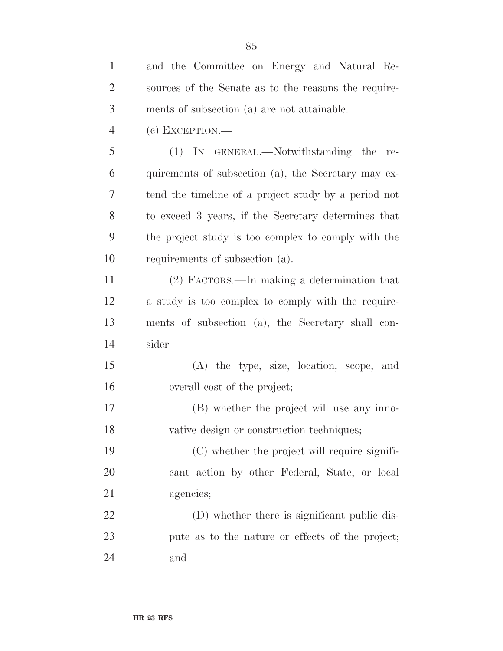| $\mathbf{1}$   | and the Committee on Energy and Natural Re-          |
|----------------|------------------------------------------------------|
| $\overline{2}$ | sources of the Senate as to the reasons the require- |
| 3              | ments of subsection (a) are not attainable.          |
| $\overline{4}$ | $(e)$ EXCEPTION.—                                    |
| 5              | (1) IN GENERAL.—Notwithstanding the<br>re-           |
| 6              | quirements of subsection (a), the Secretary may ex-  |
| 7              | tend the timeline of a project study by a period not |
| 8              | to exceed 3 years, if the Secretary determines that  |
| 9              | the project study is too complex to comply with the  |
| 10             | requirements of subsection (a).                      |
| 11             | (2) FACTORS.—In making a determination that          |
| 12             | a study is too complex to comply with the require-   |
| 13             | ments of subsection (a), the Secretary shall con-    |
| 14             | sider—                                               |
| 15             | (A) the type, size, location, scope, and             |
| 16             | overall cost of the project;                         |
| 17             | (B) whether the project will use any inno-           |
| 18             | vative design or construction techniques;            |
| 19             | (C) whether the project will require signifi-        |
| 20             | cant action by other Federal, State, or local        |
| 21             | agencies;                                            |
| 22             | (D) whether there is significant public dis-         |
| 23             | pute as to the nature or effects of the project;     |
| 24             | and                                                  |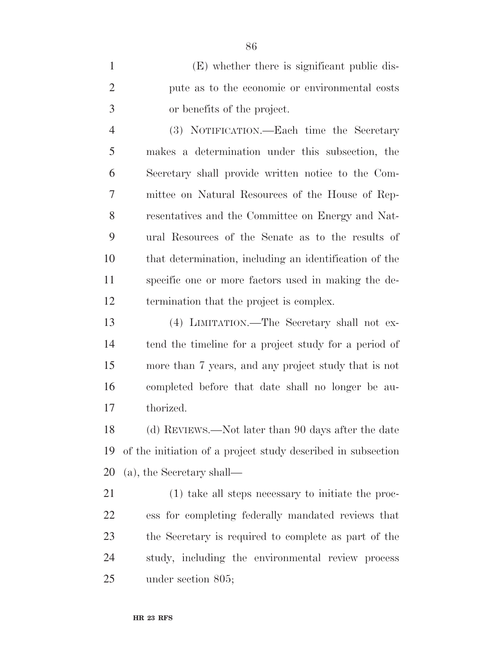(E) whether there is significant public dis- pute as to the economic or environmental costs or benefits of the project.

 (3) NOTIFICATION.—Each time the Secretary makes a determination under this subsection, the Secretary shall provide written notice to the Com- mittee on Natural Resources of the House of Rep- resentatives and the Committee on Energy and Nat- ural Resources of the Senate as to the results of that determination, including an identification of the specific one or more factors used in making the de-termination that the project is complex.

 (4) LIMITATION.—The Secretary shall not ex- tend the timeline for a project study for a period of more than 7 years, and any project study that is not completed before that date shall no longer be au-thorized.

 (d) REVIEWS.—Not later than 90 days after the date of the initiation of a project study described in subsection (a), the Secretary shall—

 (1) take all steps necessary to initiate the proc- ess for completing federally mandated reviews that the Secretary is required to complete as part of the study, including the environmental review process under section 805;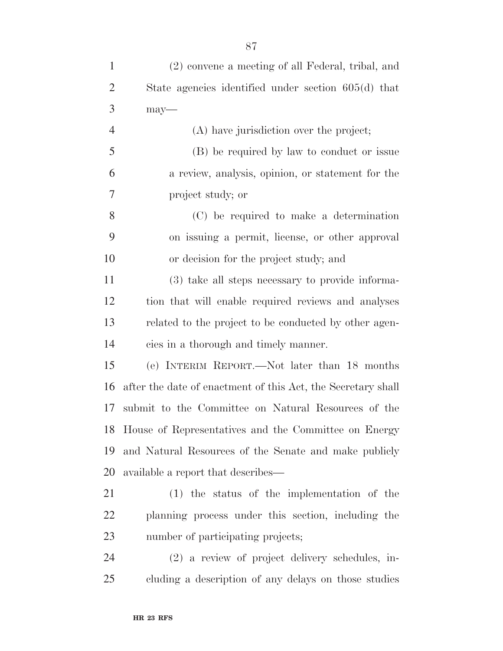| $\mathbf{1}$   | (2) convene a meeting of all Federal, tribal, and            |
|----------------|--------------------------------------------------------------|
| $\overline{2}$ | State agencies identified under section $605(d)$ that        |
| 3              | $may-$                                                       |
| $\overline{4}$ | (A) have jurisdiction over the project;                      |
| 5              | (B) be required by law to conduct or issue                   |
| 6              | a review, analysis, opinion, or statement for the            |
| 7              | project study; or                                            |
| 8              | (C) be required to make a determination                      |
| 9              | on issuing a permit, license, or other approval              |
| 10             | or decision for the project study; and                       |
| 11             | (3) take all steps necessary to provide informa-             |
| 12             | tion that will enable required reviews and analyses          |
| 13             | related to the project to be conducted by other agen-        |
| 14             | cies in a thorough and timely manner.                        |
| 15             | (e) INTERIM REPORT.—Not later than 18 months                 |
| 16             | after the date of enactment of this Act, the Secretary shall |
| 17             | submit to the Committee on Natural Resources of the          |
|                | 18 House of Representatives and the Committee on Energy      |
| 19             | and Natural Resources of the Senate and make publicly        |
| 20             | available a report that describes—                           |
| 21             | $(1)$ the status of the implementation of the                |
| 22             | planning process under this section, including the           |
| 23             | number of participating projects;                            |
| 24             | (2) a review of project delivery schedules, in-              |
| 25             | cluding a description of any delays on those studies         |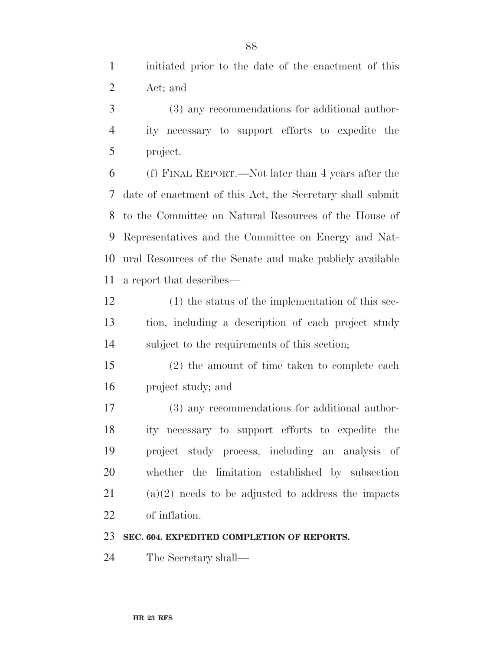initiated prior to the date of the enactment of this Act; and

 (3) any recommendations for additional author- ity necessary to support efforts to expedite the project.

 (f) FINAL REPORT.—Not later than 4 years after the date of enactment of this Act, the Secretary shall submit to the Committee on Natural Resources of the House of Representatives and the Committee on Energy and Nat- ural Resources of the Senate and make publicly available a report that describes—

 (1) the status of the implementation of this sec- tion, including a description of each project study subject to the requirements of this section;

 (2) the amount of time taken to complete each project study; and

 (3) any recommendations for additional author- ity necessary to support efforts to expedite the project study process, including an analysis of whether the limitation established by subsection (a)(2) needs to be adjusted to address the impacts of inflation.

#### **SEC. 604. EXPEDITED COMPLETION OF REPORTS.**

The Secretary shall—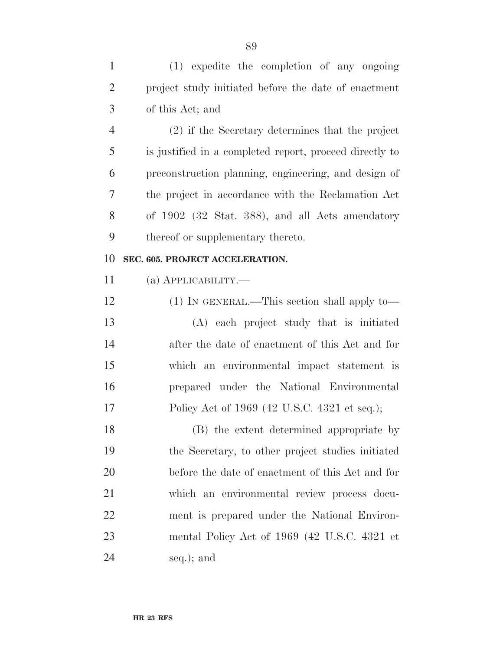| $\mathbf{1}$   | (1) expedite the completion of any ongoing              |
|----------------|---------------------------------------------------------|
| $\overline{2}$ | project study initiated before the date of enactment    |
| 3              | of this Act; and                                        |
| $\overline{4}$ | $(2)$ if the Secretary determines that the project      |
| 5              | is justified in a completed report, proceed directly to |
| 6              | preconstruction planning, engineering, and design of    |
| 7              | the project in accordance with the Reclamation Act      |
| 8              | of 1902 (32 Stat. 388), and all Acts amendatory         |
| 9              | thereof or supplementary thereto.                       |
| 10             | SEC. 605. PROJECT ACCELERATION.                         |
| 11             | $(a)$ APPLICABILITY.—                                   |
| 12             | $(1)$ IN GENERAL.—This section shall apply to—          |
| 13             | (A) each project study that is initiated                |
| 14             | after the date of enactment of this Act and for         |
| 15             | which an environmental impact statement is              |
| 16             |                                                         |
|                | prepared under the National Environmental               |
| 17             | Policy Act of 1969 (42 U.S.C. 4321 et seq.);            |
| 18             | (B) the extent determined appropriate by                |
| 19             | the Secretary, to other project studies initiated       |
| 20             | before the date of enactment of this Act and for        |
| 21             | which an environmental review process docu-             |
| 22             | ment is prepared under the National Environ-            |
| 23             | mental Policy Act of 1969 (42 U.S.C. 4321 et            |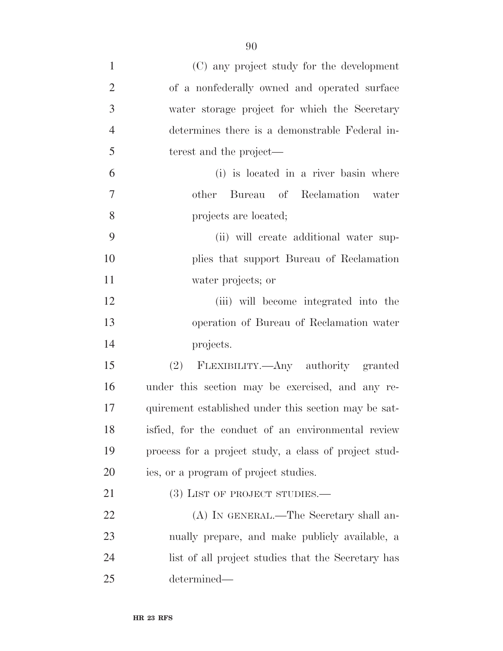| $\mathbf{1}$   | (C) any project study for the development             |
|----------------|-------------------------------------------------------|
| $\overline{2}$ | of a nonfederally owned and operated surface          |
| 3              | water storage project for which the Secretary         |
| $\overline{4}$ | determines there is a demonstrable Federal in-        |
| 5              | terest and the project—                               |
| 6              | (i) is located in a river basin where                 |
| $\overline{7}$ | other Bureau of Reclamation water                     |
| 8              | projects are located;                                 |
| 9              | (ii) will create additional water sup-                |
| 10             | plies that support Bureau of Reclamation              |
| 11             | water projects; or                                    |
| 12             | (iii) will become integrated into the                 |
| 13             | operation of Bureau of Reclamation water              |
| 14             | projects.                                             |
| 15             | (2) FLEXIBILITY.—Any authority granted                |
| 16             | under this section may be exercised, and any re-      |
| 17             | quirement established under this section may be sat-  |
| 18             | isfied, for the conduct of an environmental review    |
| 19             | process for a project study, a class of project stud- |
| 20             | ies, or a program of project studies.                 |
| 21             | $(3)$ LIST OF PROJECT STUDIES.—                       |
| 22             | (A) IN GENERAL.—The Secretary shall an-               |
| 23             | nually prepare, and make publicly available, a        |
| 24             | list of all project studies that the Secretary has    |
| 25             | determined—                                           |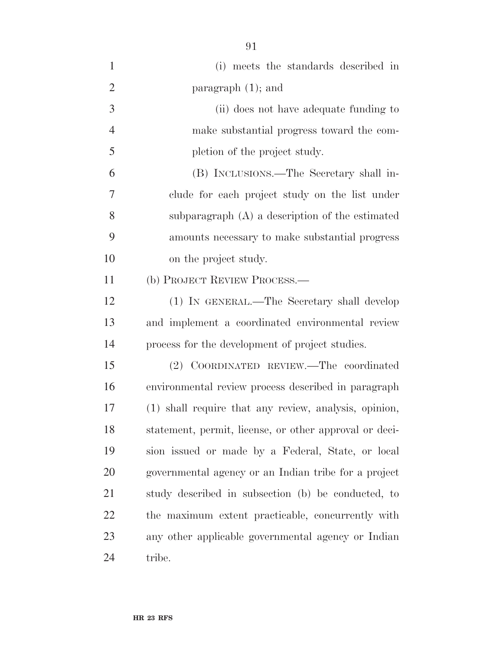| $\mathbf{1}$   | (i) meets the standards described in                   |
|----------------|--------------------------------------------------------|
| $\overline{2}$ | paragraph $(1)$ ; and                                  |
| 3              | (ii) does not have adequate funding to                 |
| $\overline{4}$ | make substantial progress toward the com-              |
| 5              | pletion of the project study.                          |
| 6              | (B) INCLUSIONS.—The Secretary shall in-                |
| 7              | clude for each project study on the list under         |
| 8              | subparagraph $(A)$ a description of the estimated      |
| 9              | amounts necessary to make substantial progress         |
| 10             | on the project study.                                  |
| 11             | (b) PROJECT REVIEW PROCESS.—                           |
| 12             | (1) IN GENERAL.—The Secretary shall develop            |
| 13             | and implement a coordinated environmental review       |
| 14             | process for the development of project studies.        |
| 15             | (2) COORDINATED REVIEW.—The coordinated                |
| 16             | environmental review process described in paragraph    |
| 17             | (1) shall require that any review, analysis, opinion,  |
| 18             | statement, permit, license, or other approval or deci- |
| 19             | sion issued or made by a Federal, State, or local      |
| 20             | governmental agency or an Indian tribe for a project   |
| 21             | study described in subsection (b) be conducted, to     |
| 22             | the maximum extent practicable, concurrently with      |
| 23             | any other applicable governmental agency or Indian     |
| 24             | tribe.                                                 |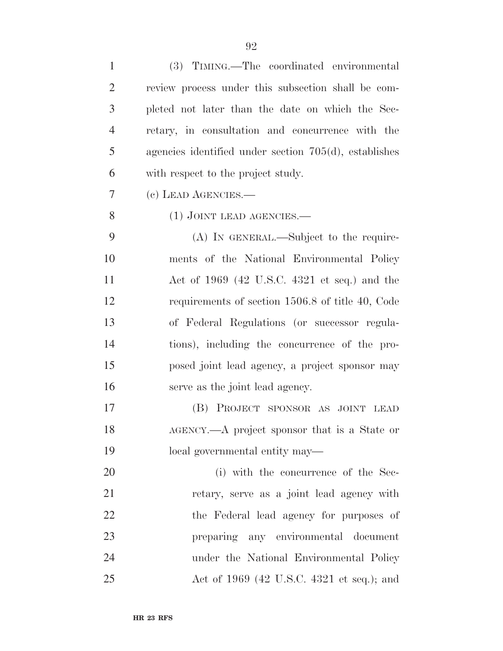| $\mathbf{1}$   | (3) TIMING.—The coordinated environmental                |
|----------------|----------------------------------------------------------|
| $\overline{2}$ | review process under this subsection shall be com-       |
| 3              | pleted not later than the date on which the Sec-         |
| $\overline{4}$ | retary, in consultation and concurrence with the         |
| 5              | agencies identified under section $705(d)$ , establishes |
| 6              | with respect to the project study.                       |
| 7              | (c) LEAD AGENCIES.—                                      |
| 8              | $(1)$ JOINT LEAD AGENCIES.—                              |
| 9              | (A) IN GENERAL.—Subject to the require-                  |
| 10             | ments of the National Environmental Policy               |
| 11             | Act of $1969$ (42 U.S.C. 4321 et seq.) and the           |
| 12             | requirements of section 1506.8 of title 40, Code         |
| 13             | of Federal Regulations (or successor regula-             |
| 14             | tions), including the concurrence of the pro-            |
| 15             | posed joint lead agency, a project sponsor may           |
| 16             | serve as the joint lead agency.                          |
| 17             | PROJECT SPONSOR AS JOINT LEAD<br>(B)                     |
| 18             | AGENCY.—A project sponsor that is a State or             |
| 19             | local governmental entity may—                           |
| 20             | (i) with the concurrence of the Sec-                     |
| 21             | retary, serve as a joint lead agency with                |
| 22             | the Federal lead agency for purposes of                  |
| 23             | preparing any environmental document                     |
| 24             | under the National Environmental Policy                  |
| 25             | Act of 1969 (42 U.S.C. 4321 et seq.); and                |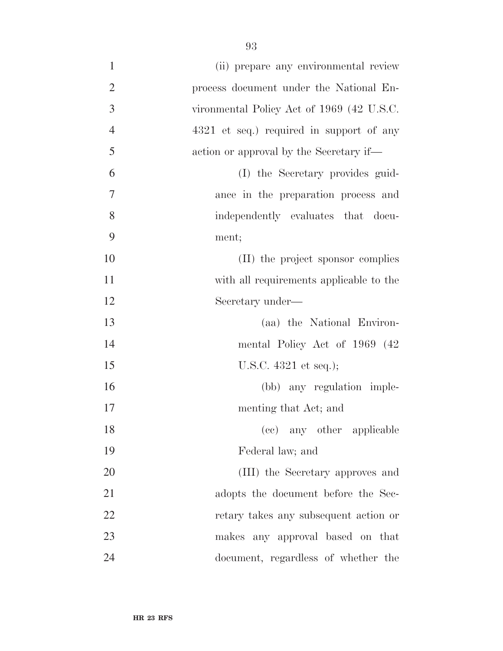| $\mathbf{1}$   | (ii) prepare any environmental review     |
|----------------|-------------------------------------------|
| $\overline{2}$ | process document under the National En-   |
| $\mathfrak{Z}$ | vironmental Policy Act of 1969 (42 U.S.C. |
| $\overline{4}$ | 4321 et seq.) required in support of any  |
| 5              | action or approval by the Secretary if—   |
| 6              | (I) the Secretary provides guid-          |
| 7              | ance in the preparation process and       |
| 8              | independently evaluates that docu-        |
| 9              | ment;                                     |
| 10             | (II) the project sponsor complies         |
| 11             | with all requirements applicable to the   |
| 12             | Secretary under—                          |
| 13             | (aa) the National Environ-                |
| 14             | mental Policy Act of 1969 (42)            |
| 15             | U.S.C. $4321$ et seq.);                   |
| 16             | (bb) any regulation imple-                |
| 17             | menting that Act; and                     |
| 18             | (cc) any other applicable                 |
| 19             | Federal law; and                          |
| 20             | (III) the Secretary approves and          |
| 21             | adopts the document before the Sec-       |
| 22             | retary takes any subsequent action or     |
| 23             | makes any approval based on that          |
| 24             | document, regardless of whether the       |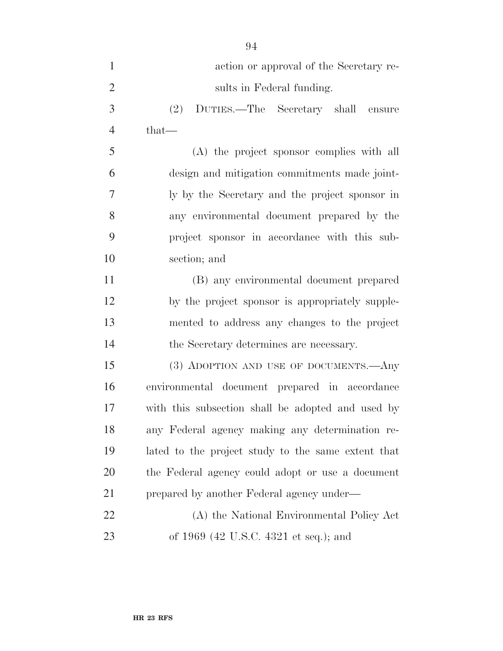| $\mathbf{1}$   | action or approval of the Secretary re-            |
|----------------|----------------------------------------------------|
| $\overline{2}$ | sults in Federal funding.                          |
| 3              | DUTIES.—The Secretary shall ensure<br>(2)          |
| $\overline{4}$ | $that-$                                            |
| 5              | (A) the project sponsor complies with all          |
| 6              | design and mitigation commitments made joint-      |
| $\overline{7}$ | ly by the Secretary and the project sponsor in     |
| 8              | any environmental document prepared by the         |
| 9              | project sponsor in accordance with this sub-       |
| 10             | section; and                                       |
| 11             | (B) any environmental document prepared            |
| 12             | by the project sponsor is appropriately supple-    |
| 13             | mented to address any changes to the project       |
| 14             | the Secretary determines are necessary.            |
| 15             | (3) ADOPTION AND USE OF DOCUMENTS.—Any             |
| 16             | environmental document prepared in accordance      |
| 17             | with this subsection shall be adopted and used by  |
| 18             | any Federal agency making any determination re-    |
| 19             | lated to the project study to the same extent that |
| 20             | the Federal agency could adopt or use a document   |
| 21             | prepared by another Federal agency under—          |
| 22             | (A) the National Environmental Policy Act          |
| 23             | of 1969 (42 U.S.C. 4321 et seq.); and              |

**HR 23 RFS**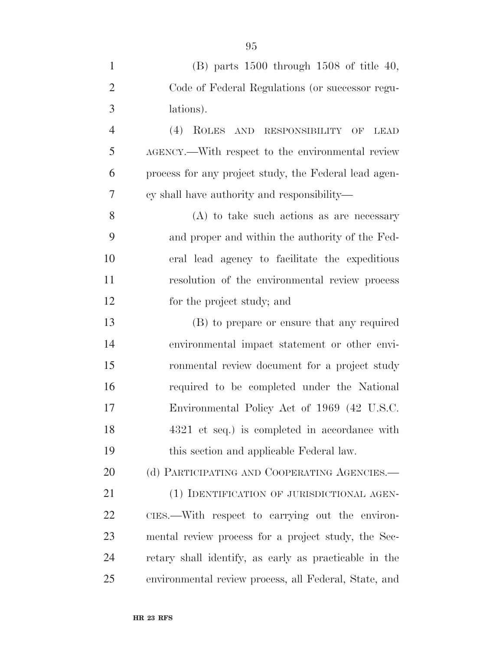| $\mathbf{1}$   | $(B)$ parts 1500 through 1508 of title 40,            |
|----------------|-------------------------------------------------------|
| $\overline{2}$ | Code of Federal Regulations (or successor regu-       |
| 3              | lations).                                             |
| $\overline{4}$ | $(4)$ ROLES<br>AND RESPONSIBILITY OF<br><b>LEAD</b>   |
| 5              | AGENCY.—With respect to the environmental review      |
| 6              | process for any project study, the Federal lead agen- |
| $\overline{7}$ | cy shall have authority and responsibility—           |
| 8              | $(A)$ to take such actions as are necessary           |
| 9              | and proper and within the authority of the Fed-       |
| 10             | eral lead agency to facilitate the expeditious        |
| 11             | resolution of the environmental review process        |
| 12             | for the project study; and                            |
| 13             | (B) to prepare or ensure that any required            |
| 14             | environmental impact statement or other envi-         |
| 15             | ronmental review document for a project study         |
| 16             | required to be completed under the National           |
| 17             | Environmental Policy Act of 1969 (42 U.S.C.           |
| 18             | 4321 et seq.) is completed in accordance with         |
| 19             | this section and applicable Federal law.              |
| 20             | (d) PARTICIPATING AND COOPERATING AGENCIES.-          |
| 21             | (1) IDENTIFICATION OF JURISDICTIONAL AGEN-            |
| 22             | CIES.—With respect to carrying out the environ-       |
| 23             | mental review process for a project study, the Sec-   |
| 24             | retary shall identify, as early as practicable in the |
| 25             | environmental review process, all Federal, State, and |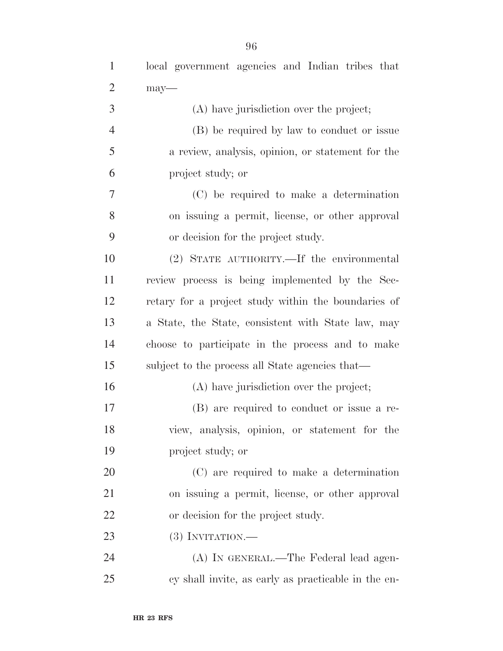| $\mathbf{1}$   | local government agencies and Indian tribes that    |
|----------------|-----------------------------------------------------|
| $\overline{2}$ | may-                                                |
| 3              | (A) have jurisdiction over the project;             |
| $\overline{4}$ | (B) be required by law to conduct or issue          |
| 5              | a review, analysis, opinion, or statement for the   |
| 6              | project study; or                                   |
| 7              | (C) be required to make a determination             |
| 8              | on issuing a permit, license, or other approval     |
| 9              | or decision for the project study.                  |
| 10             | (2) STATE AUTHORITY.—If the environmental           |
| 11             | review process is being implemented by the Sec-     |
| 12             | retary for a project study within the boundaries of |
| 13             | a State, the State, consistent with State law, may  |
| 14             | choose to participate in the process and to make    |
| 15             | subject to the process all State agencies that—     |
| 16             | (A) have jurisdiction over the project;             |
| 17             | (B) are required to conduct or issue a re-          |
| 18             | view, analysis, opinion, or statement for the       |
| 19             | project study; or                                   |
| 20             | (C) are required to make a determination            |
| 21             | on issuing a permit, license, or other approval     |
| 22             | or decision for the project study.                  |
| 23             | $(3)$ INVITATION.—                                  |
| 24             | (A) IN GENERAL.—The Federal lead agen-              |
| 25             | cy shall invite, as early as practicable in the en- |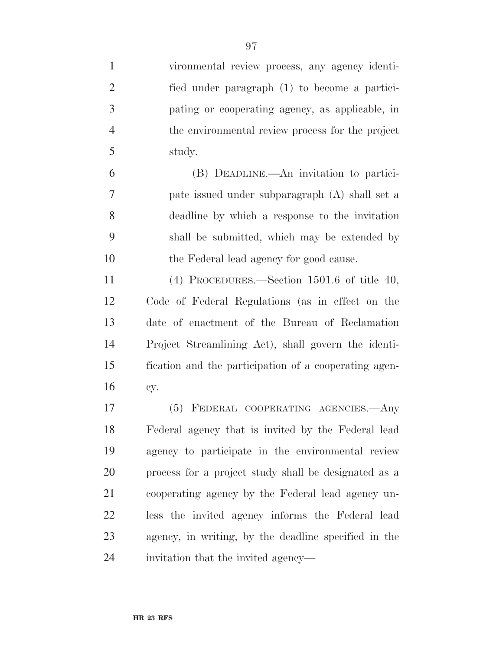| $\mathbf{1}$   | vironmental review process, any agency identi-        |
|----------------|-------------------------------------------------------|
| $\overline{2}$ | fied under paragraph (1) to become a partici-         |
| 3              | pating or cooperating agency, as applicable, in       |
| $\overline{4}$ | the environmental review process for the project      |
| 5              | study.                                                |
| 6              | (B) DEADLINE.—An invitation to partici-               |
| $\overline{7}$ | pate issued under subparagraph (A) shall set a        |
| 8              | deadline by which a response to the invitation        |
| 9              | shall be submitted, which may be extended by          |
| 10             | the Federal lead agency for good cause.               |
| 11             | $(4)$ PROCEDURES.—Section 1501.6 of title 40,         |
| 12             | Code of Federal Regulations (as in effect on the      |
| 13             | date of enactment of the Bureau of Reclamation        |
| 14             | Project Streamlining Act), shall govern the identi-   |
| 15             | fication and the participation of a cooperating agen- |
| 16             | cy.                                                   |
| 17             | FEDERAL COOPERATING AGENCIES. Any<br>(5)              |
| 18             | Federal agency that is invited by the Federal lead    |
| 19             | agency to participate in the environmental review     |
| 20             | process for a project study shall be designated as a  |
| 21             | cooperating agency by the Federal lead agency un-     |
| 22             | less the invited agency informs the Federal lead      |
| 23             | agency, in writing, by the deadline specified in the  |
| 24             | invitation that the invited agency—                   |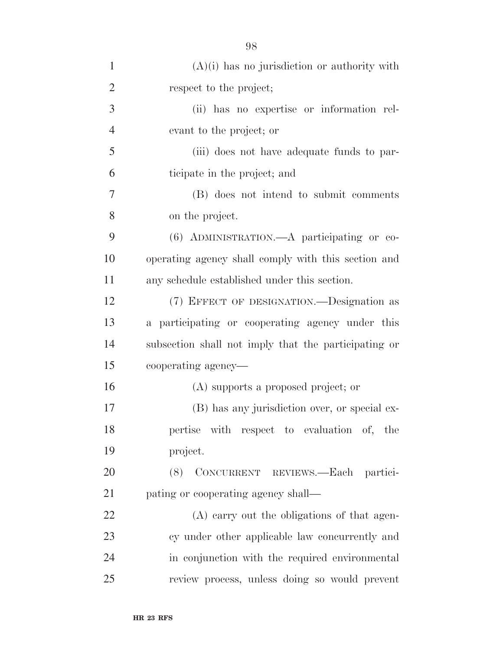| $\mathbf{1}$   | $(A)(i)$ has no jurisdiction or authority with       |
|----------------|------------------------------------------------------|
| $\overline{2}$ | respect to the project;                              |
| 3              | (ii) has no expertise or information rel-            |
| $\overline{4}$ | evant to the project; or                             |
| 5              | (iii) does not have adequate funds to par-           |
| 6              | ticipate in the project; and                         |
| 7              | (B) does not intend to submit comments               |
| 8              | on the project.                                      |
| 9              | $(6)$ ADMINISTRATION.—A participating or co-         |
| 10             | operating agency shall comply with this section and  |
| 11             | any schedule established under this section.         |
| 12             | (7) EFFECT OF DESIGNATION.—Designation as            |
| 13             | a participating or cooperating agency under this     |
| 14             | subsection shall not imply that the participating or |
| 15             | cooperating agency—                                  |
| 16             | (A) supports a proposed project; or                  |
| 17             | (B) has any jurisdiction over, or special ex-        |
| 18             | pertise with respect to evaluation of, the           |
| 19             | project.                                             |
| 20             | (8) CONCURRENT REVIEWS.—Each partici-                |
| 21             | pating or cooperating agency shall—                  |
| 22             | (A) carry out the obligations of that agen-          |
| 23             | cy under other applicable law concurrently and       |
| 24             | in conjunction with the required environmental       |
| 25             | review process, unless doing so would prevent        |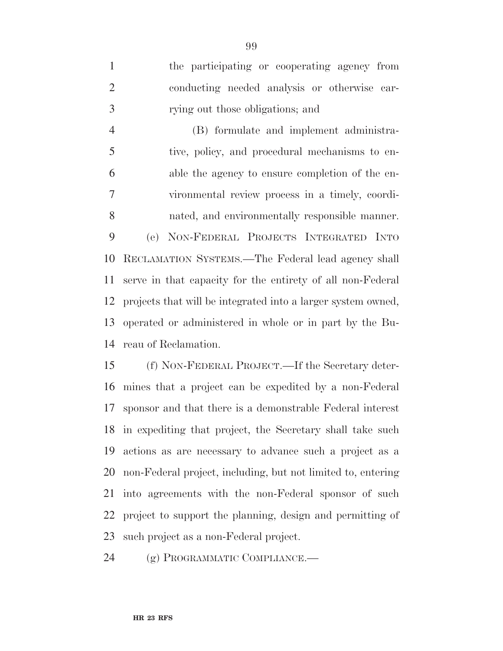the participating or cooperating agency from conducting needed analysis or otherwise car-rying out those obligations; and

 (B) formulate and implement administra- tive, policy, and procedural mechanisms to en- able the agency to ensure completion of the en- vironmental review process in a timely, coordi- nated, and environmentally responsible manner. (e) NON-FEDERAL PROJECTS INTEGRATED INTO RECLAMATION SYSTEMS.—The Federal lead agency shall serve in that capacity for the entirety of all non-Federal projects that will be integrated into a larger system owned, operated or administered in whole or in part by the Bu-reau of Reclamation.

 (f) NON-FEDERAL PROJECT.—If the Secretary deter- mines that a project can be expedited by a non-Federal sponsor and that there is a demonstrable Federal interest in expediting that project, the Secretary shall take such actions as are necessary to advance such a project as a non-Federal project, including, but not limited to, entering into agreements with the non-Federal sponsor of such project to support the planning, design and permitting of such project as a non-Federal project.

(g) PROGRAMMATIC COMPLIANCE.—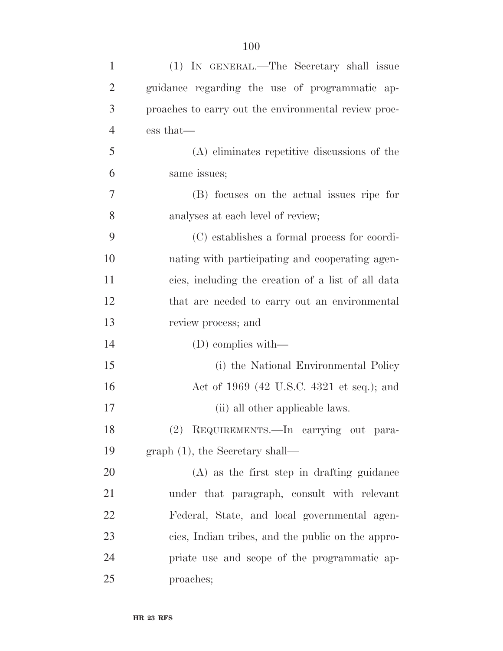| $\mathbf{1}$   | (1) IN GENERAL.—The Secretary shall issue            |
|----------------|------------------------------------------------------|
| $\overline{2}$ | guidance regarding the use of programmatic ap-       |
| 3              | proaches to carry out the environmental review proc- |
| $\overline{4}$ | ess that—                                            |
| 5              | (A) eliminates repetitive discussions of the         |
| 6              | same issues;                                         |
| 7              | (B) focuses on the actual issues ripe for            |
| 8              | analyses at each level of review;                    |
| 9              | (C) establishes a formal process for coordi-         |
| 10             | nating with participating and cooperating agen-      |
| 11             | cies, including the creation of a list of all data   |
| 12             | that are needed to carry out an environmental        |
| 13             | review process; and                                  |
| 14             | $(D)$ complies with—                                 |
| 15             | (i) the National Environmental Policy                |
| 16             | Act of 1969 (42 U.S.C. 4321 et seq.); and            |
| 17             | (ii) all other applicable laws.                      |
| 18             | (2) REQUIREMENTS. In carrying out para-              |
| 19             | $graph(1)$ , the Secretary shall—                    |
| 20             | (A) as the first step in drafting guidance           |
| 21             | under that paragraph, consult with relevant          |
| 22             | Federal, State, and local governmental agen-         |
| 23             | cies, Indian tribes, and the public on the appro-    |
| 24             | priate use and scope of the programmatic ap-         |
| 25             | proaches;                                            |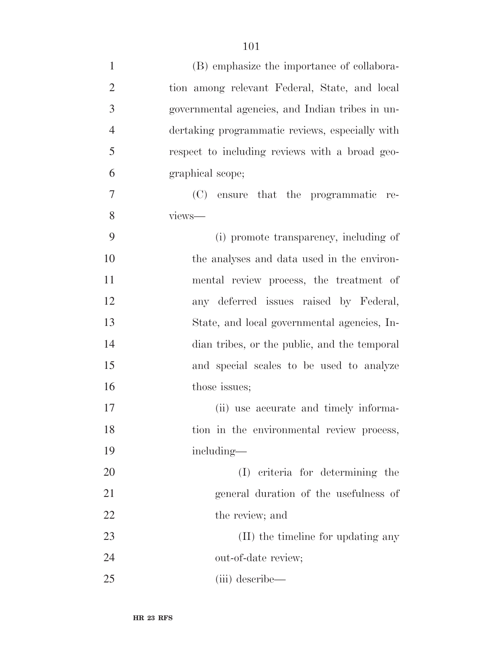| $\mathbf{1}$   | (B) emphasize the importance of collabora-      |
|----------------|-------------------------------------------------|
| $\overline{2}$ | tion among relevant Federal, State, and local   |
| 3              | governmental agencies, and Indian tribes in un- |
| $\overline{4}$ | dertaking programmatic reviews, especially with |
| 5              | respect to including reviews with a broad geo-  |
| 6              | graphical scope;                                |
| 7              | ensure that the programmatic<br>(C)<br>re-      |
| 8              | views-                                          |
| 9              | (i) promote transparency, including of          |
| 10             | the analyses and data used in the environ-      |
| 11             | mental review process, the treatment of         |
| 12             | any deferred issues raised by Federal,          |
| 13             | State, and local governmental agencies, In-     |
| 14             | dian tribes, or the public, and the temporal    |
| 15             | and special scales to be used to analyze        |
| 16             | those issues;                                   |
| 17             | (ii) use accurate and timely informa-           |
| 18             | tion in the environmental review process,       |
| 19             | including—                                      |
| 20             | (I) criteria for determining the                |
| 21             | general duration of the usefulness of           |
| 22             | the review; and                                 |
| 23             | (II) the timeline for updating any              |
| 24             | out-of-date review;                             |
| 25             | (iii) describe—                                 |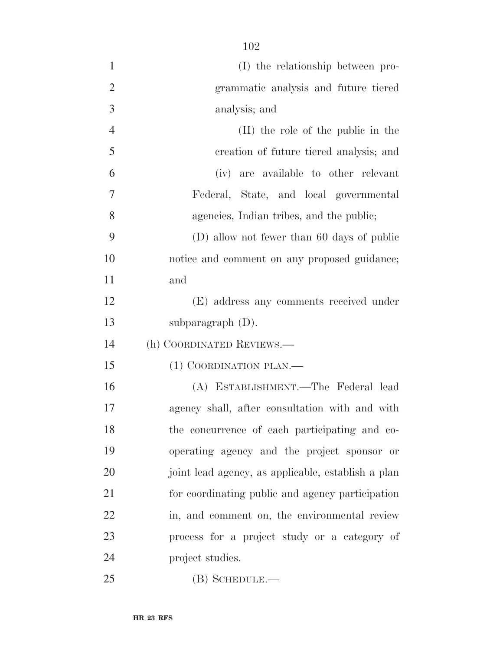| $\mathbf{1}$   | (I) the relationship between pro-                  |
|----------------|----------------------------------------------------|
| $\overline{2}$ | grammatic analysis and future tiered               |
| 3              | analysis; and                                      |
| $\overline{4}$ | (II) the role of the public in the                 |
| 5              | creation of future tiered analysis; and            |
| 6              | (iv) are available to other relevant               |
| 7              | Federal, State, and local governmental             |
| 8              | agencies, Indian tribes, and the public;           |
| 9              | (D) allow not fewer than 60 days of public         |
| 10             | notice and comment on any proposed guidance;       |
| 11             | and                                                |
| 12             | (E) address any comments received under            |
| 13             | subparagraph $(D)$ .                               |
| 14             | (h) COORDINATED REVIEWS.—                          |
| 15             | (1) COORDINATION PLAN.—                            |
| 16             | (A) ESTABLISHMENT.—The Federal lead                |
| 17             | agency shall, after consultation with and with     |
| 18             | the concurrence of each participating and co-      |
| 19             | operating agency and the project sponsor or        |
| 20             | joint lead agency, as applicable, establish a plan |
| 21             | for coordinating public and agency participation   |
| 22             | in, and comment on, the environmental review       |
| 23             | process for a project study or a category of       |
| 24             | project studies.                                   |
| 25             | $(B)$ SCHEDULE.—                                   |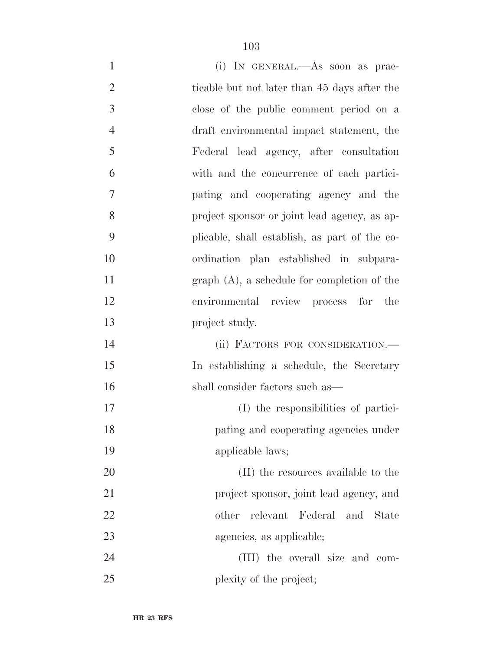| $\mathbf{1}$   | (i) IN GENERAL.—As soon as prac-              |
|----------------|-----------------------------------------------|
| $\overline{2}$ | ticable but not later than 45 days after the  |
| 3              | close of the public comment period on a       |
| $\overline{4}$ | draft environmental impact statement, the     |
| 5              | Federal lead agency, after consultation       |
| 6              | with and the concurrence of each partici-     |
| 7              | pating and cooperating agency and the         |
| 8              | project sponsor or joint lead agency, as ap-  |
| 9              | plicable, shall establish, as part of the co- |
| 10             | ordination plan established in subpara-       |
| 11             | $graph(A)$ , a schedule for completion of the |
| 12             | environmental review process for the          |
| 13             | project study.                                |
| 14             | (ii) FACTORS FOR CONSIDERATION.—              |
| 15             | In establishing a schedule, the Secretary     |
| 16             | shall consider factors such as—               |
| 17             | (I) the responsibilities of partici-          |
| 18             | pating and cooperating agencies under         |
| 19             | applicable laws;                              |
| 20             | (II) the resources available to the           |
| 21             | project sponsor, joint lead agency, and       |
| 22             | relevant<br>Federal and<br>other<br>State     |
| 23             | agencies, as applicable;                      |
| 24             | (III) the overall size and com-               |
| 25             | plexity of the project;                       |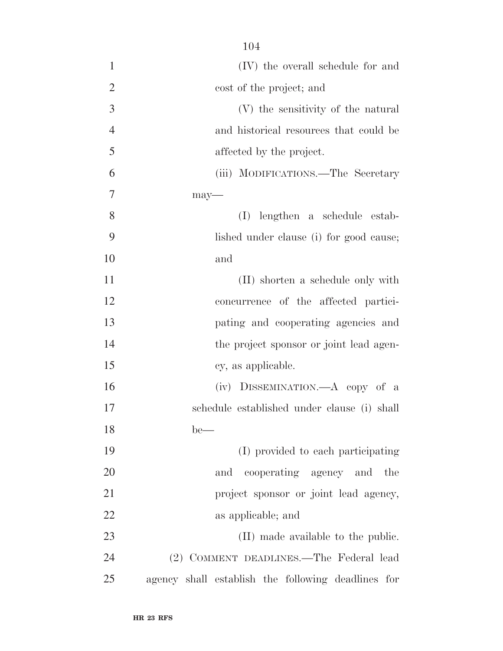| $\mathbf{1}$   | (IV) the overall schedule for and                  |
|----------------|----------------------------------------------------|
| $\overline{2}$ | cost of the project; and                           |
| 3              | (V) the sensitivity of the natural                 |
| $\overline{4}$ | and historical resources that could be             |
| 5              | affected by the project.                           |
| 6              | (iii) MODIFICATIONS.—The Secretary                 |
| 7              | $may-$                                             |
| 8              | (I)<br>lengthen a schedule estab-                  |
| 9              | lished under clause (i) for good cause;            |
| 10             | and                                                |
| 11             | (II) shorten a schedule only with                  |
| 12             | concurrence of the affected partici-               |
| 13             | pating and cooperating agencies and                |
| 14             | the project sponsor or joint lead agen-            |
| 15             | cy, as applicable.                                 |
| 16             | (iv) DISSEMINATION.—A copy of a                    |
| 17             | schedule established under clause (i) shall        |
| 18             | $be$ —                                             |
| 19             | (I) provided to each participating                 |
| 20             | cooperating agency and the<br>and                  |
| 21             | project sponsor or joint lead agency,              |
| 22             | as applicable; and                                 |
| 23             | (II) made available to the public.                 |
| 24             | (2) COMMENT DEADLINES.—The Federal lead            |
| 25             | agency shall establish the following deadlines for |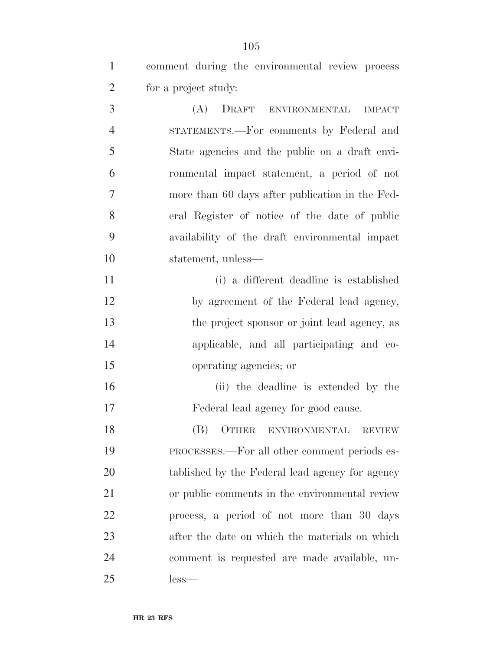comment during the environmental review process for a project study:

 (A) DRAFT ENVIRONMENTAL IMPACT STATEMENTS.—For comments by Federal and State agencies and the public on a draft envi- ronmental impact statement, a period of not more than 60 days after publication in the Fed- eral Register of notice of the date of public availability of the draft environmental impact statement, unless—

 (i) a different deadline is established by agreement of the Federal lead agency, the project sponsor or joint lead agency, as applicable, and all participating and co-operating agencies; or

 (ii) the deadline is extended by the Federal lead agency for good cause.

 (B) OTHER ENVIRONMENTAL REVIEW PROCESSES.—For all other comment periods es- tablished by the Federal lead agency for agency or public comments in the environmental review process, a period of not more than 30 days after the date on which the materials on which comment is requested are made available, un-less—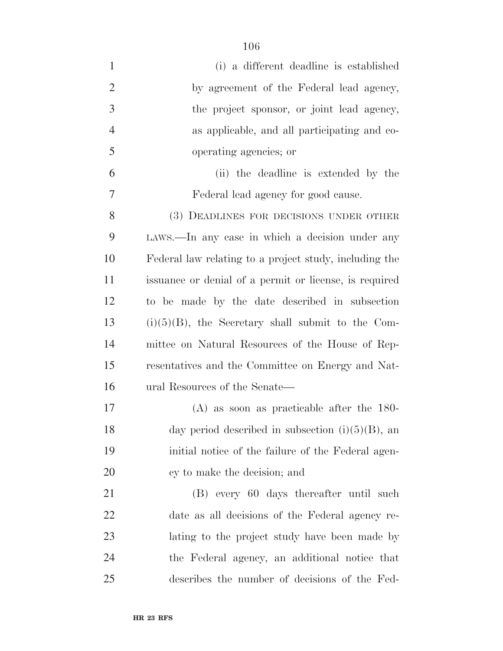| $\mathbf{1}$   | (i) a different deadline is established                |
|----------------|--------------------------------------------------------|
| $\overline{2}$ | by agreement of the Federal lead agency,               |
| 3              | the project sponsor, or joint lead agency,             |
| $\overline{4}$ | as applicable, and all participating and co-           |
| 5              | operating agencies; or                                 |
| 6              | (ii) the deadline is extended by the                   |
| 7              | Federal lead agency for good cause.                    |
| 8              | (3) DEADLINES FOR DECISIONS UNDER OTHER                |
| 9              | LAWS.—In any case in which a decision under any        |
| 10             | Federal law relating to a project study, including the |
| 11             | issuance or denial of a permit or license, is required |
| 12             | to be made by the date described in subsection         |
| 13             | $(i)(5)(B)$ , the Secretary shall submit to the Com-   |
| 14             | mittee on Natural Resources of the House of Rep-       |
| 15             | resentatives and the Committee on Energy and Nat-      |
| 16             | ural Resources of the Senate—                          |
| 17             | $(A)$ as soon as practicable after the 180-            |
| 18             | day period described in subsection $(i)(5)(B)$ , an    |
| 19             | initial notice of the failure of the Federal agen-     |
| 20             | cy to make the decision; and                           |
| 21             | (B) every 60 days thereafter until such                |
| 22             | date as all decisions of the Federal agency re-        |
| 23             | lating to the project study have been made by          |
| 24             | the Federal agency, an additional notice that          |
| 25             | describes the number of decisions of the Fed-          |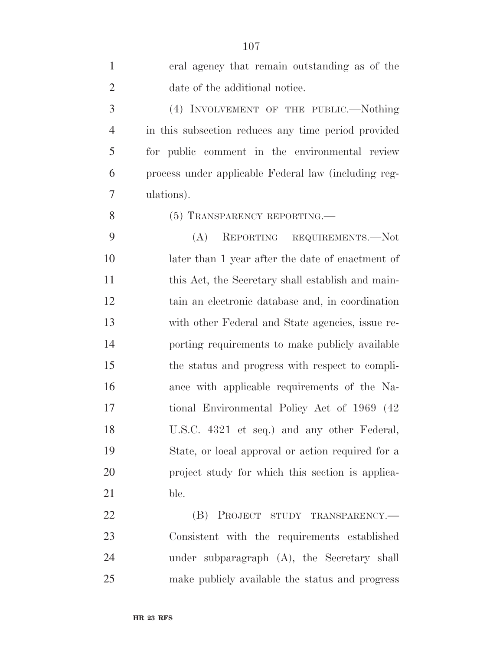| $\mathbf{1}$   | eral agency that remain outstanding as of the        |
|----------------|------------------------------------------------------|
| $\overline{2}$ | date of the additional notice.                       |
| 3              | (4) INVOLVEMENT OF THE PUBLIC.—Nothing               |
| $\overline{4}$ | in this subsection reduces any time period provided  |
| 5              | for public comment in the environmental review       |
| 6              | process under applicable Federal law (including reg- |
| 7              | ulations).                                           |
| 8              | (5) TRANSPARENCY REPORTING.—                         |
| 9              | REPORTING REQUIREMENTS.-Not<br>(A)                   |
| 10             | later than 1 year after the date of enactment of     |
| 11             | this Act, the Secretary shall establish and main-    |
| 12             | tain an electronic database and, in coordination     |
| 13             | with other Federal and State agencies, issue re-     |
| 14             | porting requirements to make publicly available      |
| 15             | the status and progress with respect to compli-      |
| 16             | ance with applicable requirements of the Na-         |
| 17             | tional Environmental Policy Act of 1969 (42)         |
| 18             | U.S.C. 4321 et seq.) and any other Federal,          |
| 19             | State, or local approval or action required for a    |
| 20             | project study for which this section is applica-     |
| 21             | ble.                                                 |
| 22             | (B)<br>PROJECT STUDY TRANSPARENCY.                   |
| 23             | Consistent with the requirements established         |
| 24             | under subparagraph $(A)$ , the Secretary shall       |
| 25             | make publicly available the status and progress      |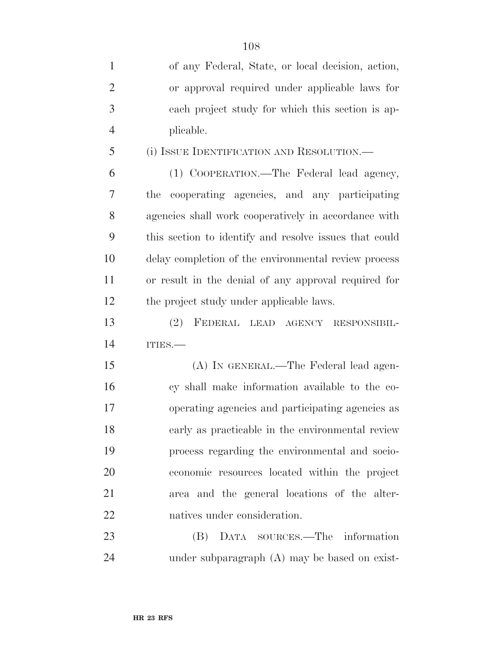| $\mathbf{1}$   | of any Federal, State, or local decision, action,      |
|----------------|--------------------------------------------------------|
| $\overline{2}$ | or approval required under applicable laws for         |
| 3              | each project study for which this section is ap-       |
| $\overline{4}$ | plicable.                                              |
| 5              | (i) ISSUE IDENTIFICATION AND RESOLUTION.               |
| 6              | (1) COOPERATION.—The Federal lead agency,              |
| 7              | cooperating agencies, and any participating<br>the     |
| 8              | agencies shall work cooperatively in accordance with   |
| 9              | this section to identify and resolve issues that could |
| 10             | delay completion of the environmental review process   |
| 11             | or result in the denial of any approval required for   |
| 12             | the project study under applicable laws.               |
| 13             | FEDERAL LEAD AGENCY RESPONSIBIL-<br><sup>(2)</sup>     |
| 14             | ITIES.                                                 |
| 15             | (A) IN GENERAL.—The Federal lead agen-                 |
| 16             | cy shall make information available to the co-         |
| 17             | operating agencies and participating agencies as       |
| 18             | early as practicable in the environmental review       |
| 19             | process regarding the environmental and socio-         |
| 20             | economic resources located within the project          |
| 21             | area and the general locations of the alter-           |
| 22             | natives under consideration.                           |
| 23             | (B) DATA SOURCES.—The information                      |
| 24             | under subparagraph (A) may be based on exist-          |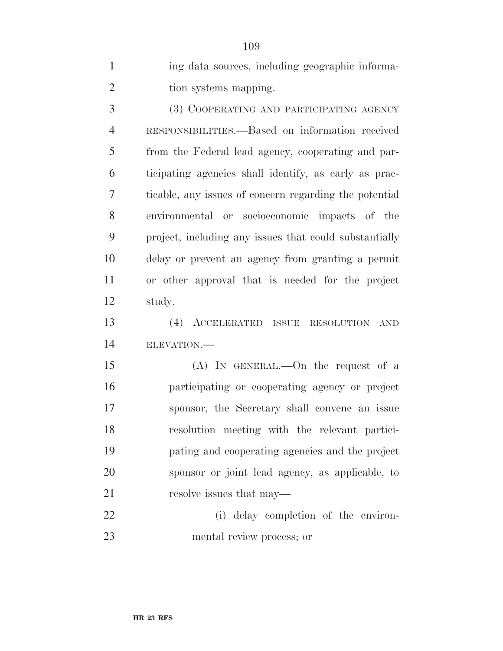| $\mathbf{1}$   | ing data sources, including geographic informa-        |
|----------------|--------------------------------------------------------|
| $\overline{2}$ | tion systems mapping.                                  |
| 3              | (3) COOPERATING AND PARTICIPATING AGENCY               |
| $\overline{4}$ | RESPONSIBILITIES.—Based on information received        |
| 5              | from the Federal lead agency, cooperating and par-     |
| 6              | ticipating agencies shall identify, as early as prac-  |
| 7              | ticable, any issues of concern regarding the potential |
| 8              | environmental or socioeconomic impacts of the          |
| 9              | project, including any issues that could substantially |
| 10             | delay or prevent an agency from granting a permit      |
| 11             | or other approval that is needed for the project       |
| 12             | study.                                                 |
| 13             | (4)<br>ACCELERATED ISSUE RESOLUTION<br><b>AND</b>      |
| 14             | ELEVATION.-                                            |
| 15             | (A) IN GENERAL.—On the request of a                    |
| 16             | participating or cooperating agency or project         |
| 17             | sponsor, the Secretary shall convene an issue          |
| 18             | resolution meeting with the relevant partici-          |
| 19             | pating and cooperating agencies and the project        |
| 20             | sponsor or joint lead agency, as applicable, to        |
| 21             | resolve issues that may—                               |
| 22             | (i) delay completion of the environ-                   |
| 23             | mental review process; or                              |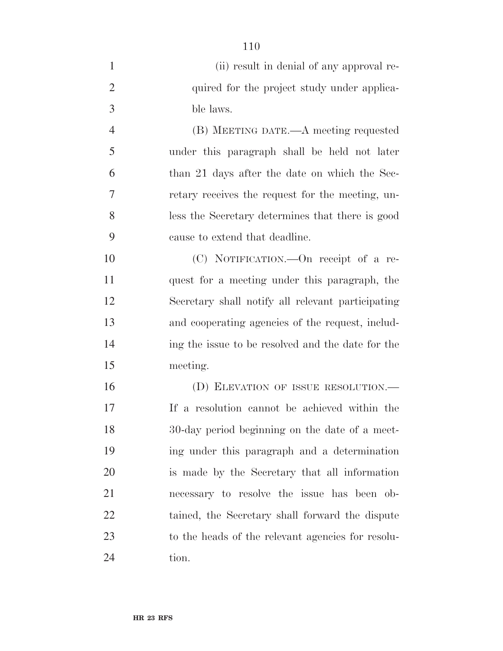| $\mathbf{1}$   | (ii) result in denial of any approval re-         |
|----------------|---------------------------------------------------|
| $\overline{2}$ | quired for the project study under applica-       |
| 3              | ble laws.                                         |
| $\overline{4}$ | (B) MEETING DATE.—A meeting requested             |
| 5              | under this paragraph shall be held not later      |
| 6              | than 21 days after the date on which the Sec-     |
| 7              | retary receives the request for the meeting, un-  |
| 8              | less the Secretary determines that there is good  |
| 9              | cause to extend that deadline.                    |
| 10             | (C) NOTIFICATION.—On receipt of a re-             |
| 11             | quest for a meeting under this paragraph, the     |
| 12             | Secretary shall notify all relevant participating |
| 13             | and cooperating agencies of the request, includ-  |
| 14             | ing the issue to be resolved and the date for the |
| 15             | meeting.                                          |
| 16             | (D) ELEVATION OF ISSUE RESOLUTION.—               |
| 17             | If a resolution cannot be achieved within the     |
| 18             | 30-day period beginning on the date of a meet-    |
| 19             | ing under this paragraph and a determination      |
| <b>20</b>      | is made by the Secretary that all information     |
| 21             | necessary to resolve the issue has been ob-       |
| 22             | tained, the Secretary shall forward the dispute   |
| 23             | to the heads of the relevant agencies for resolu- |
| 24             | tion.                                             |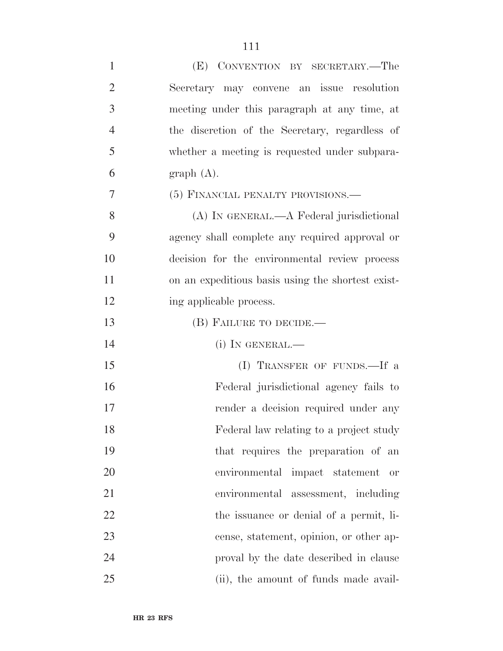| $\mathbf{1}$   | (E) CONVENTION BY SECRETARY.—The                  |
|----------------|---------------------------------------------------|
| $\overline{2}$ | Secretary may convene an issue resolution         |
| 3              | meeting under this paragraph at any time, at      |
| $\overline{4}$ | the discretion of the Secretary, regardless of    |
| 5              | whether a meeting is requested under subpara-     |
| 6              | graph(A).                                         |
| 7              | (5) FINANCIAL PENALTY PROVISIONS.—                |
| 8              | (A) IN GENERAL.—A Federal jurisdictional          |
| 9              | agency shall complete any required approval or    |
| 10             | decision for the environmental review process     |
| 11             | on an expeditious basis using the shortest exist- |
| 12             | ing applicable process.                           |
| 13             | (B) FAILURE TO DECIDE.—                           |
| 14             | $(i)$ In GENERAL.—                                |
| 15             | (I) TRANSFER OF FUNDS.—If a                       |
| 16             | Federal jurisdictional agency fails to            |
| 17             | render a decision required under any              |
| 18             | Federal law relating to a project study           |
| 19             | that requires the preparation of an               |
| 20             | environmental impact statement or                 |
| 21             | environmental assessment, including               |
| 22             | the issuance or denial of a permit, li-           |
| 23             | cense, statement, opinion, or other ap-           |
| 24             | proval by the date described in clause            |
| 25             | (ii), the amount of funds made avail-             |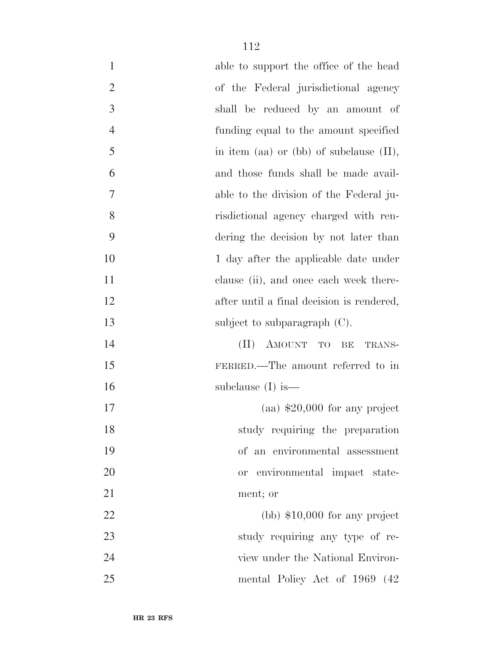| $\mathbf{1}$   | able to support the office of the head     |
|----------------|--------------------------------------------|
| $\overline{2}$ | of the Federal jurisdictional agency       |
| 3              | shall be reduced by an amount of           |
| $\overline{4}$ | funding equal to the amount specified      |
| $\mathfrak{S}$ | in item (aa) or (bb) of subclause $(II)$ , |
| 6              | and those funds shall be made avail-       |
| $\tau$         | able to the division of the Federal ju-    |
| 8              | risdictional agency charged with ren-      |
| 9              | dering the decision by not later than      |
| 10             | 1 day after the applicable date under      |
| 11             | clause (ii), and once each week there-     |
| 12             | after until a final decision is rendered,  |
| 13             | subject to subparagraph $(C)$ .            |
| 14             | (II) AMOUNT TO BE<br>TRANS-                |
| 15             | FERRED.—The amount referred to in          |
| 16             | subclause $(I)$ is —                       |
| 17             | $\alpha$ (aa) \$20,000 for any project     |
| 18             | study requiring the preparation            |
| 19             | of an environmental assessment             |
| 20             | environmental impact state-<br><b>or</b>   |
| 21             | ment; or                                   |
| 22             | $(bb)$ \$10,000 for any project            |
| 23             | study requiring any type of re-            |
| 24             | view under the National Environ-           |
| 25             | mental Policy Act of 1969 (42)             |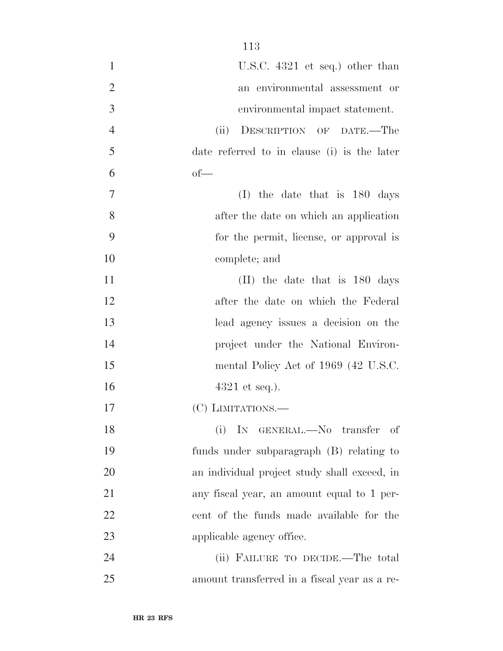| $\mathbf{1}$   | U.S.C. $4321$ et seq.) other than            |
|----------------|----------------------------------------------|
| $\overline{2}$ | an environmental assessment or               |
| $\mathfrak{Z}$ | environmental impact statement.              |
| $\overline{4}$ | DESCRIPTION OF DATE.-The<br>(ii)             |
| 5              | date referred to in clause (i) is the later  |
| 6              | $of-$                                        |
| $\tau$         | (I) the date that is $180 \text{ days}$      |
| 8              | after the date on which an application       |
| 9              | for the permit, license, or approval is      |
| 10             | complete; and                                |
| 11             | $(II)$ the date that is 180 days             |
| 12             | after the date on which the Federal          |
| 13             | lead agency issues a decision on the         |
| 14             | project under the National Environ-          |
| 15             | mental Policy Act of 1969 (42 U.S.C.         |
| 16             | $4321$ et seq.).                             |
| 17             | (C) LIMITATIONS.—                            |
| 18             | (i) IN GENERAL.-No transfer of               |
| 19             | funds under subparagraph (B) relating to     |
| 20             | an individual project study shall exceed, in |
| 21             | any fiscal year, an amount equal to 1 per-   |
| 22             | cent of the funds made available for the     |
| 23             | applicable agency office.                    |
| 24             | (ii) FAILURE TO DECIDE.—The total            |
| 25             | amount transferred in a fiscal year as a re- |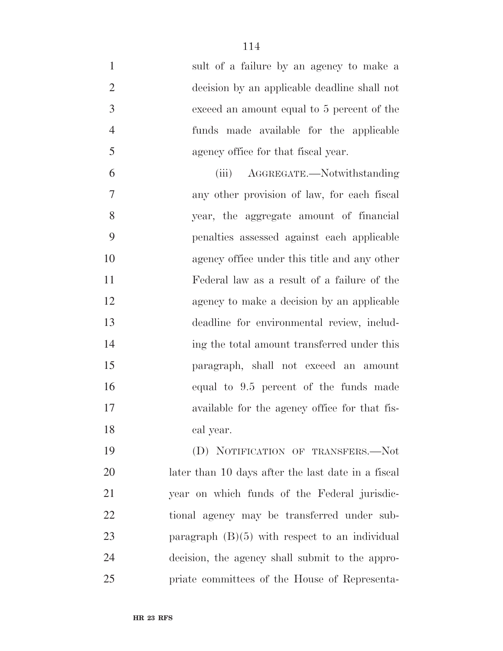- sult of a failure by an agency to make a decision by an applicable deadline shall not exceed an amount equal to 5 percent of the funds made available for the applicable agency office for that fiscal year. (iii) AGGREGATE.—Notwithstanding
- any other provision of law, for each fiscal year, the aggregate amount of financial penalties assessed against each applicable agency office under this title and any other Federal law as a result of a failure of the agency to make a decision by an applicable deadline for environmental review, includ- ing the total amount transferred under this paragraph, shall not exceed an amount equal to 9.5 percent of the funds made available for the agency office for that fis-cal year.

 (D) NOTIFICATION OF TRANSFERS.—Not later than 10 days after the last date in a fiscal year on which funds of the Federal jurisdic- tional agency may be transferred under sub- paragraph (B)(5) with respect to an individual decision, the agency shall submit to the appro-priate committees of the House of Representa-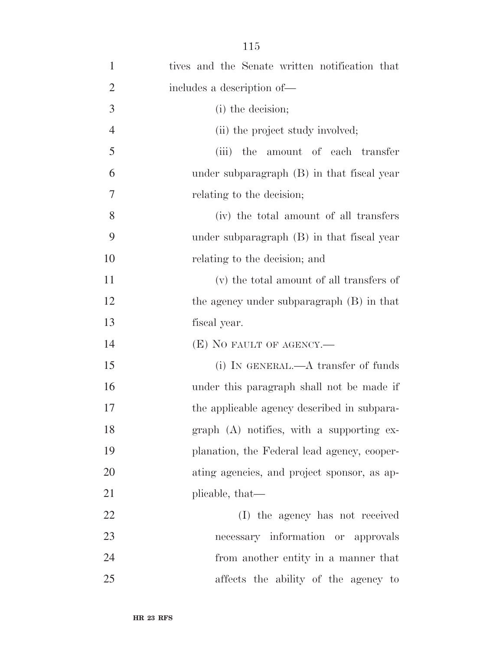| $\mathbf{1}$   | tives and the Senate written notification that |
|----------------|------------------------------------------------|
| $\overline{2}$ | includes a description of—                     |
| 3              | (i) the decision;                              |
| $\overline{4}$ | (ii) the project study involved;               |
| 5              | amount of each transfer<br>(iii)<br>the        |
| 6              | under subparagraph (B) in that fiscal year     |
| 7              | relating to the decision;                      |
| 8              | (iv) the total amount of all transfers         |
| 9              | under subparagraph (B) in that fiscal year     |
| 10             | relating to the decision; and                  |
| 11             | (v) the total amount of all transfers of       |
| 12             | the agency under subparagraph (B) in that      |
| 13             | fiscal year.                                   |
| 14             | $(E)$ NO FAULT OF AGENCY.—                     |
| 15             | (i) IN GENERAL.— $A$ transfer of funds         |
| 16             | under this paragraph shall not be made if      |
| 17             | the applicable agency described in subpara-    |
| 18             | $graph$ (A) notifies, with a supporting ex-    |
| 19             | planation, the Federal lead agency, cooper-    |
| <b>20</b>      | ating agencies, and project sponsor, as ap-    |
| 21             | plicable, that—                                |
| 22             | (I) the agency has not received                |
| 23             | necessary information or approvals             |
| 24             | from another entity in a manner that           |
| 25             | affects the ability of the agency to           |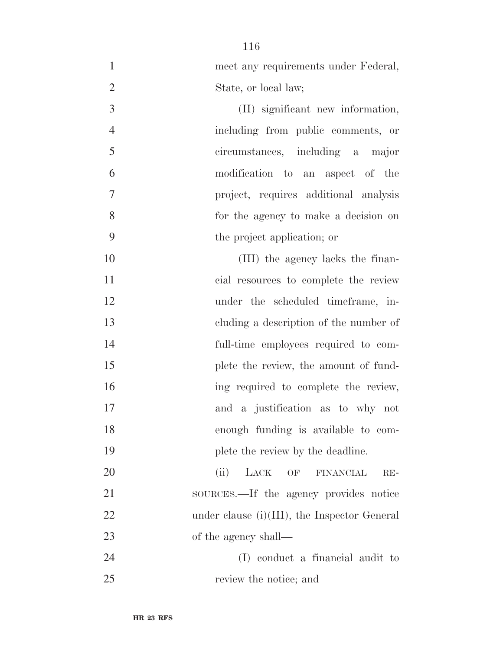| $\mathbf{1}$   | meet any requirements under Federal,            |
|----------------|-------------------------------------------------|
| $\overline{2}$ | State, or local law;                            |
| 3              | (II) significant new information,               |
| $\overline{4}$ | including from public comments, or              |
| 5              | circumstances, including a major                |
| 6              | modification to an aspect of the                |
| $\overline{7}$ | project, requires additional analysis           |
| 8              | for the agency to make a decision on            |
| 9              | the project application; or                     |
| 10             | (III) the agency lacks the finan-               |
| 11             | cial resources to complete the review           |
| 12             | under the scheduled timeframe, in-              |
| 13             | eluding a description of the number of          |
| 14             | full-time employees required to com-            |
| 15             | plete the review, the amount of fund-           |
| 16             | ing required to complete the review,            |
| 17             | and a justification as to why not               |
| 18             | enough funding is available to com-             |
| 19             | plete the review by the deadline.               |
| 20             | (ii)<br>LACK<br>OF<br><b>FINANCIAL</b><br>$RE-$ |
| 21             | sources.—If the agency provides notice          |
| 22             | under clause $(i)(III)$ , the Inspector General |
| 23             | of the agency shall—                            |
| 24             | (I) conduct a financial audit to                |
| 25             | review the notice; and                          |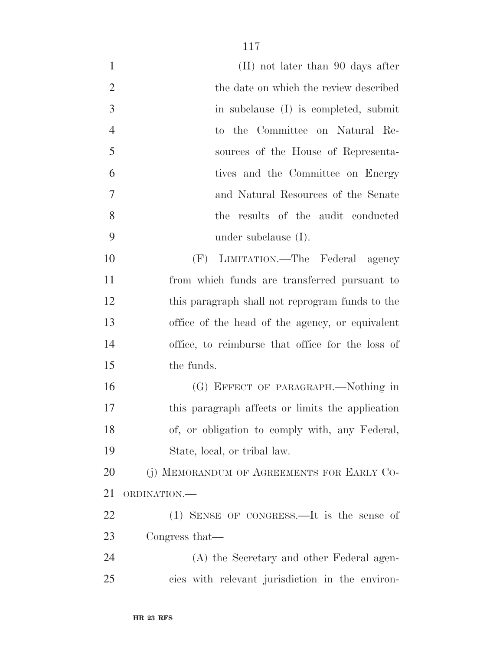| (II) not later than 90 days after                |
|--------------------------------------------------|
| the date on which the review described           |
| in subclause (I) is completed, submit            |
| to the Committee on Natural Re-                  |
| sources of the House of Representa-              |
| tives and the Committee on Energy                |
| and Natural Resources of the Senate              |
| the results of the audit conducted               |
| under subclause $(I)$ .                          |
| (F) LIMITATION.—The Federal agency               |
| from which funds are transferred pursuant to     |
| this paragraph shall not reprogram funds to the  |
| office of the head of the agency, or equivalent  |
| office, to reimburse that office for the loss of |
| the funds.                                       |
| (G) EFFECT OF PARAGRAPH.—Nothing in              |
| this paragraph affects or limits the application |
| of, or obligation to comply with, any Federal,   |
| State, local, or tribal law.                     |
| (j) MEMORANDUM OF AGREEMENTS FOR EARLY CO-       |
| ORDINATION.                                      |
| $(1)$ SENSE OF CONGRESS.—It is the sense of      |
| Congress that—                                   |
| (A) the Secretary and other Federal agen-        |
| cies with relevant jurisdiction in the environ-  |
|                                                  |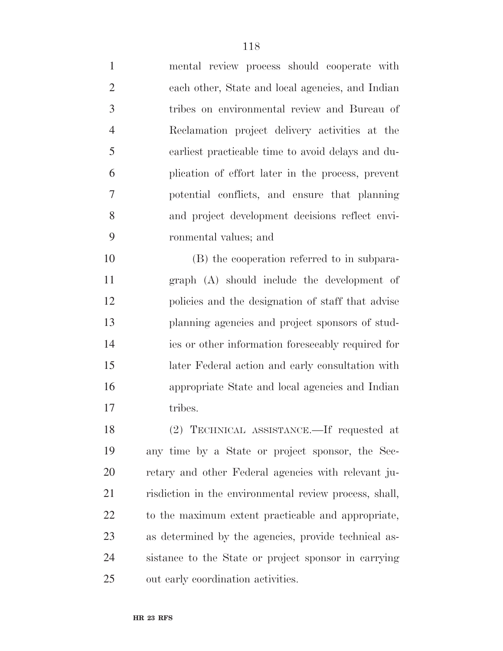| $\mathbf{1}$   | mental review process should cooperate with       |
|----------------|---------------------------------------------------|
| $\overline{2}$ | each other, State and local agencies, and Indian  |
| $\overline{3}$ | tribes on environmental review and Bureau of      |
| 4              | Reclamation project delivery activities at the    |
| 5              | earliest practicable time to avoid delays and du- |
| 6              | plication of effort later in the process, prevent |
| 7              | potential conflicts, and ensure that planning     |
| 8              | and project development decisions reflect envi-   |
| 9              | ronmental values; and                             |
|                |                                                   |

 (B) the cooperation referred to in subpara- graph (A) should include the development of policies and the designation of staff that advise planning agencies and project sponsors of stud- ies or other information foreseeably required for later Federal action and early consultation with appropriate State and local agencies and Indian 17 tribes.

 (2) TECHNICAL ASSISTANCE.—If requested at any time by a State or project sponsor, the Sec- retary and other Federal agencies with relevant ju- risdiction in the environmental review process, shall, to the maximum extent practicable and appropriate, as determined by the agencies, provide technical as- sistance to the State or project sponsor in carrying out early coordination activities.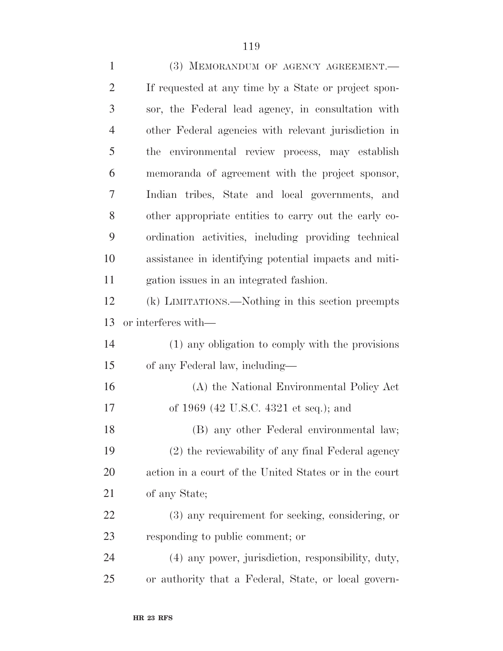| $\mathbf{1}$   | (3) MEMORANDUM OF AGENCY AGREEMENT.                    |
|----------------|--------------------------------------------------------|
| $\overline{2}$ | If requested at any time by a State or project spon-   |
| 3              | sor, the Federal lead agency, in consultation with     |
| $\overline{4}$ | other Federal agencies with relevant jurisdiction in   |
| 5              | the environmental review process, may establish        |
| 6              | memoranda of agreement with the project sponsor,       |
| 7              | Indian tribes, State and local governments, and        |
| 8              | other appropriate entities to carry out the early co-  |
| 9              | ordination activities, including providing technical   |
| 10             | assistance in identifying potential impacts and miti-  |
| 11             | gation issues in an integrated fashion.                |
| 12             | (k) LIMITATIONS.—Nothing in this section preempts      |
| 13             | or interferes with—                                    |
| 14             | (1) any obligation to comply with the provisions       |
| 15             | of any Federal law, including—                         |
| 16             | (A) the National Environmental Policy Act              |
| 17             | of 1969 (42 U.S.C. 4321 et seq.); and                  |
| 18             | (B) any other Federal environmental law;               |
| 19             | (2) the reviewability of any final Federal agency      |
| 20             | action in a court of the United States or in the court |
| 21             | of any State;                                          |
| 22             | (3) any requirement for seeking, considering, or       |
| 23             | responding to public comment; or                       |
| 24             | (4) any power, jurisdiction, responsibility, duty,     |
| 25             | or authority that a Federal, State, or local govern-   |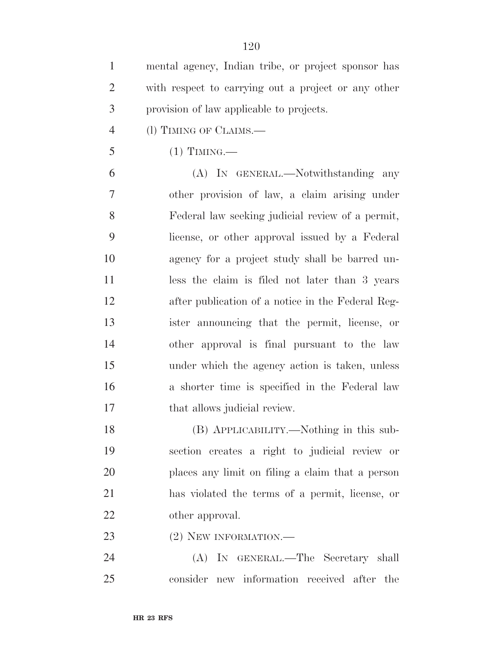mental agency, Indian tribe, or project sponsor has with respect to carrying out a project or any other provision of law applicable to projects.

- (l) TIMING OF CLAIMS.—
- (1) TIMING.—

 (A) IN GENERAL.—Notwithstanding any other provision of law, a claim arising under Federal law seeking judicial review of a permit, license, or other approval issued by a Federal agency for a project study shall be barred un- less the claim is filed not later than 3 years after publication of a notice in the Federal Reg- ister announcing that the permit, license, or other approval is final pursuant to the law under which the agency action is taken, unless a shorter time is specified in the Federal law 17 that allows judicial review.

 (B) APPLICABILITY.—Nothing in this sub- section creates a right to judicial review or places any limit on filing a claim that a person has violated the terms of a permit, license, or other approval.

23 (2) NEW INFORMATION.

 (A) IN GENERAL.—The Secretary shall consider new information received after the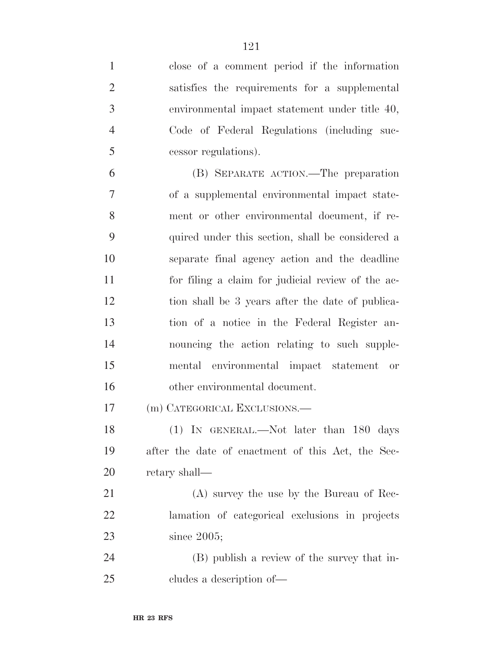| $\mathbf{1}$   | close of a comment period if the information      |
|----------------|---------------------------------------------------|
| $\overline{2}$ | satisfies the requirements for a supplemental     |
| $\mathfrak{Z}$ | environmental impact statement under title 40,    |
| $\overline{4}$ | Code of Federal Regulations (including suc-       |
| 5              | cessor regulations).                              |
| 6              | (B) SEPARATE ACTION.—The preparation              |
| $\tau$         | of a supplemental environmental impact state-     |
| 8              | ment or other environmental document, if re-      |
| 9              | quired under this section, shall be considered a  |
| 10             | separate final agency action and the deadline     |
| 11             | for filing a claim for judicial review of the ac- |
| 12             | tion shall be 3 years after the date of publica-  |
| 13             | tion of a notice in the Federal Register an-      |
| 14             | nouncing the action relating to such supple-      |
| 15             | mental environmental impact statement or          |
| 16             | other environmental document.                     |
| 17             | (m) CATEGORICAL EXCLUSIONS.—                      |
| 18             | $(1)$ In GENERAL.—Not later than 180 days         |
| 19             | after the date of enactment of this Act, the Sec- |
| <b>20</b>      | retary shall—                                     |
| 21             | (A) survey the use by the Bureau of Rec-          |
| 22             | lamation of categorical exclusions in projects    |
| 23             | since $2005$ ;                                    |
| 24             | (B) publish a review of the survey that in-       |
| 25             | cludes a description of—                          |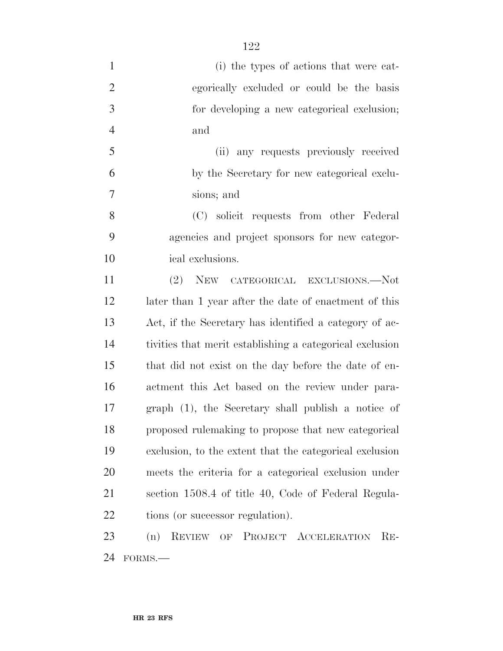(i) the types of actions that were cat- egorically excluded or could be the basis for developing a new categorical exclusion; and (ii) any requests previously received by the Secretary for new categorical exclu- sions; and (C) solicit requests from other Federal agencies and project sponsors for new categor- ical exclusions. (2) NEW CATEGORICAL EXCLUSIONS.—Not later than 1 year after the date of enactment of this Act, if the Secretary has identified a category of ac- tivities that merit establishing a categorical exclusion that did not exist on the day before the date of en- actment this Act based on the review under para- graph (1), the Secretary shall publish a notice of proposed rulemaking to propose that new categorical exclusion, to the extent that the categorical exclusion meets the criteria for a categorical exclusion under section 1508.4 of title 40, Code of Federal Regula-22 tions (or successor regulation). (n) REVIEW OF PROJECT ACCELERATION RE-

FORMS.—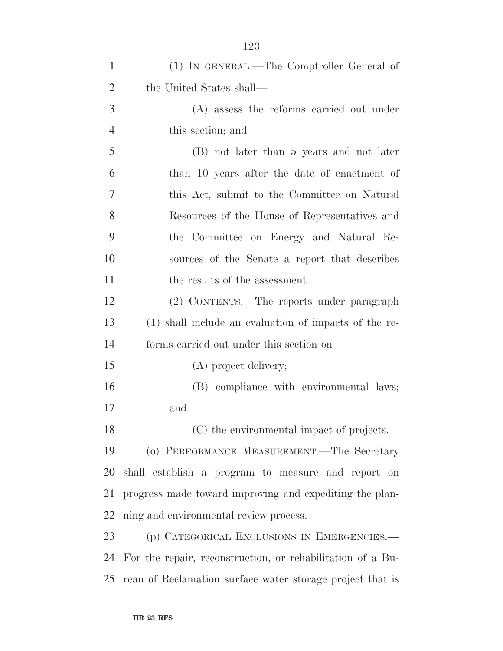| $\mathbf{1}$   | (1) IN GENERAL.—The Comptroller General of                 |
|----------------|------------------------------------------------------------|
| $\overline{2}$ | the United States shall—                                   |
| 3              | (A) assess the reforms carried out under                   |
| $\overline{4}$ | this section; and                                          |
| 5              | (B) not later than 5 years and not later                   |
| 6              | than 10 years after the date of enactment of               |
| $\overline{7}$ | this Act, submit to the Committee on Natural               |
| 8              | Resources of the House of Representatives and              |
| 9              | the Committee on Energy and Natural Re-                    |
| 10             | sources of the Senate a report that describes              |
| 11             | the results of the assessment.                             |
| 12             | (2) CONTENTS.—The reports under paragraph                  |
| 13             | (1) shall include an evaluation of impacts of the re-      |
| 14             | forms carried out under this section on—                   |
| 15             | (A) project delivery;                                      |
| 16             | (B) compliance with environmental laws;                    |
| 17             | and                                                        |
| 18             | (C) the environmental impact of projects.                  |
| 19             | (o) PERFORMANCE MEASUREMENT.—The Secretary                 |
| 20             | shall establish a program to measure and report on         |
| 21             | progress made toward improving and expediting the plan-    |
| 22             | ning and environmental review process.                     |
| 23             | (p) CATEGORICAL EXCLUSIONS IN EMERGENCIES.—                |
| 24             | For the repair, reconstruction, or rehabilitation of a Bu- |
| 25             | reau of Reclamation surface water storage project that is  |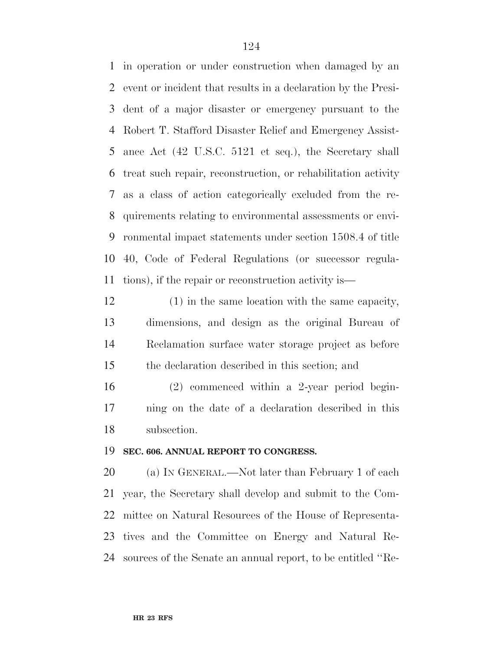in operation or under construction when damaged by an event or incident that results in a declaration by the Presi- dent of a major disaster or emergency pursuant to the Robert T. Stafford Disaster Relief and Emergency Assist- ance Act (42 U.S.C. 5121 et seq.), the Secretary shall treat such repair, reconstruction, or rehabilitation activity as a class of action categorically excluded from the re- quirements relating to environmental assessments or envi- ronmental impact statements under section 1508.4 of title 40, Code of Federal Regulations (or successor regula-tions), if the repair or reconstruction activity is—

 (1) in the same location with the same capacity, dimensions, and design as the original Bureau of Reclamation surface water storage project as before the declaration described in this section; and

 (2) commenced within a 2-year period begin- ning on the date of a declaration described in this subsection.

#### **SEC. 606. ANNUAL REPORT TO CONGRESS.**

 (a) IN GENERAL.—Not later than February 1 of each year, the Secretary shall develop and submit to the Com- mittee on Natural Resources of the House of Representa- tives and the Committee on Energy and Natural Re-sources of the Senate an annual report, to be entitled ''Re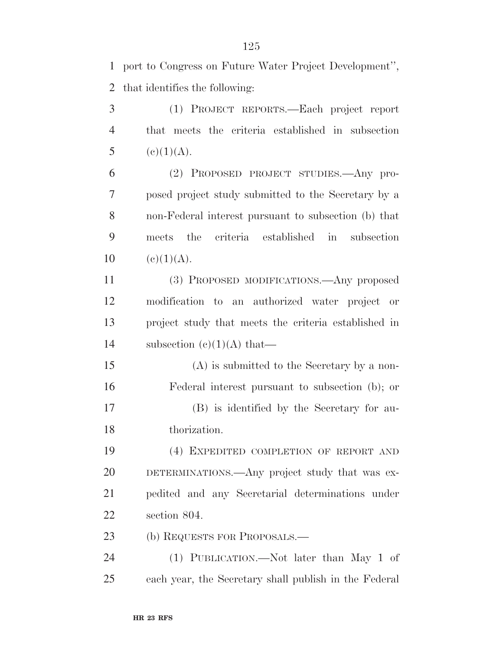port to Congress on Future Water Project Development'', that identifies the following:

 (1) PROJECT REPORTS.—Each project report that meets the criteria established in subsection 5 (e)(1)(A).

 (2) PROPOSED PROJECT STUDIES.—Any pro- posed project study submitted to the Secretary by a non-Federal interest pursuant to subsection (b) that meets the criteria established in subsection  $10 \quad (e)(1)(A).$ 

 (3) PROPOSED MODIFICATIONS.—Any proposed modification to an authorized water project or project study that meets the criteria established in 14 subsection  $(c)(1)(A)$  that—

 (A) is submitted to the Secretary by a non- Federal interest pursuant to subsection (b); or (B) is identified by the Secretary for au-thorization.

 (4) EXPEDITED COMPLETION OF REPORT AND DETERMINATIONS.—Any project study that was ex- pedited and any Secretarial determinations under section 804.

23 (b) REQUESTS FOR PROPOSALS.—

 (1) PUBLICATION.—Not later than May 1 of each year, the Secretary shall publish in the Federal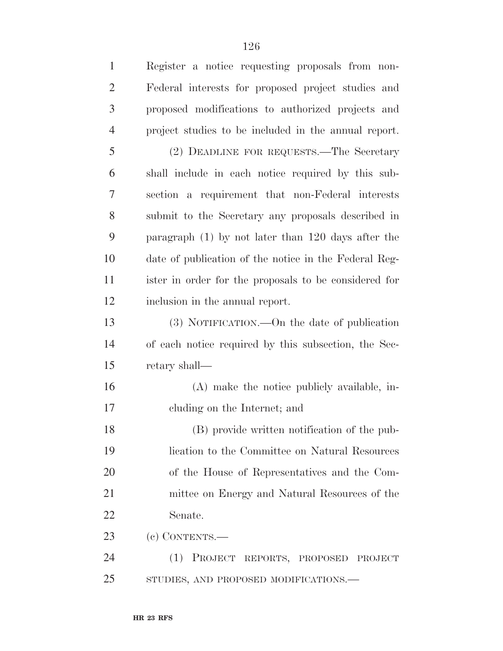Register a notice requesting proposals from non- Federal interests for proposed project studies and proposed modifications to authorized projects and project studies to be included in the annual report. (2) DEADLINE FOR REQUESTS.—The Secretary shall include in each notice required by this sub- section a requirement that non-Federal interests submit to the Secretary any proposals described in paragraph (1) by not later than 120 days after the date of publication of the notice in the Federal Reg- ister in order for the proposals to be considered for inclusion in the annual report. (3) NOTIFICATION.—On the date of publication of each notice required by this subsection, the Sec- retary shall— (A) make the notice publicly available, in- cluding on the Internet; and (B) provide written notification of the pub- lication to the Committee on Natural Resources of the House of Representatives and the Com- mittee on Energy and Natural Resources of the Senate. (c) CONTENTS.— (1) PROJECT REPORTS, PROPOSED PROJECT STUDIES, AND PROPOSED MODIFICATIONS.—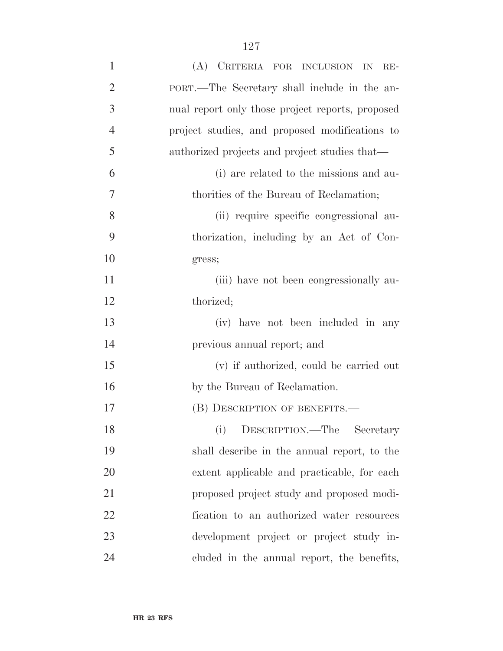| $\mathbf{1}$   | (A) CRITERIA FOR INCLUSION IN RE-                |
|----------------|--------------------------------------------------|
| $\overline{2}$ | PORT.—The Secretary shall include in the an-     |
| 3              | nual report only those project reports, proposed |
| $\overline{4}$ | project studies, and proposed modifications to   |
| 5              | authorized projects and project studies that—    |
| 6              | (i) are related to the missions and au-          |
| 7              | thorities of the Bureau of Reclamation;          |
| 8              | (ii) require specific congressional au-          |
| 9              | thorization, including by an Act of Con-         |
| 10             | gress;                                           |
| 11             | (iii) have not been congressionally au-          |
| 12             | thorized;                                        |
| 13             | (iv) have not been included in any               |
| 14             | previous annual report; and                      |
| 15             | (v) if authorized, could be carried out          |
| 16             | by the Bureau of Reclamation.                    |
| 17             | (B) DESCRIPTION OF BENEFITS.—                    |
| 18             | DESCRIPTION.—The<br>(i)<br>Secretary             |
| 19             | shall describe in the annual report, to the      |
| 20             | extent applicable and practicable, for each      |
| 21             | proposed project study and proposed modi-        |
| 22             | fication to an authorized water resources        |
| 23             | development project or project study in-         |
| 24             | cluded in the annual report, the benefits,       |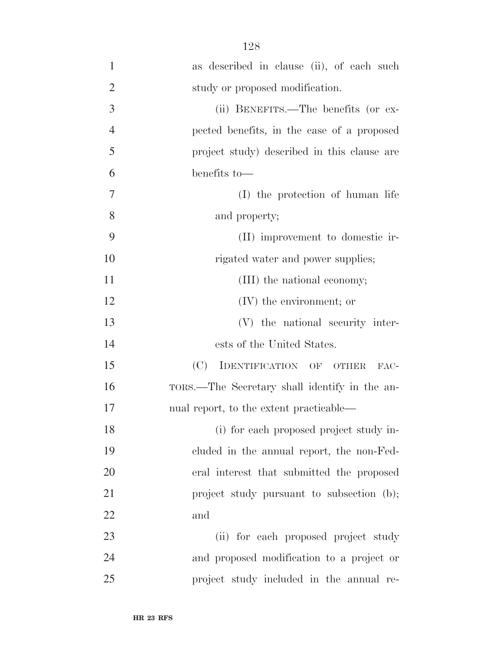| $\mathbf{1}$   | as described in clause (ii), of each such     |
|----------------|-----------------------------------------------|
| $\overline{2}$ | study or proposed modification.               |
| 3              | (ii) BENEFITS.—The benefits (or ex-           |
| $\overline{4}$ | pected benefits, in the case of a proposed    |
| 5              | project study) described in this clause are   |
| 6              | benefits to-                                  |
| $\tau$         | (I) the protection of human life              |
| 8              | and property;                                 |
| 9              | (II) improvement to domestic ir-              |
| 10             | rigated water and power supplies;             |
| 11             | (III) the national economy;                   |
| 12             | $(V)$ the environment; or                     |
| 13             | (V) the national security inter-              |
| 14             | ests of the United States.                    |
| 15             | (C)<br>IDENTIFICATION OF OTHER<br>FAC-        |
| 16             | TORS.—The Secretary shall identify in the an- |
| 17             | nual report, to the extent practicable—       |
| 18             | (i) for each proposed project study in-       |
| 19             | cluded in the annual report, the non-Fed-     |
| 20             | eral interest that submitted the proposed     |
| 21             | project study pursuant to subsection (b);     |
| 22             | and                                           |
| 23             | (ii) for each proposed project study          |
| 24             | and proposed modification to a project or     |
| 25             | project study included in the annual re-      |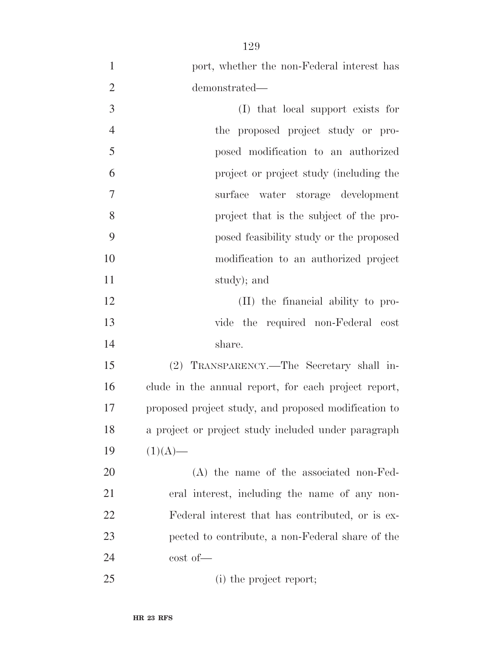| $\mathbf{1}$   | port, whether the non-Federal interest has           |
|----------------|------------------------------------------------------|
| $\overline{2}$ | demonstrated-                                        |
| 3              | (I) that local support exists for                    |
| $\overline{4}$ | the proposed project study or pro-                   |
| 5              | posed modification to an authorized                  |
| 6              | project or project study (including the              |
| 7              | surface water storage development                    |
| 8              | project that is the subject of the pro-              |
| 9              | posed feasibility study or the proposed              |
| 10             | modification to an authorized project                |
| 11             | study); and                                          |
| 12             | (II) the financial ability to pro-                   |
| 13             | vide the required non-Federal cost                   |
| 14             | share.                                               |
| 15             | (2) TRANSPARENCY.—The Secretary shall in-            |
| 16             | clude in the annual report, for each project report, |
| 17             | proposed project study, and proposed modification to |
| 18             | a project or project study included under paragraph  |
| 19             | $(1)(A)$ —                                           |
| 20             | $(A)$ the name of the associated non-Fed-            |
| 21             | eral interest, including the name of any non-        |
| 22             | Federal interest that has contributed, or is ex-     |
| 23             | pected to contribute, a non-Federal share of the     |
| 24             | $\cot$ of $\leftarrow$                               |
| 25             | (i) the project report;                              |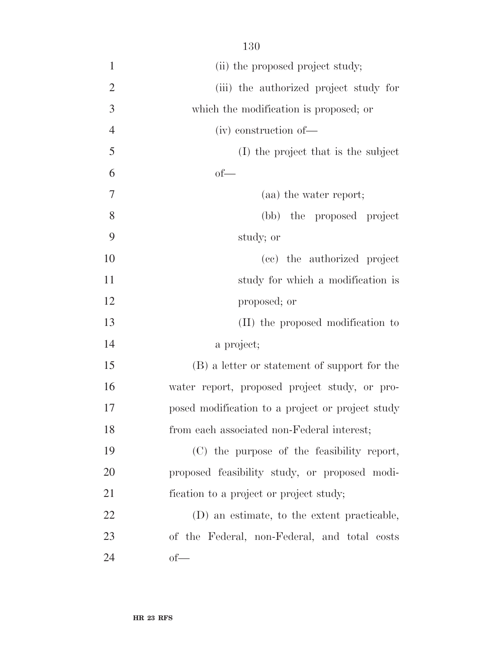| $\mathbf{1}$   | (ii) the proposed project study;                 |
|----------------|--------------------------------------------------|
| $\overline{2}$ | (iii) the authorized project study for           |
| 3              | which the modification is proposed; or           |
| $\overline{4}$ | (iv) construction of-                            |
| 5              | (I) the project that is the subject              |
| 6              | $of$ —                                           |
| $\overline{7}$ | (aa) the water report;                           |
| 8              | (bb) the proposed project                        |
| 9              | study; or                                        |
| 10             | (cc) the authorized project                      |
| 11             | study for which a modification is                |
| 12             | proposed; or                                     |
| 13             | (II) the proposed modification to                |
| 14             | a project;                                       |
| 15             | (B) a letter or statement of support for the     |
| 16             | water report, proposed project study, or pro-    |
| 17             | posed modification to a project or project study |
| 18             | from each associated non-Federal interest;       |
| 19             | (C) the purpose of the feasibility report,       |
| 20             | proposed feasibility study, or proposed modi-    |
| 21             | fication to a project or project study;          |
| 22             | (D) an estimate, to the extent practicable,      |
| 23             | of the Federal, non-Federal, and total costs     |
| 24             | $of$ —                                           |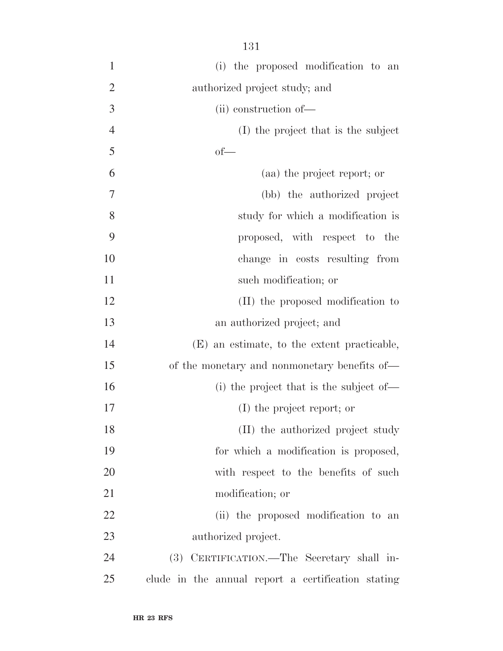| $\mathbf{1}$   | (i) the proposed modification to an                |
|----------------|----------------------------------------------------|
| $\overline{2}$ | authorized project study; and                      |
| 3              | (ii) construction of-                              |
| $\overline{4}$ | (I) the project that is the subject                |
| 5              | $of$ —                                             |
| 6              | (aa) the project report; or                        |
| 7              | (bb) the authorized project                        |
| 8              | study for which a modification is                  |
| 9              | proposed, with respect to the                      |
| 10             | change in costs resulting from                     |
| 11             | such modification; or                              |
| 12             | (II) the proposed modification to                  |
| 13             | an authorized project; and                         |
| 14             | (E) an estimate, to the extent practicable,        |
| 15             | of the monetary and nonmonetary benefits of—       |
| 16             | (i) the project that is the subject of—            |
| 17             | (I) the project report; or                         |
| 18             | (II) the authorized project study                  |
| 19             | for which a modification is proposed,              |
| 20             | with respect to the benefits of such               |
| 21             | modification; or                                   |
| 22             | (ii) the proposed modification to an               |
| 23             | authorized project.                                |
| 24             | CERTIFICATION.—The Secretary shall in-<br>(3)      |
| 25             | clude in the annual report a certification stating |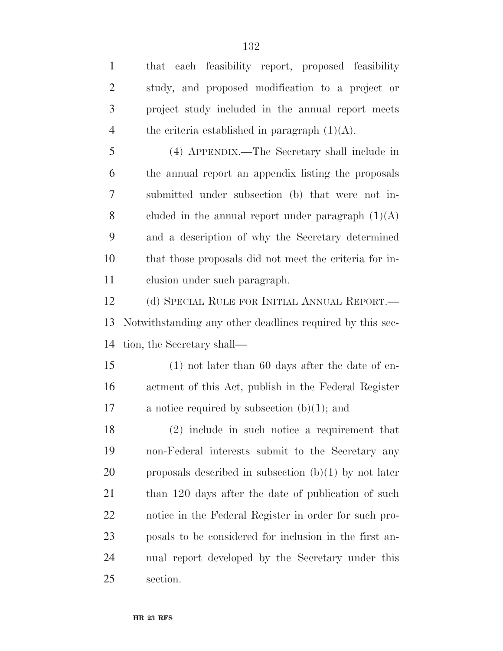| $\mathbf{1}$   | that each feasibility report, proposed feasibility        |
|----------------|-----------------------------------------------------------|
| $\overline{2}$ | study, and proposed modification to a project or          |
| 3              | project study included in the annual report meets         |
| $\overline{4}$ | the criteria established in paragraph $(1)(A)$ .          |
| 5              | (4) APPENDIX.—The Secretary shall include in              |
| 6              | the annual report an appendix listing the proposals       |
| 7              | submitted under subsection (b) that were not in-          |
| 8              | cluded in the annual report under paragraph $(1)(A)$      |
| 9              | and a description of why the Secretary determined         |
| 10             | that those proposals did not meet the criteria for in-    |
| 11             | clusion under such paragraph.                             |
| 12             | (d) SPECIAL RULE FOR INITIAL ANNUAL REPORT.—              |
| 13             | Notwithstanding any other deadlines required by this sec- |
| 14             | tion, the Secretary shall—                                |
| 15             | $(1)$ not later than 60 days after the date of en-        |
| 16             | actment of this Act, publish in the Federal Register      |
| 17             | a notice required by subsection $(b)(1)$ ; and            |
| 18             | $(2)$ include in such notice a requirement that           |
| 19             | non-Federal interests submit to the Secretary any         |
| 20             | proposals described in subsection $(b)(1)$ by not later   |
| 21             | than 120 days after the date of publication of such       |
| 22             | notice in the Federal Register in order for such pro-     |
| 23             | posals to be considered for inclusion in the first an-    |
| 24             | nual report developed by the Secretary under this         |
| 25             | section.                                                  |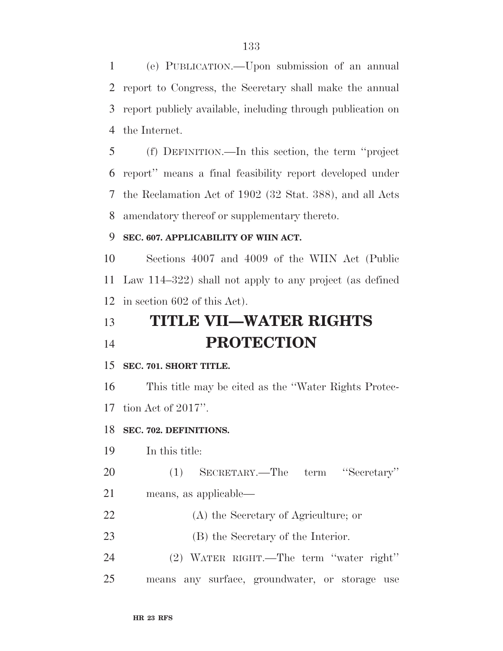(e) PUBLICATION.—Upon submission of an annual report to Congress, the Secretary shall make the annual report publicly available, including through publication on the Internet.

 (f) DEFINITION.—In this section, the term ''project report'' means a final feasibility report developed under the Reclamation Act of 1902 (32 Stat. 388), and all Acts amendatory thereof or supplementary thereto.

### **SEC. 607. APPLICABILITY OF WIIN ACT.**

 Sections 4007 and 4009 of the WIIN Act (Public Law 114–322) shall not apply to any project (as defined in section 602 of this Act).

# **TITLE VII—WATER RIGHTS PROTECTION**

#### **SEC. 701. SHORT TITLE.**

 This title may be cited as the ''Water Rights Protec-tion Act of 2017''.

#### **SEC. 702. DEFINITIONS.**

In this title:

(1) SECRETARY.—The term ''Secretary''

- means, as applicable—
- (A) the Secretary of Agriculture; or
- 23 (B) the Secretary of the Interior.
- (2) WATER RIGHT.—The term ''water right''
- means any surface, groundwater, or storage use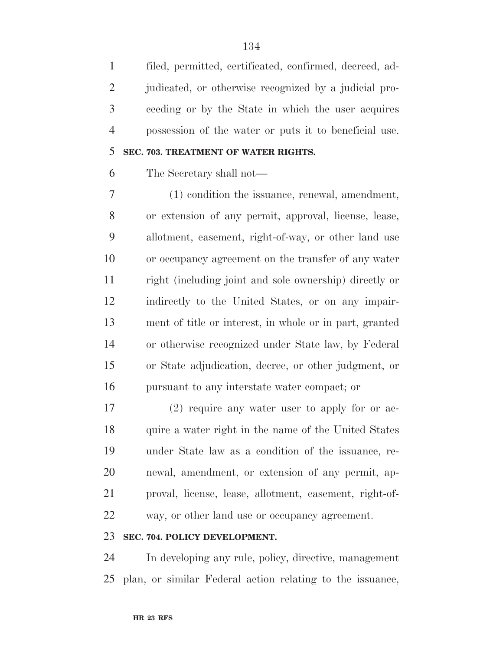filed, permitted, certificated, confirmed, decreed, ad-2 judicated, or otherwise recognized by a judicial pro- ceeding or by the State in which the user acquires possession of the water or puts it to beneficial use.

# **SEC. 703. TREATMENT OF WATER RIGHTS.**

The Secretary shall not—

 (1) condition the issuance, renewal, amendment, or extension of any permit, approval, license, lease, allotment, easement, right-of-way, or other land use or occupancy agreement on the transfer of any water right (including joint and sole ownership) directly or indirectly to the United States, or on any impair- ment of title or interest, in whole or in part, granted or otherwise recognized under State law, by Federal or State adjudication, decree, or other judgment, or pursuant to any interstate water compact; or

 (2) require any water user to apply for or ac-18 quire a water right in the name of the United States under State law as a condition of the issuance, re- newal, amendment, or extension of any permit, ap- proval, license, lease, allotment, easement, right-of-way, or other land use or occupancy agreement.

## **SEC. 704. POLICY DEVELOPMENT.**

 In developing any rule, policy, directive, management plan, or similar Federal action relating to the issuance,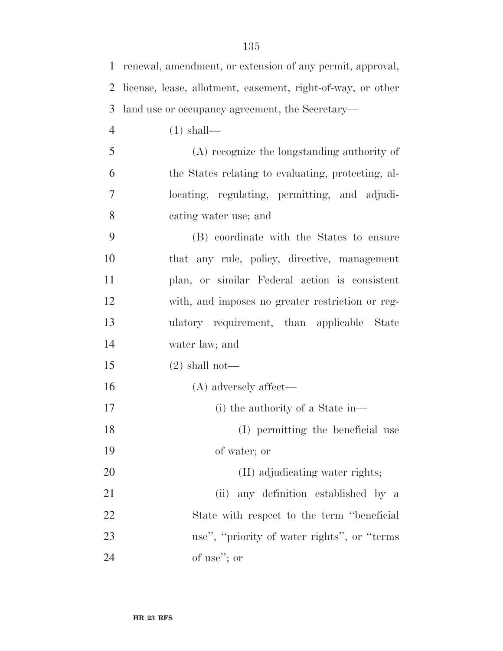| $\mathbf{1}$   | renewal, amendment, or extension of any permit, approval,   |
|----------------|-------------------------------------------------------------|
| 2              | license, lease, allotment, easement, right-of-way, or other |
| 3              | land use or occupancy agreement, the Secretary-             |
| $\overline{4}$ | $(1)$ shall—                                                |
| 5              | (A) recognize the longstanding authority of                 |
| 6              | the States relating to evaluating, protecting, al-          |
| $\tau$         | locating, regulating, permitting, and adjudi-               |
| 8              | cating water use; and                                       |
| 9              | (B) coordinate with the States to ensure                    |
| 10             | that any rule, policy, directive, management                |
| 11             | plan, or similar Federal action is consistent               |
| 12             | with, and imposes no greater restriction or reg-            |
| 13             | ulatory requirement, than applicable State                  |
| 14             | water law; and                                              |
| 15             | $(2)$ shall not—                                            |
| 16             | $(A)$ adversely affect—                                     |
| 17             | (i) the authority of a State in—                            |
| 18             | (I) permitting the beneficial use                           |
| 19             | of water; or                                                |
| 20             | (II) adjudicating water rights;                             |
| 21             | (ii) any definition established by a                        |
| 22             | State with respect to the term "beneficial"                 |
| 23             | use", "priority of water rights", or "terms"                |
| 24             | of use"; or                                                 |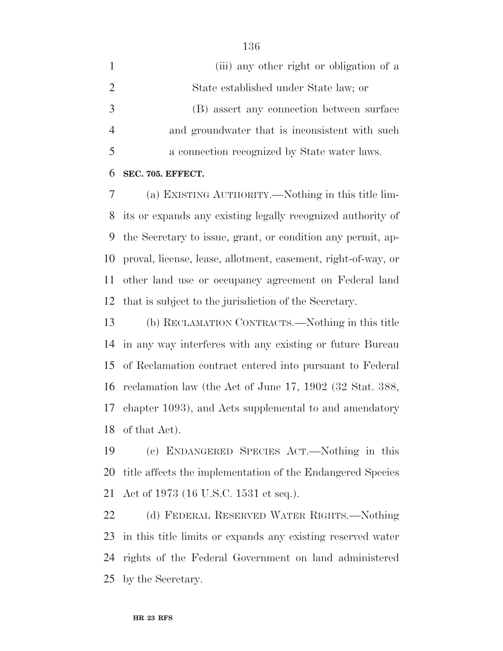|   | (iii) any other right or obligation of a       |
|---|------------------------------------------------|
| 2 | State established under State law; or          |
|   | (B) assert any connection between surface      |
|   | and groundwater that is inconsistent with such |
|   | a connection recognized by State water laws.   |

#### **SEC. 705. EFFECT.**

 (a) EXISTING AUTHORITY.—Nothing in this title lim- its or expands any existing legally recognized authority of the Secretary to issue, grant, or condition any permit, ap- proval, license, lease, allotment, easement, right-of-way, or other land use or occupancy agreement on Federal land that is subject to the jurisdiction of the Secretary.

 (b) RECLAMATION CONTRACTS.—Nothing in this title in any way interferes with any existing or future Bureau of Reclamation contract entered into pursuant to Federal reclamation law (the Act of June 17, 1902 (32 Stat. 388, chapter 1093), and Acts supplemental to and amendatory of that Act).

 (c) ENDANGERED SPECIES ACT.—Nothing in this title affects the implementation of the Endangered Species Act of 1973 (16 U.S.C. 1531 et seq.).

 (d) FEDERAL RESERVED WATER RIGHTS.—Nothing in this title limits or expands any existing reserved water rights of the Federal Government on land administered by the Secretary.